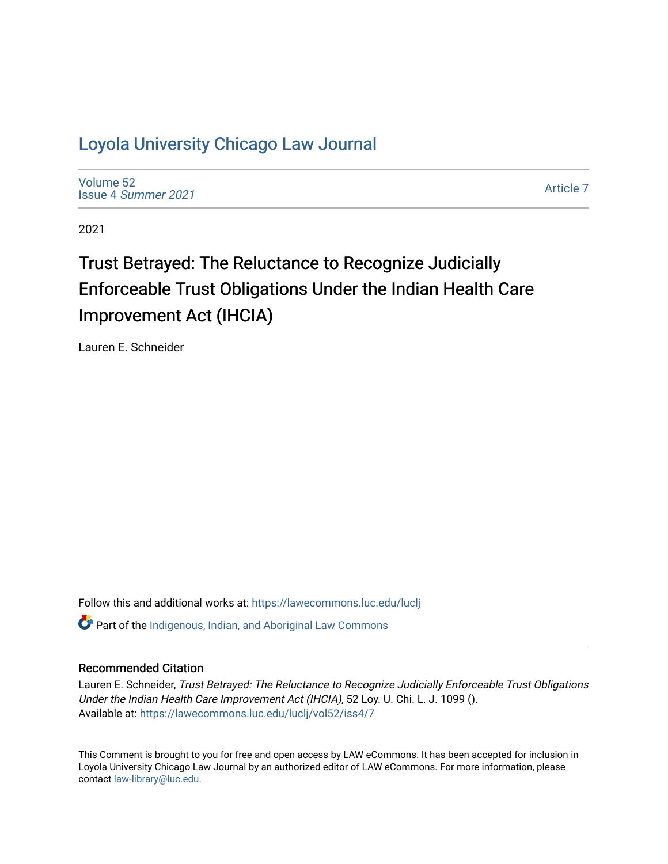# [Loyola University Chicago Law Journal](https://lawecommons.luc.edu/luclj)

[Volume 52](https://lawecommons.luc.edu/luclj/vol52) Issue 4 [Summer 2021](https://lawecommons.luc.edu/luclj/vol52/iss4) 

[Article 7](https://lawecommons.luc.edu/luclj/vol52/iss4/7) 

2021

# Trust Betrayed: The Reluctance to Recognize Judicially Enforceable Trust Obligations Under the Indian Health Care Improvement Act (IHCIA)

Lauren E. Schneider

Follow this and additional works at: [https://lawecommons.luc.edu/luclj](https://lawecommons.luc.edu/luclj?utm_source=lawecommons.luc.edu%2Fluclj%2Fvol52%2Fiss4%2F7&utm_medium=PDF&utm_campaign=PDFCoverPages) 

**C** Part of the Indigenous, Indian, and Aboriginal Law Commons

# Recommended Citation

Lauren E. Schneider, Trust Betrayed: The Reluctance to Recognize Judicially Enforceable Trust Obligations Under the Indian Health Care Improvement Act (IHCIA), 52 Loy. U. Chi. L. J. 1099 (). Available at: [https://lawecommons.luc.edu/luclj/vol52/iss4/7](https://lawecommons.luc.edu/luclj/vol52/iss4/7?utm_source=lawecommons.luc.edu%2Fluclj%2Fvol52%2Fiss4%2F7&utm_medium=PDF&utm_campaign=PDFCoverPages) 

This Comment is brought to you for free and open access by LAW eCommons. It has been accepted for inclusion in Loyola University Chicago Law Journal by an authorized editor of LAW eCommons. For more information, please contact [law-library@luc.edu.](mailto:law-library@luc.edu)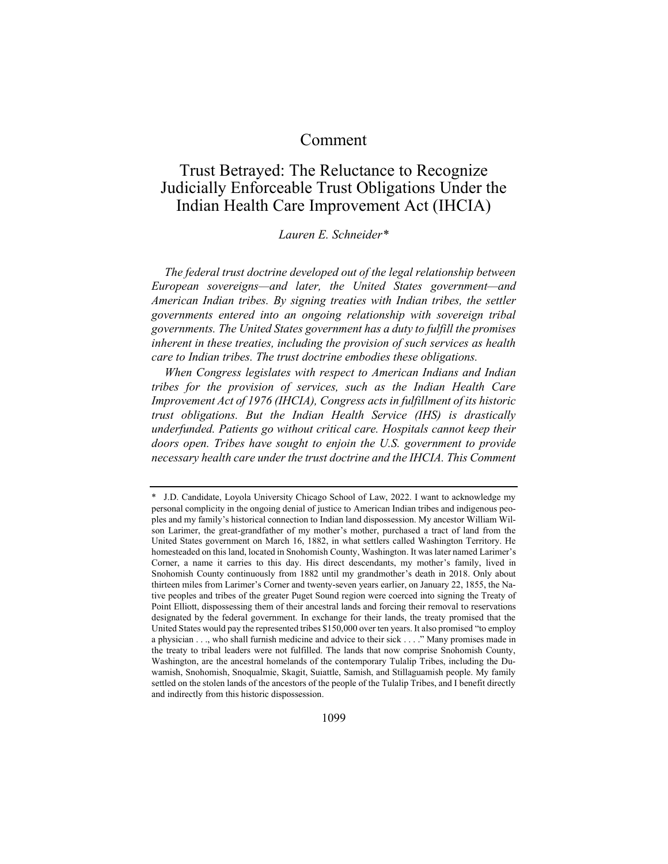# Comment

# Trust Betrayed: The Reluctance to Recognize Judicially Enforceable Trust Obligations Under the Indian Health Care Improvement Act (IHCIA)

# *Lauren E. Schneider\**

*The federal trust doctrine developed out of the legal relationship between European sovereigns—and later, the United States government—and American Indian tribes. By signing treaties with Indian tribes, the settler governments entered into an ongoing relationship with sovereign tribal governments. The United States government has a duty to fulfill the promises inherent in these treaties, including the provision of such services as health care to Indian tribes. The trust doctrine embodies these obligations.*

*When Congress legislates with respect to American Indians and Indian tribes for the provision of services, such as the Indian Health Care Improvement Act of 1976 (IHCIA), Congress acts in fulfillment of its historic trust obligations. But the Indian Health Service (IHS) is drastically underfunded. Patients go without critical care. Hospitals cannot keep their doors open. Tribes have sought to enjoin the U.S. government to provide necessary health care under the trust doctrine and the IHCIA. This Comment* 

<sup>\*</sup> J.D. Candidate, Loyola University Chicago School of Law, 2022. I want to acknowledge my personal complicity in the ongoing denial of justice to American Indian tribes and indigenous peoples and my family's historical connection to Indian land dispossession. My ancestor William Wilson Larimer, the great-grandfather of my mother's mother, purchased a tract of land from the United States government on March 16, 1882, in what settlers called Washington Territory. He homesteaded on this land, located in Snohomish County, Washington. It was later named Larimer's Corner, a name it carries to this day. His direct descendants, my mother's family, lived in Snohomish County continuously from 1882 until my grandmother's death in 2018. Only about thirteen miles from Larimer's Corner and twenty-seven years earlier, on January 22, 1855, the Native peoples and tribes of the greater Puget Sound region were coerced into signing the Treaty of Point Elliott, dispossessing them of their ancestral lands and forcing their removal to reservations designated by the federal government. In exchange for their lands, the treaty promised that the United States would pay the represented tribes \$150,000 over ten years. It also promised "to employ a physician . . ., who shall furnish medicine and advice to their sick . . . ." Many promises made in the treaty to tribal leaders were not fulfilled. The lands that now comprise Snohomish County, Washington, are the ancestral homelands of the contemporary Tulalip Tribes, including the Duwamish, Snohomish, Snoqualmie, Skagit, Suiattle, Samish, and Stillaguamish people. My family settled on the stolen lands of the ancestors of the people of the Tulalip Tribes, and I benefit directly and indirectly from this historic dispossession.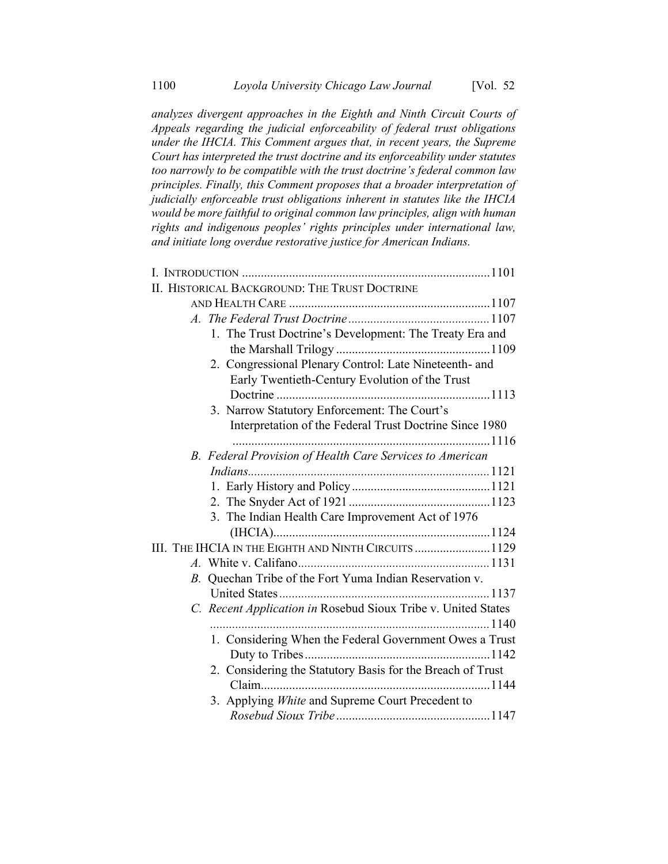*analyzes divergent approaches in the Eighth and Ninth Circuit Courts of Appeals regarding the judicial enforceability of federal trust obligations under the IHCIA. This Comment argues that, in recent years, the Supreme Court has interpreted the trust doctrine and its enforceability under statutes too narrowly to be compatible with the trust doctrine's federal common law principles. Finally, this Comment proposes that a broader interpretation of judicially enforceable trust obligations inherent in statutes like the IHCIA would be more faithful to original common law principles, align with human rights and indigenous peoples' rights principles under international law, and initiate long overdue restorative justice for American Indians.*

| II. HISTORICAL BACKGROUND: THE TRUST DOCTRINE                 |
|---------------------------------------------------------------|
|                                                               |
|                                                               |
| 1. The Trust Doctrine's Development: The Treaty Era and       |
|                                                               |
| 2. Congressional Plenary Control: Late Nineteenth- and        |
| Early Twentieth-Century Evolution of the Trust                |
|                                                               |
| 3. Narrow Statutory Enforcement: The Court's                  |
| Interpretation of the Federal Trust Doctrine Since 1980       |
|                                                               |
| B. Federal Provision of Health Care Services to American      |
|                                                               |
|                                                               |
|                                                               |
| 3. The Indian Health Care Improvement Act of 1976             |
|                                                               |
| III. THE IHCIA IN THE EIGHTH AND NINTH CIRCUITS  1129         |
|                                                               |
| Quechan Tribe of the Fort Yuma Indian Reservation v.<br>B.    |
|                                                               |
| C. Recent Application in Rosebud Sioux Tribe v. United States |
|                                                               |
| 1. Considering When the Federal Government Owes a Trust       |
|                                                               |
| 2. Considering the Statutory Basis for the Breach of Trust    |
|                                                               |
| 3. Applying White and Supreme Court Precedent to              |
|                                                               |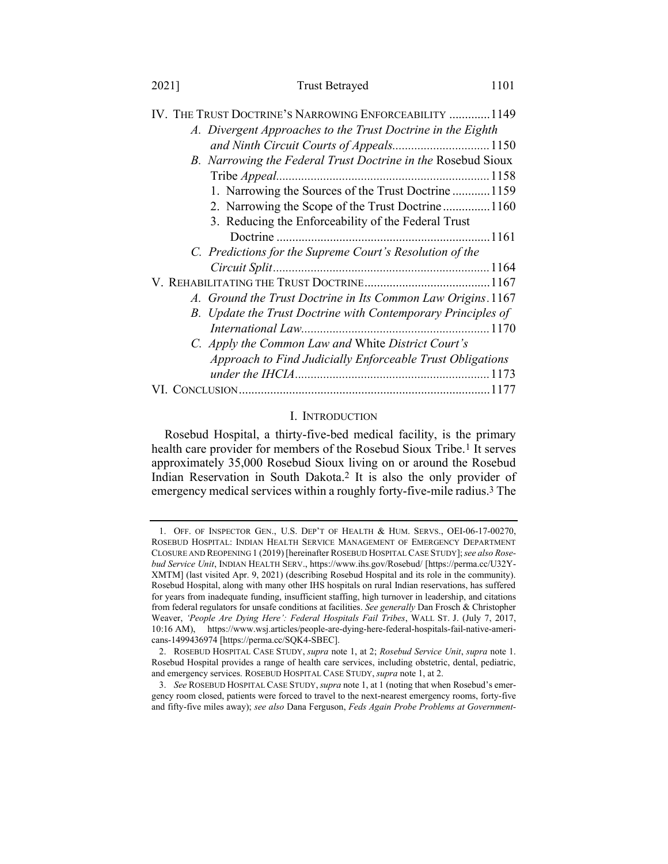#### 2021] Trust Betrayed 1101

| IV. The Trust Doctrine's Narrowing Enforceability 1149       |  |
|--------------------------------------------------------------|--|
| A. Divergent Approaches to the Trust Doctrine in the Eighth  |  |
| and Ninth Circuit Courts of Appeals 1150                     |  |
| B. Narrowing the Federal Trust Doctrine in the Rosebud Sioux |  |
|                                                              |  |
| 1. Narrowing the Sources of the Trust Doctrine1159           |  |
| 2. Narrowing the Scope of the Trust Doctrine1160             |  |
| 3. Reducing the Enforceability of the Federal Trust          |  |
|                                                              |  |
| C. Predictions for the Supreme Court's Resolution of the     |  |
|                                                              |  |
|                                                              |  |
| A. Ground the Trust Doctrine in Its Common Law Origins. 1167 |  |
| B. Update the Trust Doctrine with Contemporary Principles of |  |
|                                                              |  |
| C. Apply the Common Law and White District Court's           |  |
| Approach to Find Judicially Enforceable Trust Obligations    |  |
|                                                              |  |
|                                                              |  |

# VI. CONCLUSION................................................................................1177

### <span id="page-3-1"></span><span id="page-3-0"></span>I. INTRODUCTION

Rosebud Hospital, a thirty-five-bed medical facility, is the primary health care provider for members of the Rosebud Sioux Tribe.<sup>1</sup> It serves approximately 35,000 Rosebud Sioux living on or around the Rosebud Indian Reservation in South Dakota.2 It is also the only provider of emergency medical services within a roughly forty-five-mile radius.3 The

<sup>1.</sup> OFF. OF INSPECTOR GEN., U.S. DEP'T OF HEALTH & HUM. SERVS., OEI-06-17-00270, ROSEBUD HOSPITAL: INDIAN HEALTH SERVICE MANAGEMENT OF EMERGENCY DEPARTMENT CLOSURE AND REOPENING 1 (2019) [hereinafter ROSEBUD HOSPITAL CASE STUDY];*see also Rosebud Service Unit*, INDIAN HEALTH SERV., https://www.ihs.gov/Rosebud/ [https://perma.cc/U32Y-XMTM] (last visited Apr. 9, 2021) (describing Rosebud Hospital and its role in the community). Rosebud Hospital, along with many other IHS hospitals on rural Indian reservations, has suffered for years from inadequate funding, insufficient staffing, high turnover in leadership, and citations from federal regulators for unsafe conditions at facilities. *See generally* Dan Frosch & Christopher Weaver, *'People Are Dying Here': Federal Hospitals Fail Tribes*, WALL ST. J. (July 7, 2017, 10:16 AM), https://www.wsj.articles/people-are-dying-here-federal-hospitals-fail-native-americans-1499436974 [https://perma.cc/SQK4-SBEC].

<sup>2.</sup> ROSEBUD HOSPITAL CASE STUDY, *supra* note [1,](#page-3-0) at 2; *Rosebud Service Unit*, *supra* not[e 1.](#page-3-0)  Rosebud Hospital provides a range of health care services, including obstetric, dental, pediatric, and emergency services. ROSEBUD HOSPITAL CASE STUDY, *supra* not[e 1,](#page-3-0) at 2.

<sup>3.</sup> *See* ROSEBUD HOSPITAL CASE STUDY, *supra* not[e 1,](#page-3-0) at 1 (noting that when Rosebud's emergency room closed, patients were forced to travel to the next-nearest emergency rooms, forty-five and fifty-five miles away); *see also* Dana Ferguson, *Feds Again Probe Problems at Government-*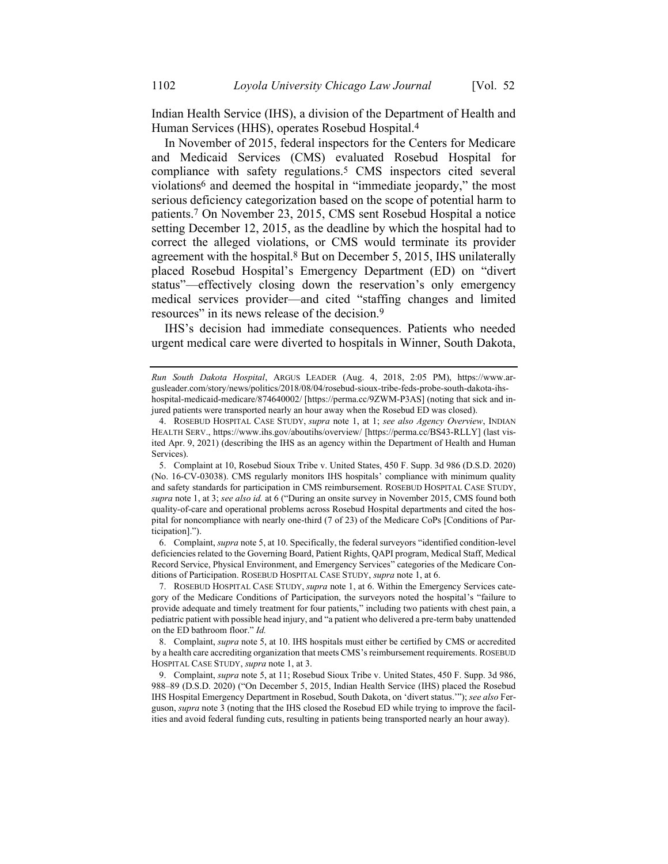<span id="page-4-1"></span>Indian Health Service (IHS), a division of the Department of Health and Human Services (HHS), operates Rosebud Hospital.4

<span id="page-4-0"></span>In November of 2015, federal inspectors for the Centers for Medicare and Medicaid Services (CMS) evaluated Rosebud Hospital for compliance with safety regulations.5 CMS inspectors cited several violations6 and deemed the hospital in "immediate jeopardy," the most serious deficiency categorization based on the scope of potential harm to patients.7 On November 23, 2015, CMS sent Rosebud Hospital a notice setting December 12, 2015, as the deadline by which the hospital had to correct the alleged violations, or CMS would terminate its provider agreement with the hospital.8 But on December 5, 2015, IHS unilaterally placed Rosebud Hospital's Emergency Department (ED) on "divert status"—effectively closing down the reservation's only emergency medical services provider—and cited "staffing changes and limited resources" in its news release of the decision.9

IHS's decision had immediate consequences. Patients who needed urgent medical care were diverted to hospitals in Winner, South Dakota,

6. Complaint, *supra* not[e 5,](#page-4-0) at 10. Specifically, the federal surveyors "identified condition-level deficiencies related to the Governing Board, Patient Rights, QAPI program, Medical Staff, Medical Record Service, Physical Environment, and Emergency Services" categories of the Medicare Conditions of Participation. ROSEBUD HOSPITAL CASE STUDY, *supra* not[e 1,](#page-3-0) at 6.

7. ROSEBUD HOSPITAL CASE STUDY, *supra* not[e 1,](#page-3-0) at 6. Within the Emergency Services category of the Medicare Conditions of Participation, the surveyors noted the hospital's "failure to provide adequate and timely treatment for four patients," including two patients with chest pain, a pediatric patient with possible head injury, and "a patient who delivered a pre-term baby unattended on the ED bathroom floor." *Id.*

8. Complaint, *supra* not[e 5,](#page-4-0) at 10. IHS hospitals must either be certified by CMS or accredited by a health care accrediting organization that meets CMS's reimbursement requirements. ROSEBUD HOSPITAL CASE STUDY, *supra* note [1,](#page-3-0) at 3.

9. Complaint, *supra* note [5,](#page-4-0) at 11; Rosebud Sioux Tribe v. United States, 450 F. Supp. 3d 986, 988–89 (D.S.D. 2020) ("On December 5, 2015, Indian Health Service (IHS) placed the Rosebud IHS Hospital Emergency Department in Rosebud, South Dakota, on 'divert status.'"); *see also* Ferguson, *supra* note [3](#page-3-1) (noting that the IHS closed the Rosebud ED while trying to improve the facilities and avoid federal funding cuts, resulting in patients being transported nearly an hour away).

*Run South Dakota Hospital*, ARGUS LEADER (Aug. 4, 2018, 2:05 PM), https://www.argusleader.com/story/news/politics/2018/08/04/rosebud-sioux-tribe-feds-probe-south-dakota-ihshospital-medicaid-medicare/874640002/ [https://perma.cc/9ZWM-P3AS] (noting that sick and injured patients were transported nearly an hour away when the Rosebud ED was closed).

<sup>4.</sup> ROSEBUD HOSPITAL CASE STUDY, *supra* note [1,](#page-3-0) at 1; *see also Agency Overview*, INDIAN HEALTH SERV., https://www.ihs.gov/aboutihs/overview/ [https://perma.cc/BS43-RLLY] (last visited Apr. 9, 2021) (describing the IHS as an agency within the Department of Health and Human Services).

<sup>5.</sup> Complaint at 10, Rosebud Sioux Tribe v. United States, 450 F. Supp. 3d 986 (D.S.D. 2020) (No. 16-CV-03038). CMS regularly monitors IHS hospitals' compliance with minimum quality and safety standards for participation in CMS reimbursement. ROSEBUD HOSPITAL CASE STUDY, *supra* not[e 1,](#page-3-0) at 3; *see also id.* at 6 ("During an onsite survey in November 2015, CMS found both quality-of-care and operational problems across Rosebud Hospital departments and cited the hospital for noncompliance with nearly one-third (7 of 23) of the Medicare CoPs [Conditions of Participation].").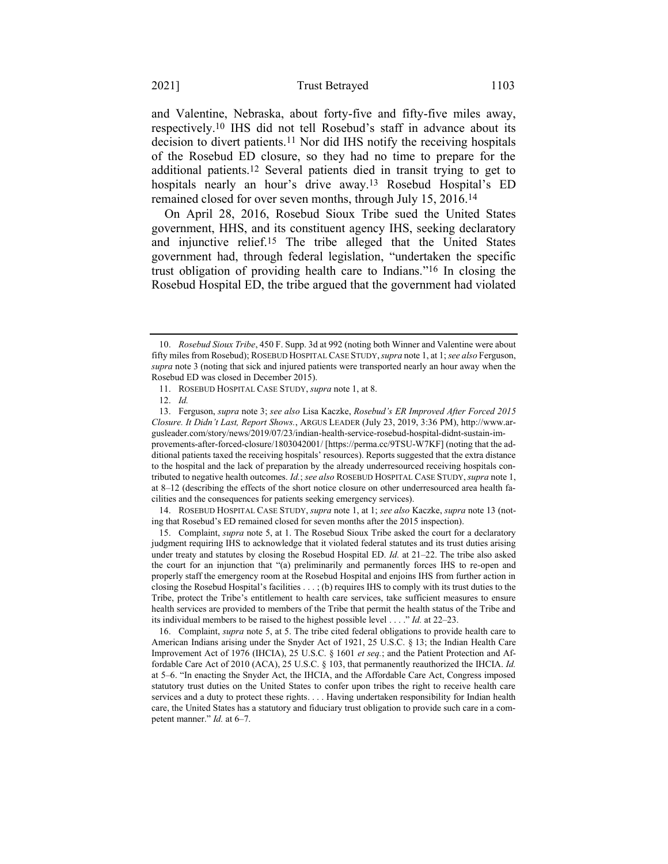and Valentine, Nebraska, about forty-five and fifty-five miles away, respectively.10 IHS did not tell Rosebud's staff in advance about its decision to divert patients.11 Nor did IHS notify the receiving hospitals of the Rosebud ED closure, so they had no time to prepare for the additional patients.12 Several patients died in transit trying to get to hospitals nearly an hour's drive away.13 Rosebud Hospital's ED remained closed for over seven months, through July 15, 2016.14

<span id="page-5-0"></span>On April 28, 2016, Rosebud Sioux Tribe sued the United States government, HHS, and its constituent agency IHS, seeking declaratory and injunctive relief.15 The tribe alleged that the United States government had, through federal legislation, "undertaken the specific trust obligation of providing health care to Indians."16 In closing the Rosebud Hospital ED, the tribe argued that the government had violated

14. ROSEBUD HOSPITAL CASE STUDY, *supra* note [1,](#page-3-0) at 1; *see also* Kaczke, *supra* note [13](#page-5-0) (noting that Rosebud's ED remained closed for seven months after the 2015 inspection).

15. Complaint, *supra* note [5,](#page-4-0) at 1. The Rosebud Sioux Tribe asked the court for a declaratory judgment requiring IHS to acknowledge that it violated federal statutes and its trust duties arising under treaty and statutes by closing the Rosebud Hospital ED. *Id.* at 21–22. The tribe also asked the court for an injunction that "(a) preliminarily and permanently forces IHS to re-open and properly staff the emergency room at the Rosebud Hospital and enjoins IHS from further action in closing the Rosebud Hospital's facilities . . . ; (b) requires IHS to comply with its trust duties to the Tribe, protect the Tribe's entitlement to health care services, take sufficient measures to ensure health services are provided to members of the Tribe that permit the health status of the Tribe and its individual members to be raised to the highest possible level . . . ." *Id.* at 22–23.

<sup>10.</sup> *Rosebud Sioux Tribe*, 450 F. Supp. 3d at 992 (noting both Winner and Valentine were about fifty miles from Rosebud); ROSEBUD HOSPITAL CASE STUDY,*supra* not[e 1,](#page-3-0) at 1; *see also* Ferguson, *supra* not[e 3](#page-3-1) (noting that sick and injured patients were transported nearly an hour away when the Rosebud ED was closed in December 2015).

<sup>11.</sup> ROSEBUD HOSPITAL CASE STUDY, *supra* not[e 1,](#page-3-0) at 8.

<sup>12.</sup> *Id.*

<sup>13.</sup> Ferguson, *supra* not[e 3;](#page-3-1) *see also* Lisa Kaczke, *Rosebud's ER Improved After Forced 2015 Closure. It Didn't Last, Report Shows.*, ARGUS LEADER (July 23, 2019, 3:36 PM), http://www.argusleader.com/story/news/2019/07/23/indian-health-service-rosebud-hospital-didnt-sustain-improvements-after-forced-closure/1803042001/ [https://perma.cc/9TSU-W7KF] (noting that the additional patients taxed the receiving hospitals' resources). Reports suggested that the extra distance to the hospital and the lack of preparation by the already underresourced receiving hospitals contributed to negative health outcomes. *Id.*; *see also* ROSEBUD HOSPITAL CASE STUDY, *supra* not[e 1,](#page-3-0)  at 8–12 (describing the effects of the short notice closure on other underresourced area health facilities and the consequences for patients seeking emergency services).

<sup>16.</sup> Complaint, *supra* note [5,](#page-4-0) at 5. The tribe cited federal obligations to provide health care to American Indians arising under the Snyder Act of 1921, 25 U.S.C. § 13; the Indian Health Care Improvement Act of 1976 (IHCIA), 25 U.S.C. § 1601 *et seq.*; and the Patient Protection and Affordable Care Act of 2010 (ACA), 25 U.S.C. § 103, that permanently reauthorized the IHCIA. *Id.* at 5–6. "In enacting the Snyder Act, the IHCIA, and the Affordable Care Act, Congress imposed statutory trust duties on the United States to confer upon tribes the right to receive health care services and a duty to protect these rights. . . . Having undertaken responsibility for Indian health care, the United States has a statutory and fiduciary trust obligation to provide such care in a competent manner." *Id.* at 6–7.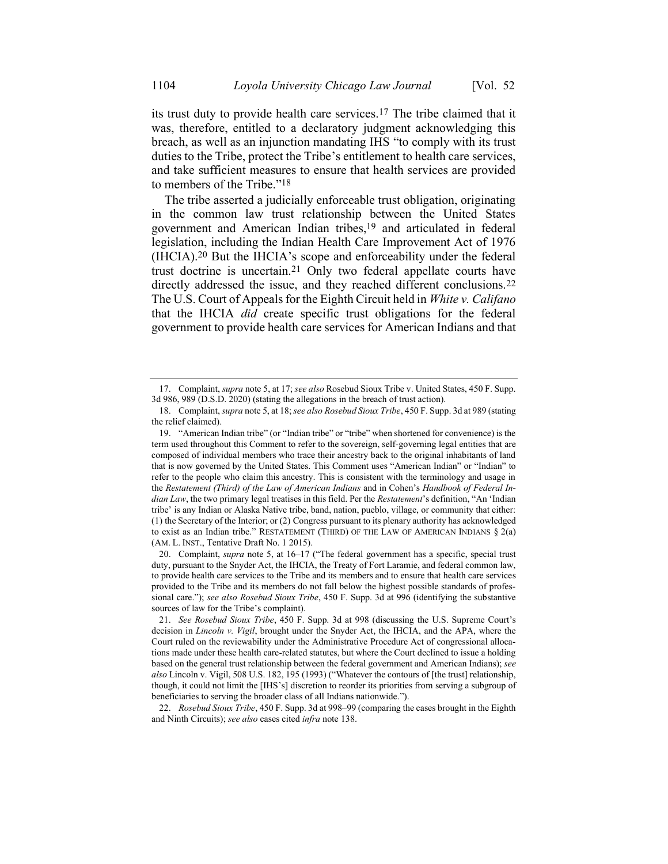its trust duty to provide health care services.17 The tribe claimed that it was, therefore, entitled to a declaratory judgment acknowledging this breach, as well as an injunction mandating IHS "to comply with its trust duties to the Tribe, protect the Tribe's entitlement to health care services, and take sufficient measures to ensure that health services are provided to members of the Tribe."18

<span id="page-6-0"></span>The tribe asserted a judicially enforceable trust obligation, originating in the common law trust relationship between the United States government and American Indian tribes,19 and articulated in federal legislation, including the Indian Health Care Improvement Act of 1976 (IHCIA).20 But the IHCIA's scope and enforceability under the federal trust doctrine is uncertain.21 Only two federal appellate courts have directly addressed the issue, and they reached different conclusions.<sup>22</sup> The U.S. Court of Appeals for the Eighth Circuit held in *White v. Califano* that the IHCIA *did* create specific trust obligations for the federal government to provide health care services for American Indians and that

22. *Rosebud Sioux Tribe*, 450 F. Supp. 3d at 998–99 (comparing the cases brought in the Eighth and Ninth Circuits); *see also* cases cited *infra* not[e 138.](#page-31-0)

<sup>17.</sup> Complaint, *supra* not[e 5,](#page-4-0) at 17; *see also* Rosebud Sioux Tribe v. United States, 450 F. Supp. 3d 986, 989 (D.S.D. 2020) (stating the allegations in the breach of trust action).

<sup>18.</sup> Complaint, *supra* not[e 5,](#page-4-0) at 18; *see also Rosebud Sioux Tribe*, 450 F. Supp. 3d at 989 (stating the relief claimed).

<sup>19.</sup> "American Indian tribe" (or "Indian tribe" or "tribe" when shortened for convenience) is the term used throughout this Comment to refer to the sovereign, self-governing legal entities that are composed of individual members who trace their ancestry back to the original inhabitants of land that is now governed by the United States. This Comment uses "American Indian" or "Indian" to refer to the people who claim this ancestry. This is consistent with the terminology and usage in the *Restatement (Third) of the Law of American Indians* and in Cohen's *Handbook of Federal Indian Law*, the two primary legal treatises in this field. Per the *Restatement*'s definition, "An 'Indian tribe' is any Indian or Alaska Native tribe, band, nation, pueblo, village, or community that either: (1) the Secretary of the Interior; or (2) Congress pursuant to its plenary authority has acknowledged to exist as an Indian tribe." RESTATEMENT (THIRD) OF THE LAW OF AMERICAN INDIANS § 2(a) (AM. L. INST., Tentative Draft No. 1 2015).

<sup>20.</sup> Complaint, *supra* note [5,](#page-4-0) at 16–17 ("The federal government has a specific, special trust duty, pursuant to the Snyder Act, the IHCIA, the Treaty of Fort Laramie, and federal common law, to provide health care services to the Tribe and its members and to ensure that health care services provided to the Tribe and its members do not fall below the highest possible standards of professional care."); *see also Rosebud Sioux Tribe*, 450 F. Supp. 3d at 996 (identifying the substantive sources of law for the Tribe's complaint).

<sup>21.</sup> *See Rosebud Sioux Tribe*, 450 F. Supp. 3d at 998 (discussing the U.S. Supreme Court's decision in *Lincoln v. Vigil*, brought under the Snyder Act, the IHCIA, and the APA, where the Court ruled on the reviewability under the Administrative Procedure Act of congressional allocations made under these health care-related statutes, but where the Court declined to issue a holding based on the general trust relationship between the federal government and American Indians); *see also* Lincoln v. Vigil, 508 U.S. 182, 195 (1993) ("Whatever the contours of [the trust] relationship, though, it could not limit the [IHS's] discretion to reorder its priorities from serving a subgroup of beneficiaries to serving the broader class of all Indians nationwide.").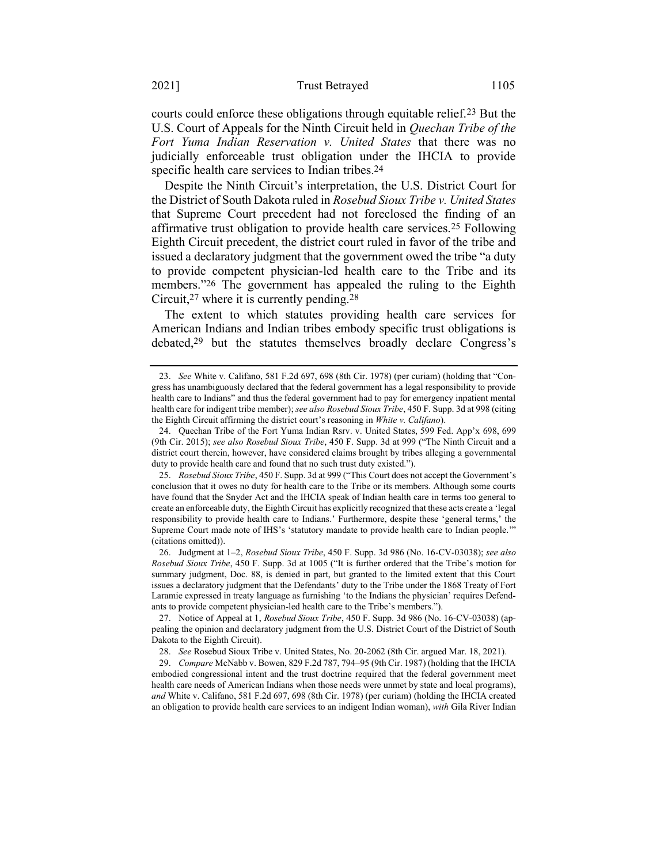courts could enforce these obligations through equitable relief.23 But the U.S. Court of Appeals for the Ninth Circuit held in *Quechan Tribe of the Fort Yuma Indian Reservation v. United States* that there was no judicially enforceable trust obligation under the IHCIA to provide specific health care services to Indian tribes.<sup>24</sup>

Despite the Ninth Circuit's interpretation, the U.S. District Court for the District of South Dakota ruled in *Rosebud Sioux Tribe v. United States* that Supreme Court precedent had not foreclosed the finding of an affirmative trust obligation to provide health care services.25 Following Eighth Circuit precedent, the district court ruled in favor of the tribe and issued a declaratory judgment that the government owed the tribe "a duty to provide competent physician-led health care to the Tribe and its members."26 The government has appealed the ruling to the Eighth Circuit,27 where it is currently pending.28

The extent to which statutes providing health care services for American Indians and Indian tribes embody specific trust obligations is debated,29 but the statutes themselves broadly declare Congress's

<sup>23.</sup> *See* White v. Califano, 581 F.2d 697, 698 (8th Cir. 1978) (per curiam) (holding that "Congress has unambiguously declared that the federal government has a legal responsibility to provide health care to Indians" and thus the federal government had to pay for emergency inpatient mental health care for indigent tribe member); *see also Rosebud Sioux Tribe*, 450 F. Supp. 3d at 998 (citing the Eighth Circuit affirming the district court's reasoning in *White v. Califano*).

<sup>24.</sup> Quechan Tribe of the Fort Yuma Indian Rsrv. v. United States, 599 Fed. App'x 698, 699 (9th Cir. 2015); *see also Rosebud Sioux Tribe*, 450 F. Supp. 3d at 999 ("The Ninth Circuit and a district court therein, however, have considered claims brought by tribes alleging a governmental duty to provide health care and found that no such trust duty existed.").

<sup>25.</sup> *Rosebud Sioux Tribe*, 450 F. Supp. 3d at 999 ("This Court does not accept the Government's conclusion that it owes no duty for health care to the Tribe or its members. Although some courts have found that the Snyder Act and the IHCIA speak of Indian health care in terms too general to create an enforceable duty, the Eighth Circuit has explicitly recognized that these acts create a 'legal responsibility to provide health care to Indians.' Furthermore, despite these 'general terms,' the Supreme Court made note of IHS's 'statutory mandate to provide health care to Indian people.'" (citations omitted)).

<sup>26.</sup> Judgment at 1–2, *Rosebud Sioux Tribe*, 450 F. Supp. 3d 986 (No. 16-CV-03038); *see also Rosebud Sioux Tribe*, 450 F. Supp. 3d at 1005 ("It is further ordered that the Tribe's motion for summary judgment, Doc. 88, is denied in part, but granted to the limited extent that this Court issues a declaratory judgment that the Defendants' duty to the Tribe under the 1868 Treaty of Fort Laramie expressed in treaty language as furnishing 'to the Indians the physician' requires Defendants to provide competent physician-led health care to the Tribe's members.").

<sup>27.</sup> Notice of Appeal at 1, *Rosebud Sioux Tribe*, 450 F. Supp. 3d 986 (No. 16-CV-03038) (appealing the opinion and declaratory judgment from the U.S. District Court of the District of South Dakota to the Eighth Circuit).

<sup>28.</sup> *See* Rosebud Sioux Tribe v. United States, No. 20-2062 (8th Cir. argued Mar. 18, 2021).

<sup>29.</sup> *Compare* McNabb v. Bowen, 829 F.2d 787, 794–95 (9th Cir. 1987) (holding that the IHCIA embodied congressional intent and the trust doctrine required that the federal government meet health care needs of American Indians when those needs were unmet by state and local programs), *and* White v. Califano, 581 F.2d 697, 698 (8th Cir. 1978) (per curiam) (holding the IHCIA created an obligation to provide health care services to an indigent Indian woman), *with* Gila River Indian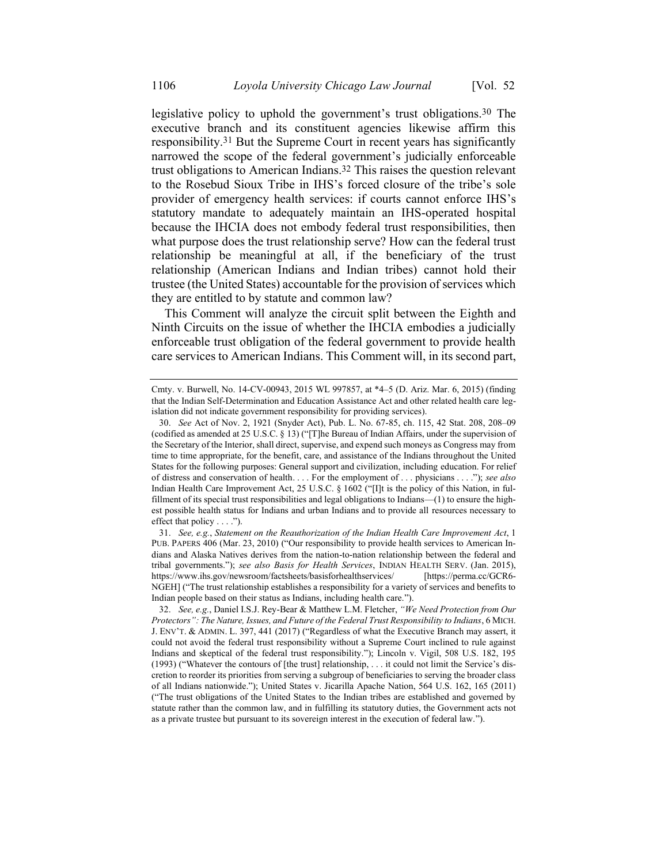<span id="page-8-1"></span><span id="page-8-0"></span>legislative policy to uphold the government's trust obligations.30 The executive branch and its constituent agencies likewise affirm this responsibility.31 But the Supreme Court in recent years has significantly narrowed the scope of the federal government's judicially enforceable trust obligations to American Indians. 32 This raises the question relevant to the Rosebud Sioux Tribe in IHS's forced closure of the tribe's sole provider of emergency health services: if courts cannot enforce IHS's statutory mandate to adequately maintain an IHS-operated hospital because the IHCIA does not embody federal trust responsibilities, then what purpose does the trust relationship serve? How can the federal trust relationship be meaningful at all, if the beneficiary of the trust relationship (American Indians and Indian tribes) cannot hold their trustee (the United States) accountable for the provision of services which they are entitled to by statute and common law?

This Comment will analyze the circuit split between the Eighth and Ninth Circuits on the issue of whether the IHCIA embodies a judicially enforceable trust obligation of the federal government to provide health care services to American Indians. This Comment will, in its second part,

31. *See, e.g.*, *Statement on the Reauthorization of the Indian Health Care Improvement Act*, 1 PUB. PAPERS 406 (Mar. 23, 2010) ("Our responsibility to provide health services to American Indians and Alaska Natives derives from the nation-to-nation relationship between the federal and tribal governments."); *see also Basis for Health Services*, INDIAN HEALTH SERV. (Jan. 2015), https://www.ihs.gov/newsroom/factsheets/basisforhealthservices/ [https://perma.cc/GCR6- NGEH] ("The trust relationship establishes a responsibility for a variety of services and benefits to Indian people based on their status as Indians, including health care.").

32. *See, e.g.*, Daniel I.S.J. Rey-Bear & Matthew L.M. Fletcher, *"We Need Protection from Our Protectors": The Nature, Issues, and Future of the Federal Trust Responsibility to Indians*, 6 MICH. J. ENV'T. & ADMIN. L. 397, 441 (2017) ("Regardless of what the Executive Branch may assert, it could not avoid the federal trust responsibility without a Supreme Court inclined to rule against Indians and skeptical of the federal trust responsibility."); Lincoln v. Vigil, 508 U.S. 182, 195 (1993) ("Whatever the contours of [the trust] relationship, . . . it could not limit the Service's discretion to reorder its priorities from serving a subgroup of beneficiaries to serving the broader class of all Indians nationwide."); United States v. Jicarilla Apache Nation, 564 U.S. 162, 165 (2011) ("The trust obligations of the United States to the Indian tribes are established and governed by statute rather than the common law, and in fulfilling its statutory duties, the Government acts not as a private trustee but pursuant to its sovereign interest in the execution of federal law.").

Cmty. v. Burwell, No. 14-CV-00943, 2015 WL 997857, at \*4–5 (D. Ariz. Mar. 6, 2015) (finding that the Indian Self-Determination and Education Assistance Act and other related health care legislation did not indicate government responsibility for providing services).

<sup>30.</sup> *See* Act of Nov. 2, 1921 (Snyder Act), Pub. L. No. 67-85, ch. 115, 42 Stat. 208, 208–09 (codified as amended at 25 U.S.C. § 13) ("[T]he Bureau of Indian Affairs, under the supervision of the Secretary of the Interior, shall direct, supervise, and expend such moneys as Congress may from time to time appropriate, for the benefit, care, and assistance of the Indians throughout the United States for the following purposes: General support and civilization, including education. For relief of distress and conservation of health. . . . For the employment of . . . physicians . . . ."); *see also*  Indian Health Care Improvement Act, 25 U.S.C. § 1602 ("[I]t is the policy of this Nation, in fulfillment of its special trust responsibilities and legal obligations to Indians—(1) to ensure the highest possible health status for Indians and urban Indians and to provide all resources necessary to effect that policy . . . .").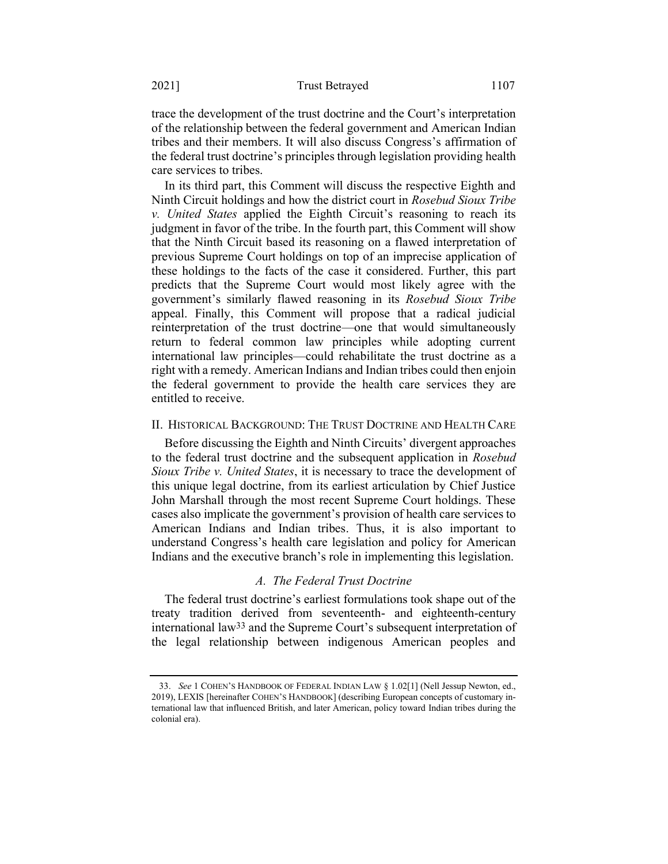trace the development of the trust doctrine and the Court's interpretation of the relationship between the federal government and American Indian tribes and their members. It will also discuss Congress's affirmation of the federal trust doctrine's principles through legislation providing health care services to tribes.

In its third part, this Comment will discuss the respective Eighth and Ninth Circuit holdings and how the district court in *Rosebud Sioux Tribe v. United States* applied the Eighth Circuit's reasoning to reach its judgment in favor of the tribe. In the fourth part, this Comment will show that the Ninth Circuit based its reasoning on a flawed interpretation of previous Supreme Court holdings on top of an imprecise application of these holdings to the facts of the case it considered. Further, this part predicts that the Supreme Court would most likely agree with the government's similarly flawed reasoning in its *Rosebud Sioux Tribe*  appeal. Finally, this Comment will propose that a radical judicial reinterpretation of the trust doctrine—one that would simultaneously return to federal common law principles while adopting current international law principles—could rehabilitate the trust doctrine as a right with a remedy. American Indians and Indian tribes could then enjoin the federal government to provide the health care services they are entitled to receive.

#### II. HISTORICAL BACKGROUND: THE TRUST DOCTRINE AND HEALTH CARE

Before discussing the Eighth and Ninth Circuits' divergent approaches to the federal trust doctrine and the subsequent application in *Rosebud Sioux Tribe v. United States*, it is necessary to trace the development of this unique legal doctrine, from its earliest articulation by Chief Justice John Marshall through the most recent Supreme Court holdings. These cases also implicate the government's provision of health care services to American Indians and Indian tribes. Thus, it is also important to understand Congress's health care legislation and policy for American Indians and the executive branch's role in implementing this legislation.

#### <span id="page-9-0"></span>*A. The Federal Trust Doctrine*

The federal trust doctrine's earliest formulations took shape out of the treaty tradition derived from seventeenth- and eighteenth-century international law33 and the Supreme Court's subsequent interpretation of the legal relationship between indigenous American peoples and

<sup>33.</sup> *See* 1 COHEN'S HANDBOOK OF FEDERAL INDIAN LAW § 1.02[1] (Nell Jessup Newton, ed., 2019), LEXIS [hereinafter COHEN'S HANDBOOK] (describing European concepts of customary international law that influenced British, and later American, policy toward Indian tribes during the colonial era).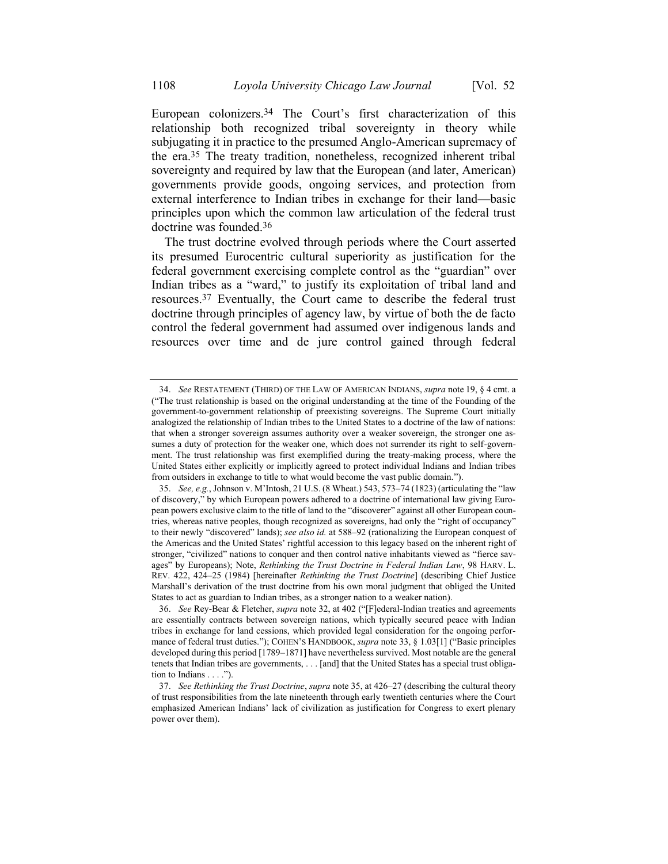<span id="page-10-0"></span>European colonizers.34 The Court's first characterization of this relationship both recognized tribal sovereignty in theory while subjugating it in practice to the presumed Anglo-American supremacy of the era.35 The treaty tradition, nonetheless, recognized inherent tribal sovereignty and required by law that the European (and later, American) governments provide goods, ongoing services, and protection from external interference to Indian tribes in exchange for their land—basic principles upon which the common law articulation of the federal trust doctrine was founded.36

The trust doctrine evolved through periods where the Court asserted its presumed Eurocentric cultural superiority as justification for the federal government exercising complete control as the "guardian" over Indian tribes as a "ward," to justify its exploitation of tribal land and resources.37 Eventually, the Court came to describe the federal trust doctrine through principles of agency law, by virtue of both the de facto control the federal government had assumed over indigenous lands and resources over time and de jure control gained through federal

<sup>34.</sup> *See* RESTATEMENT (THIRD) OF THE LAW OF AMERICAN INDIANS, *supra* note [19,](#page-6-0) § 4 cmt. a ("The trust relationship is based on the original understanding at the time of the Founding of the government-to-government relationship of preexisting sovereigns. The Supreme Court initially analogized the relationship of Indian tribes to the United States to a doctrine of the law of nations: that when a stronger sovereign assumes authority over a weaker sovereign, the stronger one assumes a duty of protection for the weaker one, which does not surrender its right to self-government. The trust relationship was first exemplified during the treaty-making process, where the United States either explicitly or implicitly agreed to protect individual Indians and Indian tribes from outsiders in exchange to title to what would become the vast public domain.").

<sup>35.</sup> *See, e.g.*, Johnson v. M'Intosh, 21 U.S. (8 Wheat.) 543, 573–74 (1823) (articulating the "law of discovery," by which European powers adhered to a doctrine of international law giving European powers exclusive claim to the title of land to the "discoverer" against all other European countries, whereas native peoples, though recognized as sovereigns, had only the "right of occupancy" to their newly "discovered" lands); *see also id.* at 588–92 (rationalizing the European conquest of the Americas and the United States' rightful accession to this legacy based on the inherent right of stronger, "civilized" nations to conquer and then control native inhabitants viewed as "fierce savages" by Europeans); Note, *Rethinking the Trust Doctrine in Federal Indian Law*, 98 HARV. L. REV. 422, 424–25 (1984) [hereinafter *Rethinking the Trust Doctrine*] (describing Chief Justice Marshall's derivation of the trust doctrine from his own moral judgment that obliged the United States to act as guardian to Indian tribes, as a stronger nation to a weaker nation).

<sup>36.</sup> *See* Rey-Bear & Fletcher, *supra* not[e 32,](#page-8-0) at 402 ("[F]ederal-Indian treaties and agreements are essentially contracts between sovereign nations, which typically secured peace with Indian tribes in exchange for land cessions, which provided legal consideration for the ongoing performance of federal trust duties."); COHEN'S HANDBOOK, *supra* note [33,](#page-9-0) § 1.03[1] ("Basic principles developed during this period [1789–1871] have nevertheless survived. Most notable are the general tenets that Indian tribes are governments, . . . [and] that the United States has a special trust obligation to Indians . . . .").

<sup>37.</sup> *See Rethinking the Trust Doctrine*, *supra* not[e 35,](#page-10-0) at 426–27 (describing the cultural theory of trust responsibilities from the late nineteenth through early twentieth centuries where the Court emphasized American Indians' lack of civilization as justification for Congress to exert plenary power over them).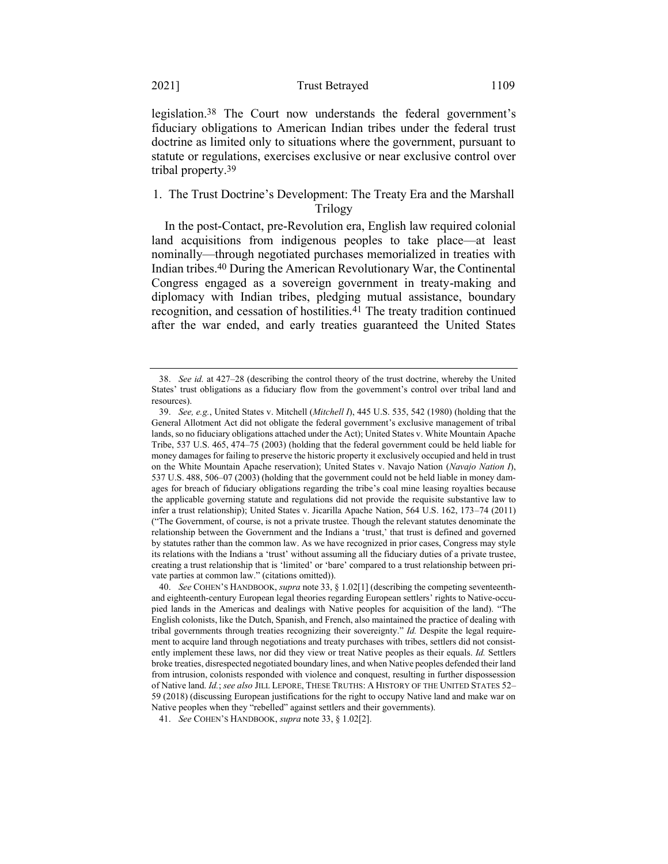legislation.38 The Court now understands the federal government's fiduciary obligations to American Indian tribes under the federal trust doctrine as limited only to situations where the government, pursuant to statute or regulations, exercises exclusive or near exclusive control over tribal property.39

# 1. The Trust Doctrine's Development: The Treaty Era and the Marshall Trilogy

<span id="page-11-0"></span>In the post-Contact, pre-Revolution era, English law required colonial land acquisitions from indigenous peoples to take place—at least nominally—through negotiated purchases memorialized in treaties with Indian tribes.40 During the American Revolutionary War, the Continental Congress engaged as a sovereign government in treaty-making and diplomacy with Indian tribes, pledging mutual assistance, boundary recognition, and cessation of hostilities.<sup>41</sup> The treaty tradition continued after the war ended, and early treaties guaranteed the United States

<sup>38.</sup> *See id.* at 427–28 (describing the control theory of the trust doctrine, whereby the United States' trust obligations as a fiduciary flow from the government's control over tribal land and resources).

<sup>39.</sup> *See, e.g.*, United States v. Mitchell (*Mitchell I*), 445 U.S. 535, 542 (1980) (holding that the General Allotment Act did not obligate the federal government's exclusive management of tribal lands, so no fiduciary obligations attached under the Act); United States v. White Mountain Apache Tribe, 537 U.S. 465, 474–75 (2003) (holding that the federal government could be held liable for money damages for failing to preserve the historic property it exclusively occupied and held in trust on the White Mountain Apache reservation); United States v. Navajo Nation (*Navajo Nation I*), 537 U.S. 488, 506–07 (2003) (holding that the government could not be held liable in money damages for breach of fiduciary obligations regarding the tribe's coal mine leasing royalties because the applicable governing statute and regulations did not provide the requisite substantive law to infer a trust relationship); United States v. Jicarilla Apache Nation, 564 U.S. 162, 173–74 (2011) ("The Government, of course, is not a private trustee. Though the relevant statutes denominate the relationship between the Government and the Indians a 'trust,' that trust is defined and governed by statutes rather than the common law. As we have recognized in prior cases, Congress may style its relations with the Indians a 'trust' without assuming all the fiduciary duties of a private trustee, creating a trust relationship that is 'limited' or 'bare' compared to a trust relationship between private parties at common law." (citations omitted)).

<sup>40.</sup> *See* COHEN'S HANDBOOK, *supra* not[e 33,](#page-9-0) § 1.02[1] (describing the competing seventeenthand eighteenth-century European legal theories regarding European settlers' rights to Native-occupied lands in the Americas and dealings with Native peoples for acquisition of the land). "The English colonists, like the Dutch, Spanish, and French, also maintained the practice of dealing with tribal governments through treaties recognizing their sovereignty." *Id.* Despite the legal requirement to acquire land through negotiations and treaty purchases with tribes, settlers did not consistently implement these laws, nor did they view or treat Native peoples as their equals. *Id.* Settlers broke treaties, disrespected negotiated boundary lines, and when Native peoples defended their land from intrusion, colonists responded with violence and conquest, resulting in further dispossession of Native land. *Id.*; *see also* JILL LEPORE, THESE TRUTHS: A HISTORY OF THE UNITED STATES 52– 59 (2018) (discussing European justifications for the right to occupy Native land and make war on Native peoples when they "rebelled" against settlers and their governments).

<sup>41.</sup> *See* COHEN'S HANDBOOK, *supra* note [33,](#page-9-0) § 1.02[2].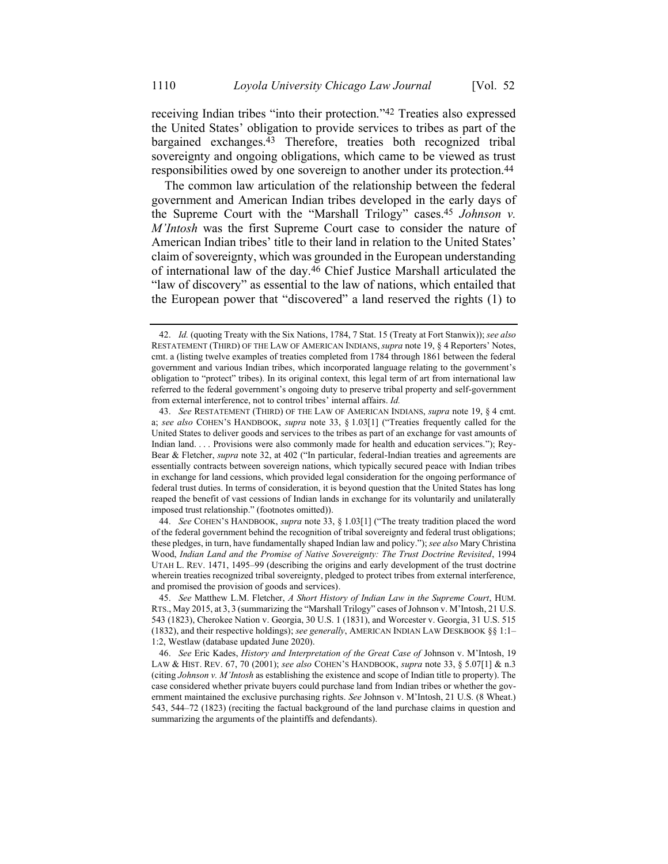<span id="page-12-1"></span>receiving Indian tribes "into their protection."42 Treaties also expressed the United States' obligation to provide services to tribes as part of the bargained exchanges.43 Therefore, treaties both recognized tribal sovereignty and ongoing obligations, which came to be viewed as trust responsibilities owed by one sovereign to another under its protection.44

<span id="page-12-2"></span>The common law articulation of the relationship between the federal government and American Indian tribes developed in the early days of the Supreme Court with the "Marshall Trilogy" cases.45 *Johnson v. M'Intosh* was the first Supreme Court case to consider the nature of American Indian tribes' title to their land in relation to the United States' claim of sovereignty, which was grounded in the European understanding of international law of the day.46 Chief Justice Marshall articulated the "law of discovery" as essential to the law of nations, which entailed that the European power that "discovered" a land reserved the rights (1) to

44. *See* COHEN'S HANDBOOK, *supra* note [33,](#page-9-0) § 1.03[1] ("The treaty tradition placed the word of the federal government behind the recognition of tribal sovereignty and federal trust obligations; these pledges, in turn, have fundamentally shaped Indian law and policy."); *see also* Mary Christina Wood, *Indian Land and the Promise of Native Sovereignty: The Trust Doctrine Revisited*, 1994 UTAH L. REV. 1471, 1495–99 (describing the origins and early development of the trust doctrine wherein treaties recognized tribal sovereignty, pledged to protect tribes from external interference, and promised the provision of goods and services).

<span id="page-12-0"></span><sup>42.</sup> *Id.* (quoting Treaty with the Six Nations, 1784, 7 Stat. 15 (Treaty at Fort Stanwix)); *see also* RESTATEMENT (THIRD) OF THE LAW OF AMERICAN INDIANS, *supra* note [19,](#page-6-0) § 4 Reporters' Notes, cmt. a (listing twelve examples of treaties completed from 1784 through 1861 between the federal government and various Indian tribes, which incorporated language relating to the government's obligation to "protect" tribes). In its original context, this legal term of art from international law referred to the federal government's ongoing duty to preserve tribal property and self-government from external interference, not to control tribes' internal affairs. *Id.* 

<sup>43.</sup> *See* RESTATEMENT (THIRD) OF THE LAW OF AMERICAN INDIANS, *supra* note [19,](#page-6-0) § 4 cmt. a; *see also* COHEN'S HANDBOOK, *supra* note [33,](#page-9-0) § 1.03[1] ("Treaties frequently called for the United States to deliver goods and services to the tribes as part of an exchange for vast amounts of Indian land. . . . Provisions were also commonly made for health and education services."); Rey-Bear & Fletcher, *supra* note [32,](#page-8-0) at 402 ("In particular, federal-Indian treaties and agreements are essentially contracts between sovereign nations, which typically secured peace with Indian tribes in exchange for land cessions, which provided legal consideration for the ongoing performance of federal trust duties. In terms of consideration, it is beyond question that the United States has long reaped the benefit of vast cessions of Indian lands in exchange for its voluntarily and unilaterally imposed trust relationship." (footnotes omitted)).

<sup>45.</sup> *See* Matthew L.M. Fletcher, *A Short History of Indian Law in the Supreme Court*, HUM. RTS., May 2015, at 3, 3 (summarizing the "Marshall Trilogy" cases of Johnson v. M'Intosh, 21 U.S. 543 (1823), Cherokee Nation v. Georgia, 30 U.S. 1 (1831), and Worcester v. Georgia, 31 U.S. 515 (1832), and their respective holdings); *see generally*, AMERICAN INDIAN LAW DESKBOOK §§ 1:1– 1:2, Westlaw (database updated June 2020).

<sup>46.</sup> *See* Eric Kades, *History and Interpretation of the Great Case of* Johnson v. M'Intosh, 19 LAW & HIST. REV. 67, 70 (2001); *see also* COHEN'S HANDBOOK, *supra* not[e 33,](#page-9-0) § 5.07[1] & n.3 (citing *Johnson v. M'Intosh* as establishing the existence and scope of Indian title to property). The case considered whether private buyers could purchase land from Indian tribes or whether the government maintained the exclusive purchasing rights. *See* Johnson v. M'Intosh, 21 U.S. (8 Wheat.) 543, 544–72 (1823) (reciting the factual background of the land purchase claims in question and summarizing the arguments of the plaintiffs and defendants).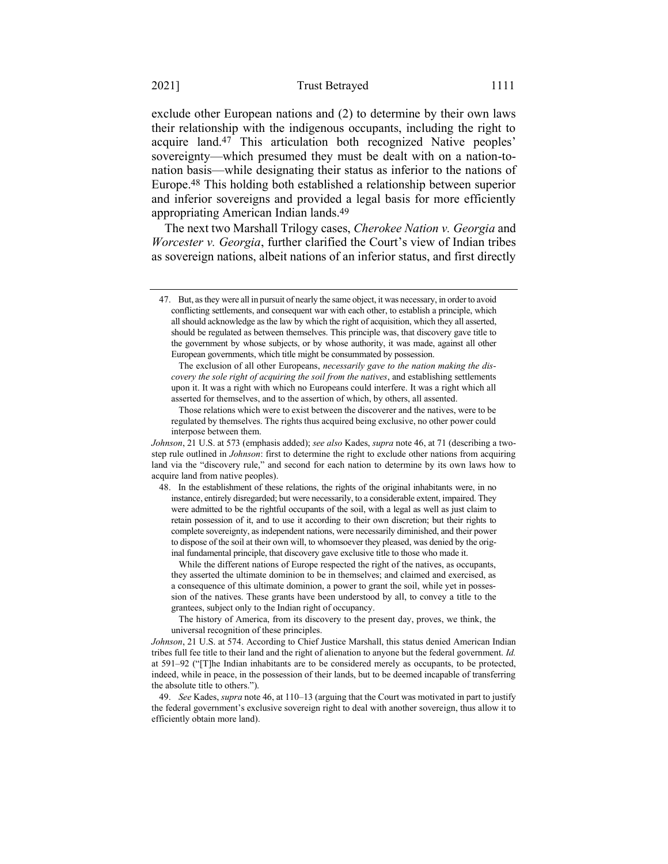exclude other European nations and (2) to determine by their own laws their relationship with the indigenous occupants, including the right to acquire land.47 This articulation both recognized Native peoples' sovereignty—which presumed they must be dealt with on a nation-tonation basis—while designating their status as inferior to the nations of Europe.48 This holding both established a relationship between superior and inferior sovereigns and provided a legal basis for more efficiently appropriating American Indian lands.49

The next two Marshall Trilogy cases, *Cherokee Nation v. Georgia* and *Worcester v. Georgia*, further clarified the Court's view of Indian tribes as sovereign nations, albeit nations of an inferior status, and first directly

Those relations which were to exist between the discoverer and the natives, were to be regulated by themselves. The rights thus acquired being exclusive, no other power could interpose between them.

*Johnson*, 21 U.S. at 573 (emphasis added); *see also* Kades, *supra* not[e 46,](#page-12-0) at 71 (describing a twostep rule outlined in *Johnson*: first to determine the right to exclude other nations from acquiring land via the "discovery rule," and second for each nation to determine by its own laws how to acquire land from native peoples).

48. In the establishment of these relations, the rights of the original inhabitants were, in no instance, entirely disregarded; but were necessarily, to a considerable extent, impaired. They were admitted to be the rightful occupants of the soil, with a legal as well as just claim to retain possession of it, and to use it according to their own discretion; but their rights to complete sovereignty, as independent nations, were necessarily diminished, and their power to dispose of the soil at their own will, to whomsoever they pleased, was denied by the original fundamental principle, that discovery gave exclusive title to those who made it.

While the different nations of Europe respected the right of the natives, as occupants, they asserted the ultimate dominion to be in themselves; and claimed and exercised, as a consequence of this ultimate dominion, a power to grant the soil, while yet in possession of the natives. These grants have been understood by all, to convey a title to the grantees, subject only to the Indian right of occupancy.

The history of America, from its discovery to the present day, proves, we think, the universal recognition of these principles.

*Johnson*, 21 U.S. at 574. According to Chief Justice Marshall, this status denied American Indian tribes full fee title to their land and the right of alienation to anyone but the federal government. *Id.* at 591–92 ("[T]he Indian inhabitants are to be considered merely as occupants, to be protected, indeed, while in peace, in the possession of their lands, but to be deemed incapable of transferring the absolute title to others.").

49. *See* Kades, *supra* not[e 46,](#page-12-0) at 110–13 (arguing that the Court was motivated in part to justify the federal government's exclusive sovereign right to deal with another sovereign, thus allow it to efficiently obtain more land).

<sup>47.</sup> But, as they were all in pursuit of nearly the same object, it was necessary, in order to avoid conflicting settlements, and consequent war with each other, to establish a principle, which all should acknowledge as the law by which the right of acquisition, which they all asserted, should be regulated as between themselves. This principle was, that discovery gave title to the government by whose subjects, or by whose authority, it was made, against all other European governments, which title might be consummated by possession.

The exclusion of all other Europeans, *necessarily gave to the nation making the discovery the sole right of acquiring the soil from the natives*, and establishing settlements upon it. It was a right with which no Europeans could interfere. It was a right which all asserted for themselves, and to the assertion of which, by others, all assented.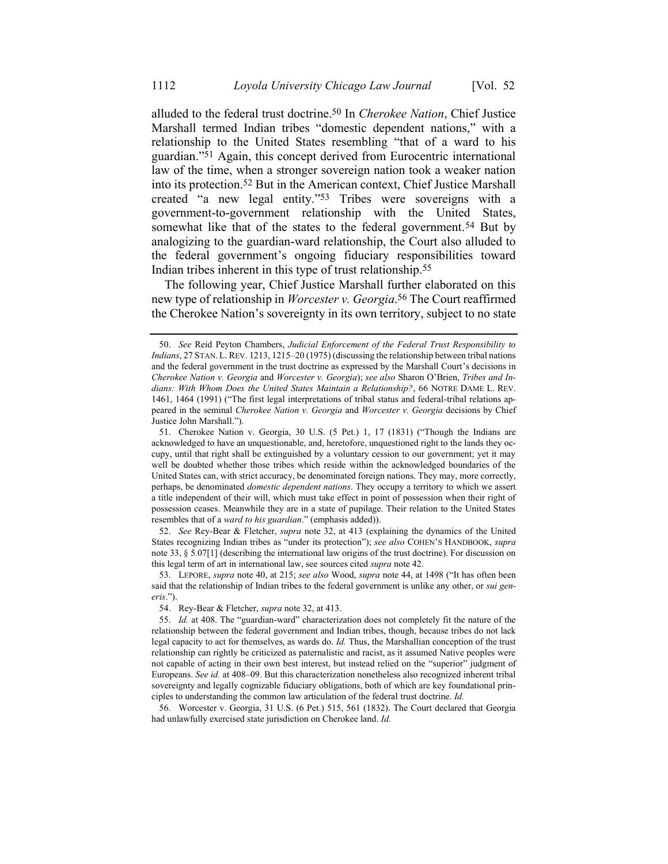<span id="page-14-0"></span>alluded to the federal trust doctrine.50 In *Cherokee Nation*, Chief Justice Marshall termed Indian tribes "domestic dependent nations," with a relationship to the United States resembling "that of a ward to his guardian."51 Again, this concept derived from Eurocentric international law of the time, when a stronger sovereign nation took a weaker nation into its protection.52 But in the American context, Chief Justice Marshall created "a new legal entity."53 Tribes were sovereigns with a government-to-government relationship with the United States, somewhat like that of the states to the federal government.<sup>54</sup> But by analogizing to the guardian-ward relationship, the Court also alluded to the federal government's ongoing fiduciary responsibilities toward Indian tribes inherent in this type of trust relationship.55

The following year, Chief Justice Marshall further elaborated on this new type of relationship in *Worcester v. Georgia*. 56 The Court reaffirmed the Cherokee Nation's sovereignty in its own territory, subject to no state

52. *See* Rey-Bear & Fletcher, *supra* note [32,](#page-8-0) at 413 (explaining the dynamics of the United States recognizing Indian tribes as "under its protection"); *see also* COHEN'S HANDBOOK, *supra*  not[e 33,](#page-9-0) § 5.07[1] (describing the international law origins of the trust doctrine). For discussion on this legal term of art in international law, see sources cited *supra* note [42.](#page-12-1)

53. LEPORE, *supra* not[e 40,](#page-11-0) at 215; *see also* Wood, *supra* note [44,](#page-12-2) at 1498 ("It has often been said that the relationship of Indian tribes to the federal government is unlike any other, or *sui generis*.").

54. Rey-Bear & Fletcher, *supra* not[e 32,](#page-8-0) at 413.

56. Worcester v. Georgia, 31 U.S. (6 Pet.) 515, 561 (1832). The Court declared that Georgia had unlawfully exercised state jurisdiction on Cherokee land. *Id.*

<sup>50.</sup> *See* Reid Peyton Chambers, *Judicial Enforcement of the Federal Trust Responsibility to Indians*, 27 STAN. L. REV. 1213, 1215–20 (1975) (discussing the relationship between tribal nations and the federal government in the trust doctrine as expressed by the Marshall Court's decisions in *Cherokee Nation v. Georgia* and *Worcester v. Georgia*); *see also* Sharon O'Brien, *Tribes and Indians: With Whom Does the United States Maintain a Relationship?*, 66 NOTRE DAME L. REV. 1461, 1464 (1991) ("The first legal interpretations of tribal status and federal-tribal relations appeared in the seminal *Cherokee Nation v. Georgia* and *Worcester v. Georgia* decisions by Chief Justice John Marshall.").

<sup>51.</sup> Cherokee Nation v. Georgia, 30 U.S. (5 Pet.) 1, 17 (1831) ("Though the Indians are acknowledged to have an unquestionable, and, heretofore, unquestioned right to the lands they occupy, until that right shall be extinguished by a voluntary cession to our government; yet it may well be doubted whether those tribes which reside within the acknowledged boundaries of the United States can, with strict accuracy, be denominated foreign nations. They may, more correctly, perhaps, be denominated *domestic dependent nations*. They occupy a territory to which we assert a title independent of their will, which must take effect in point of possession when their right of possession ceases. Meanwhile they are in a state of pupilage. Their relation to the United States resembles that of a *ward to his guardian*." (emphasis added)).

<sup>55.</sup> *Id.* at 408. The "guardian-ward" characterization does not completely fit the nature of the relationship between the federal government and Indian tribes, though, because tribes do not lack legal capacity to act for themselves, as wards do. *Id.* Thus, the Marshallian conception of the trust relationship can rightly be criticized as paternalistic and racist, as it assumed Native peoples were not capable of acting in their own best interest, but instead relied on the "superior" judgment of Europeans. *See id.* at 408–09. But this characterization nonetheless also recognized inherent tribal sovereignty and legally cognizable fiduciary obligations, both of which are key foundational principles to understanding the common law articulation of the federal trust doctrine. *Id.*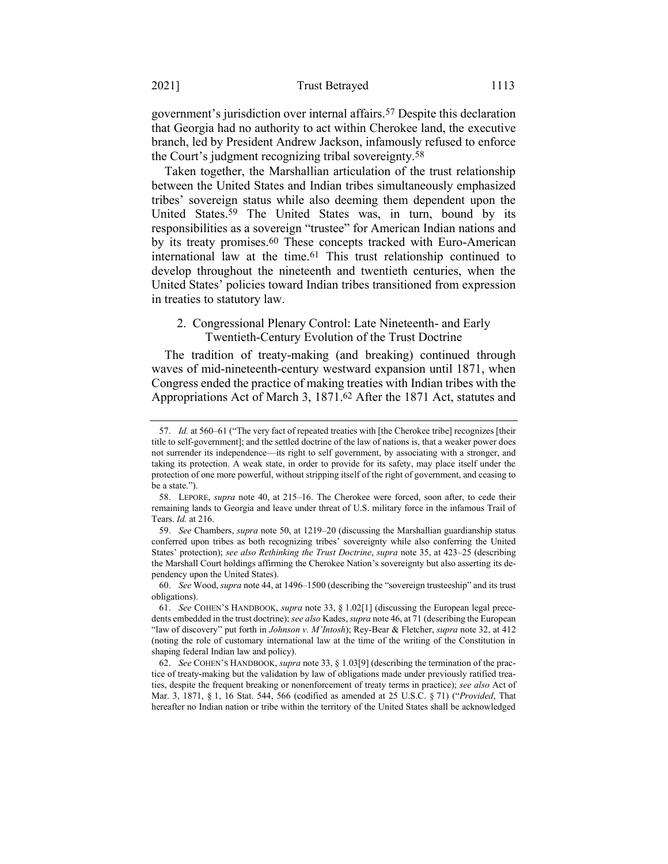government's jurisdiction over internal affairs.57 Despite this declaration that Georgia had no authority to act within Cherokee land, the executive branch, led by President Andrew Jackson, infamously refused to enforce the Court's judgment recognizing tribal sovereignty.58

Taken together, the Marshallian articulation of the trust relationship between the United States and Indian tribes simultaneously emphasized tribes' sovereign status while also deeming them dependent upon the United States.59 The United States was, in turn, bound by its responsibilities as a sovereign "trustee" for American Indian nations and by its treaty promises.60 These concepts tracked with Euro-American international law at the time.61 This trust relationship continued to develop throughout the nineteenth and twentieth centuries, when the United States' policies toward Indian tribes transitioned from expression in treaties to statutory law.

# 2. Congressional Plenary Control: Late Nineteenth- and Early Twentieth-Century Evolution of the Trust Doctrine

The tradition of treaty-making (and breaking) continued through waves of mid-nineteenth-century westward expansion until 1871, when Congress ended the practice of making treaties with Indian tribes with the Appropriations Act of March 3, 1871.62 After the 1871 Act, statutes and

<sup>57.</sup> *Id.* at 560–61 ("The very fact of repeated treaties with [the Cherokee tribe] recognizes [their title to self-government]; and the settled doctrine of the law of nations is, that a weaker power does not surrender its independence—its right to self government, by associating with a stronger, and taking its protection. A weak state, in order to provide for its safety, may place itself under the protection of one more powerful, without stripping itself of the right of government, and ceasing to be a state.").

<sup>58.</sup> LEPORE, *supra* note [40,](#page-11-0) at 215–16. The Cherokee were forced, soon after, to cede their remaining lands to Georgia and leave under threat of U.S. military force in the infamous Trail of Tears. *Id.* at 216.

<sup>59.</sup> *See* Chambers, *supra* note [50,](#page-14-0) at 1219–20 (discussing the Marshallian guardianship status conferred upon tribes as both recognizing tribes' sovereignty while also conferring the United States' protection); *see also Rethinking the Trust Doctrine*, *supra* not[e 35,](#page-10-0) at 423–25 (describing the Marshall Court holdings affirming the Cherokee Nation's sovereignty but also asserting its dependency upon the United States).

<sup>60.</sup> *See* Wood, *supra* not[e 44,](#page-12-2) at 1496–1500 (describing the "sovereign trusteeship" and its trust obligations).

<sup>61.</sup> *See* COHEN'S HANDBOOK, *supra* note [33,](#page-9-0) § 1.02[1] (discussing the European legal precedents embedded in the trust doctrine); *see also* Kades, *supra* not[e 46,](#page-12-0) at 71 (describing the European "law of discovery" put forth in *Johnson v. M'Intosh*); Rey-Bear & Fletcher, *supra* note [32,](#page-8-0) at 412 (noting the role of customary international law at the time of the writing of the Constitution in shaping federal Indian law and policy).

<sup>62.</sup> *See* COHEN'S HANDBOOK, *supra* not[e 33,](#page-9-0) § 1.03[9] (describing the termination of the practice of treaty-making but the validation by law of obligations made under previously ratified treaties, despite the frequent breaking or nonenforcement of treaty terms in practice); *see also* Act of Mar. 3, 1871, § 1, 16 Stat. 544, 566 (codified as amended at 25 U.S.C. § 71) ("*Provided*, That hereafter no Indian nation or tribe within the territory of the United States shall be acknowledged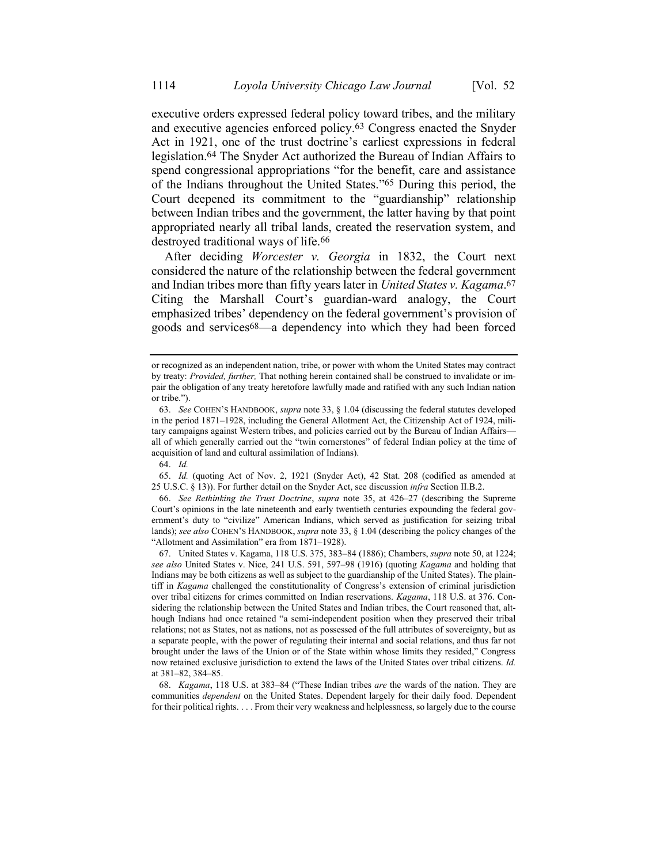executive orders expressed federal policy toward tribes, and the military and executive agencies enforced policy.63 Congress enacted the Snyder Act in 1921, one of the trust doctrine's earliest expressions in federal legislation.64 The Snyder Act authorized the Bureau of Indian Affairs to spend congressional appropriations "for the benefit, care and assistance of the Indians throughout the United States."65 During this period, the Court deepened its commitment to the "guardianship" relationship between Indian tribes and the government, the latter having by that point appropriated nearly all tribal lands, created the reservation system, and destroyed traditional ways of life.<sup>66</sup>

After deciding *Worcester v. Georgia* in 1832, the Court next considered the nature of the relationship between the federal government and Indian tribes more than fifty years later in *United States v. Kagama*. 67 Citing the Marshall Court's guardian-ward analogy, the Court emphasized tribes' dependency on the federal government's provision of goods and services68—a dependency into which they had been forced

66. *See Rethinking the Trust Doctrine*, *supra* note [35,](#page-10-0) at 426–27 (describing the Supreme Court's opinions in the late nineteenth and early twentieth centuries expounding the federal government's duty to "civilize" American Indians, which served as justification for seizing tribal lands); *see also* COHEN'S HANDBOOK, *supra* not[e 33,](#page-9-0) § 1.04 (describing the policy changes of the "Allotment and Assimilation" era from 1871–1928).

67. United States v. Kagama, 118 U.S. 375, 383–84 (1886); Chambers, *supra* not[e 50,](#page-14-0) at 1224; *see also* United States v. Nice, 241 U.S. 591, 597–98 (1916) (quoting *Kagama* and holding that Indians may be both citizens as well as subject to the guardianship of the United States). The plaintiff in *Kagama* challenged the constitutionality of Congress's extension of criminal jurisdiction over tribal citizens for crimes committed on Indian reservations. *Kagama*, 118 U.S. at 376. Considering the relationship between the United States and Indian tribes, the Court reasoned that, although Indians had once retained "a semi-independent position when they preserved their tribal relations; not as States, not as nations, not as possessed of the full attributes of sovereignty, but as a separate people, with the power of regulating their internal and social relations, and thus far not brought under the laws of the Union or of the State within whose limits they resided," Congress now retained exclusive jurisdiction to extend the laws of the United States over tribal citizens. *Id.* at 381–82, 384–85.

68. *Kagama*, 118 U.S. at 383–84 ("These Indian tribes *are* the wards of the nation. They are communities *dependent* on the United States. Dependent largely for their daily food. Dependent for their political rights. . . . From their very weakness and helplessness, so largely due to the course

or recognized as an independent nation, tribe, or power with whom the United States may contract by treaty: *Provided, further,* That nothing herein contained shall be construed to invalidate or impair the obligation of any treaty heretofore lawfully made and ratified with any such Indian nation or tribe.").

<sup>63.</sup> *See* COHEN'S HANDBOOK, *supra* not[e 33,](#page-9-0) § 1.04 (discussing the federal statutes developed in the period 1871–1928, including the General Allotment Act, the Citizenship Act of 1924, military campaigns against Western tribes, and policies carried out by the Bureau of Indian Affairs all of which generally carried out the "twin cornerstones" of federal Indian policy at the time of acquisition of land and cultural assimilation of Indians).

<sup>64.</sup> *Id.*

<sup>65.</sup> *Id.* (quoting Act of Nov. 2, 1921 (Snyder Act), 42 Stat. 208 (codified as amended at 25 U.S.C. § 13)). For further detail on the Snyder Act, see discussion *infra* Section II.B.2.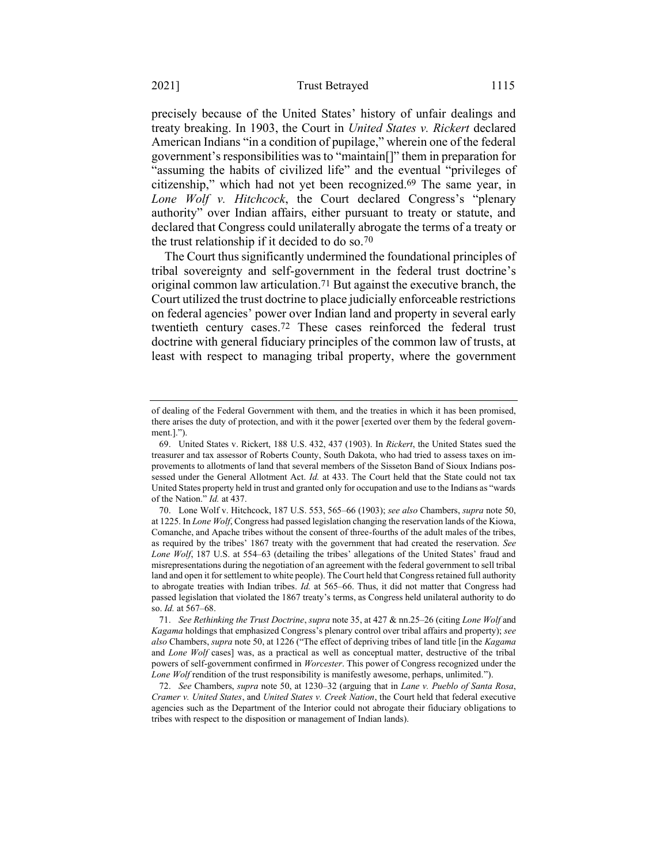precisely because of the United States' history of unfair dealings and treaty breaking. In 1903, the Court in *United States v. Rickert* declared American Indians "in a condition of pupilage," wherein one of the federal government's responsibilities was to "maintain[]" them in preparation for "assuming the habits of civilized life" and the eventual "privileges of citizenship," which had not yet been recognized. 69 The same year, in *Lone Wolf v. Hitchcock*, the Court declared Congress's "plenary authority" over Indian affairs, either pursuant to treaty or statute, and declared that Congress could unilaterally abrogate the terms of a treaty or the trust relationship if it decided to do so.70

The Court thus significantly undermined the foundational principles of tribal sovereignty and self-government in the federal trust doctrine's original common law articulation.71 But against the executive branch, the Court utilized the trust doctrine to place judicially enforceable restrictions on federal agencies' power over Indian land and property in several early twentieth century cases.72 These cases reinforced the federal trust doctrine with general fiduciary principles of the common law of trusts, at least with respect to managing tribal property, where the government

of dealing of the Federal Government with them, and the treaties in which it has been promised, there arises the duty of protection, and with it the power [exerted over them by the federal government.].").

<sup>69.</sup> United States v. Rickert, 188 U.S. 432, 437 (1903). In *Rickert*, the United States sued the treasurer and tax assessor of Roberts County, South Dakota, who had tried to assess taxes on improvements to allotments of land that several members of the Sisseton Band of Sioux Indians possessed under the General Allotment Act. *Id.* at 433. The Court held that the State could not tax United States property held in trust and granted only for occupation and use to the Indians as "wards of the Nation." *Id.* at 437.

<sup>70.</sup> Lone Wolf v. Hitchcock, 187 U.S. 553, 565–66 (1903); *see also* Chambers, *supra* not[e 50,](#page-14-0)  at 1225. In *Lone Wolf*, Congress had passed legislation changing the reservation lands of the Kiowa, Comanche, and Apache tribes without the consent of three-fourths of the adult males of the tribes, as required by the tribes' 1867 treaty with the government that had created the reservation. *See*  Lone Wolf, 187 U.S. at 554–63 (detailing the tribes' allegations of the United States' fraud and misrepresentations during the negotiation of an agreement with the federal government to sell tribal land and open it for settlement to white people). The Court held that Congress retained full authority to abrogate treaties with Indian tribes. *Id.* at 565–66. Thus, it did not matter that Congress had passed legislation that violated the 1867 treaty's terms, as Congress held unilateral authority to do so. *Id.* at 567–68.

<sup>71.</sup> *See Rethinking the Trust Doctrine*, *supra* not[e 35,](#page-10-0) at 427 & nn.25–26 (citing *Lone Wolf* and *Kagama* holdings that emphasized Congress's plenary control over tribal affairs and property); *see also* Chambers, *supra* note [50,](#page-14-0) at 1226 ("The effect of depriving tribes of land title [in the *Kagama* and *Lone Wolf* cases] was, as a practical as well as conceptual matter, destructive of the tribal powers of self-government confirmed in *Worcester*. This power of Congress recognized under the *Lone Wolf* rendition of the trust responsibility is manifestly awesome, perhaps, unlimited.").

<sup>72.</sup> *See* Chambers, *supra* not[e 50,](#page-14-0) at 1230–32 (arguing that in *Lane v. Pueblo of Santa Rosa*, *Cramer v. United States*, and *United States v. Creek Nation*, the Court held that federal executive agencies such as the Department of the Interior could not abrogate their fiduciary obligations to tribes with respect to the disposition or management of Indian lands).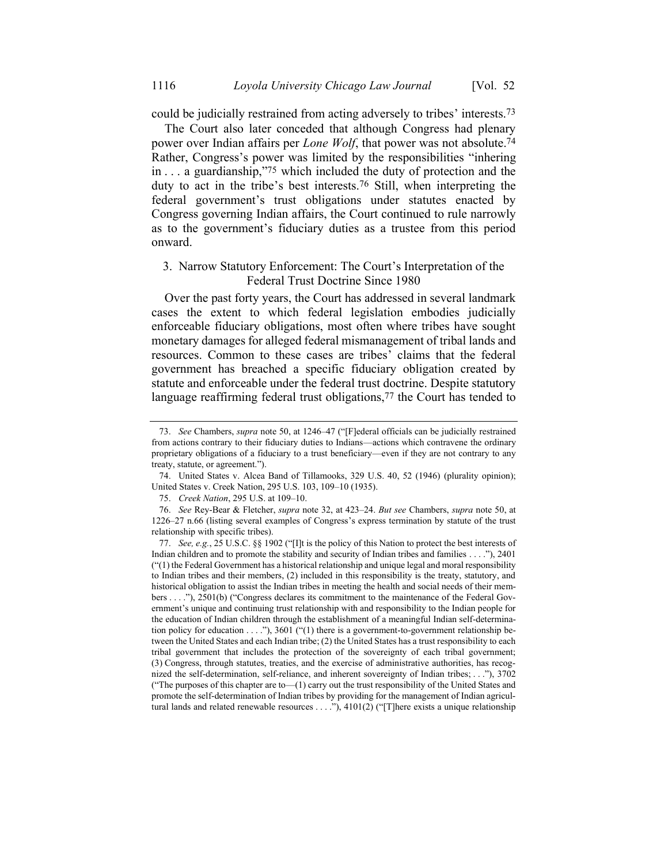could be judicially restrained from acting adversely to tribes' interests.73

The Court also later conceded that although Congress had plenary power over Indian affairs per *Lone Wolf*, that power was not absolute.74 Rather, Congress's power was limited by the responsibilities "inhering in . . . a guardianship,"75 which included the duty of protection and the duty to act in the tribe's best interests.76 Still, when interpreting the federal government's trust obligations under statutes enacted by Congress governing Indian affairs, the Court continued to rule narrowly as to the government's fiduciary duties as a trustee from this period onward.

# 3. Narrow Statutory Enforcement: The Court's Interpretation of the Federal Trust Doctrine Since 1980

Over the past forty years, the Court has addressed in several landmark cases the extent to which federal legislation embodies judicially enforceable fiduciary obligations, most often where tribes have sought monetary damages for alleged federal mismanagement of tribal lands and resources. Common to these cases are tribes' claims that the federal government has breached a specific fiduciary obligation created by statute and enforceable under the federal trust doctrine. Despite statutory language reaffirming federal trust obligations,<sup>77</sup> the Court has tended to

<sup>73.</sup> *See* Chambers, *supra* note [50,](#page-14-0) at 1246–47 ("[F]ederal officials can be judicially restrained from actions contrary to their fiduciary duties to Indians—actions which contravene the ordinary proprietary obligations of a fiduciary to a trust beneficiary—even if they are not contrary to any treaty, statute, or agreement.").

<sup>74.</sup> United States v. Alcea Band of Tillamooks, 329 U.S. 40, 52 (1946) (plurality opinion); United States v. Creek Nation, 295 U.S. 103, 109–10 (1935).

<sup>75.</sup> *Creek Nation*, 295 U.S. at 109–10.

<sup>76.</sup> *See* Rey-Bear & Fletcher, *supra* not[e 32,](#page-8-0) at 423–24. *But see* Chambers, *supra* not[e 50,](#page-14-0) at 1226–27 n.66 (listing several examples of Congress's express termination by statute of the trust relationship with specific tribes).

<sup>77.</sup> *See, e.g.*, 25 U.S.C. §§ 1902 ("[I]t is the policy of this Nation to protect the best interests of Indian children and to promote the stability and security of Indian tribes and families . . . ."), 2401  $"$ ( $"$ (1) the Federal Government has a historical relationship and unique legal and moral responsibility to Indian tribes and their members, (2) included in this responsibility is the treaty, statutory, and historical obligation to assist the Indian tribes in meeting the health and social needs of their members . . . ."), 2501(b) ("Congress declares its commitment to the maintenance of the Federal Government's unique and continuing trust relationship with and responsibility to the Indian people for the education of Indian children through the establishment of a meaningful Indian self-determination policy for education  $\dots$ ."), 3601 ("(1) there is a government-to-government relationship between the United States and each Indian tribe; (2) the United States has a trust responsibility to each tribal government that includes the protection of the sovereignty of each tribal government; (3) Congress, through statutes, treaties, and the exercise of administrative authorities, has recognized the self-determination, self-reliance, and inherent sovereignty of Indian tribes; . . ."), 3702 ("The purposes of this chapter are to—(1) carry out the trust responsibility of the United States and promote the self-determination of Indian tribes by providing for the management of Indian agricultural lands and related renewable resources . . . ."), 4101(2) ("[T]here exists a unique relationship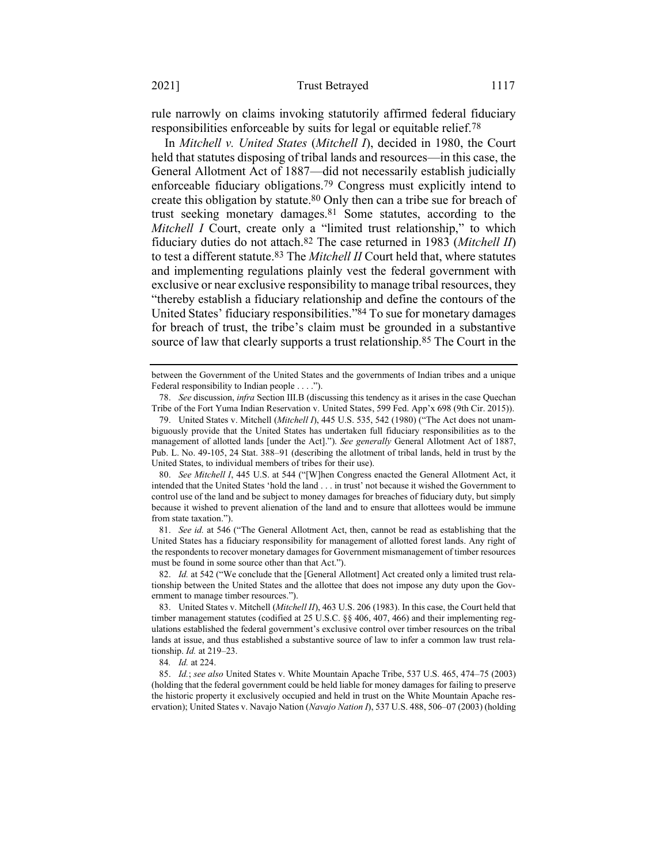rule narrowly on claims invoking statutorily affirmed federal fiduciary responsibilities enforceable by suits for legal or equitable relief.78

In *Mitchell v. United States* (*Mitchell I*), decided in 1980, the Court held that statutes disposing of tribal lands and resources—in this case, the General Allotment Act of 1887—did not necessarily establish judicially enforceable fiduciary obligations.79 Congress must explicitly intend to create this obligation by statute.<sup>80</sup> Only then can a tribe sue for breach of trust seeking monetary damages.81 Some statutes, according to the *Mitchell I* Court, create only a "limited trust relationship," to which fiduciary duties do not attach.82 The case returned in 1983 (*Mitchell II*) to test a different statute.83 The *Mitchell II* Court held that, where statutes and implementing regulations plainly vest the federal government with exclusive or near exclusive responsibility to manage tribal resources, they "thereby establish a fiduciary relationship and define the contours of the United States' fiduciary responsibilities."84 To sue for monetary damages for breach of trust, the tribe's claim must be grounded in a substantive source of law that clearly supports a trust relationship.85 The Court in the

81. *See id.* at 546 ("The General Allotment Act, then, cannot be read as establishing that the United States has a fiduciary responsibility for management of allotted forest lands. Any right of the respondents to recover monetary damages for Government mismanagement of timber resources must be found in some source other than that Act.").

82. *Id.* at 542 ("We conclude that the [General Allotment] Act created only a limited trust relationship between the United States and the allottee that does not impose any duty upon the Government to manage timber resources.").

83. United States v. Mitchell (*Mitchell II*), 463 U.S. 206 (1983). In this case, the Court held that timber management statutes (codified at 25 U.S.C. §§ 406, 407, 466) and their implementing regulations established the federal government's exclusive control over timber resources on the tribal lands at issue, and thus established a substantive source of law to infer a common law trust relationship. *Id.* at 219–23.

84*. Id.* at 224.

85. *Id.*; *see also* United States v. White Mountain Apache Tribe, 537 U.S. 465, 474–75 (2003) (holding that the federal government could be held liable for money damages for failing to preserve the historic property it exclusively occupied and held in trust on the White Mountain Apache reservation); United States v. Navajo Nation (*Navajo Nation I*), 537 U.S. 488, 506–07 (2003) (holding

between the Government of the United States and the governments of Indian tribes and a unique Federal responsibility to Indian people . . . .").

<sup>78.</sup> *See* discussion, *infra* Section III.B (discussing this tendency as it arises in the case Quechan Tribe of the Fort Yuma Indian Reservation v. United States, 599 Fed. App'x 698 (9th Cir. 2015)).

<sup>79.</sup> United States v. Mitchell (*Mitchell I*), 445 U.S. 535, 542 (1980) ("The Act does not unambiguously provide that the United States has undertaken full fiduciary responsibilities as to the management of allotted lands [under the Act]."). *See generally* General Allotment Act of 1887, Pub. L. No. 49-105, 24 Stat. 388–91 (describing the allotment of tribal lands, held in trust by the United States, to individual members of tribes for their use).

<sup>80.</sup> *See Mitchell I*, 445 U.S. at 544 ("[W]hen Congress enacted the General Allotment Act, it intended that the United States 'hold the land . . . in trust' not because it wished the Government to control use of the land and be subject to money damages for breaches of fiduciary duty, but simply because it wished to prevent alienation of the land and to ensure that allottees would be immune from state taxation.").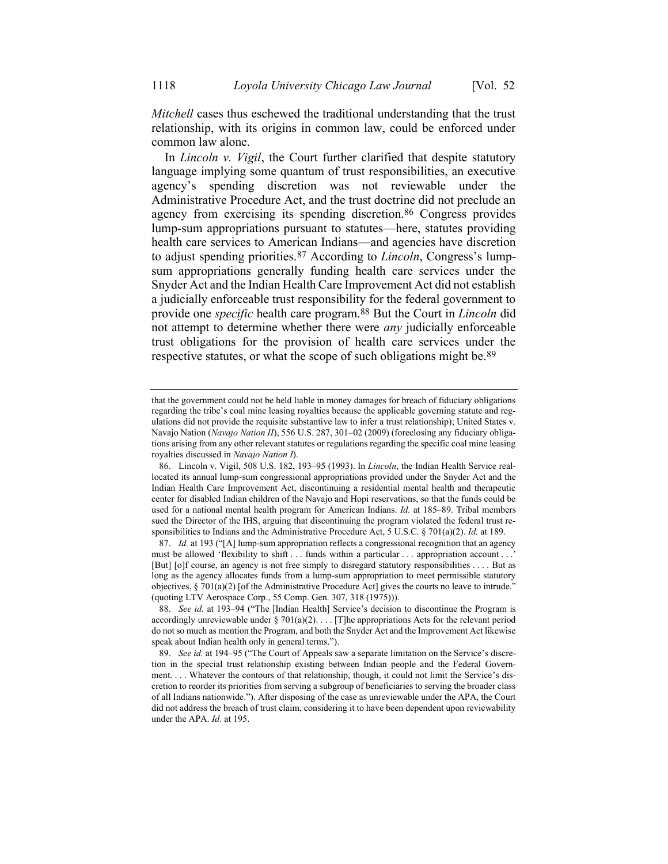*Mitchell* cases thus eschewed the traditional understanding that the trust relationship, with its origins in common law, could be enforced under common law alone.

In *Lincoln v. Vigil*, the Court further clarified that despite statutory language implying some quantum of trust responsibilities, an executive agency's spending discretion was not reviewable under the Administrative Procedure Act, and the trust doctrine did not preclude an agency from exercising its spending discretion.86 Congress provides lump-sum appropriations pursuant to statutes—here, statutes providing health care services to American Indians—and agencies have discretion to adjust spending priorities.87 According to *Lincoln*, Congress's lumpsum appropriations generally funding health care services under the Snyder Act and the Indian Health Care Improvement Act did not establish a judicially enforceable trust responsibility for the federal government to provide one *specific* health care program.88 But the Court in *Lincoln* did not attempt to determine whether there were *any* judicially enforceable trust obligations for the provision of health care services under the respective statutes, or what the scope of such obligations might be.<sup>89</sup>

that the government could not be held liable in money damages for breach of fiduciary obligations regarding the tribe's coal mine leasing royalties because the applicable governing statute and regulations did not provide the requisite substantive law to infer a trust relationship); United States v. Navajo Nation (*Navajo Nation II*), 556 U.S. 287, 301–02 (2009) (foreclosing any fiduciary obligations arising from any other relevant statutes or regulations regarding the specific coal mine leasing royalties discussed in *Navajo Nation I*).

<sup>86.</sup> Lincoln v. Vigil, 508 U.S. 182, 193–95 (1993). In *Lincoln*, the Indian Health Service reallocated its annual lump-sum congressional appropriations provided under the Snyder Act and the Indian Health Care Improvement Act, discontinuing a residential mental health and therapeutic center for disabled Indian children of the Navajo and Hopi reservations, so that the funds could be used for a national mental health program for American Indians. *Id.* at 185–89. Tribal members sued the Director of the IHS, arguing that discontinuing the program violated the federal trust responsibilities to Indians and the Administrative Procedure Act, 5 U.S.C. § 701(a)(2). *Id.* at 189.

<sup>87.</sup> *Id.* at 193 ("[A] lump-sum appropriation reflects a congressional recognition that an agency must be allowed 'flexibility to shift . . . funds within a particular . . . appropriation account . . .' [But] [o]f course, an agency is not free simply to disregard statutory responsibilities . . . . But as long as the agency allocates funds from a lump-sum appropriation to meet permissible statutory objectives, § 701(a)(2) [of the Administrative Procedure Act] gives the courts no leave to intrude." (quoting LTV Aerospace Corp., 55 Comp. Gen. 307, 318 (1975))).

<sup>88.</sup> *See id.* at 193–94 ("The [Indian Health] Service's decision to discontinue the Program is accordingly unreviewable under  $\S 701(a)(2)$ .... [T]he appropriations Acts for the relevant period do not so much as mention the Program, and both the Snyder Act and the Improvement Act likewise speak about Indian health only in general terms.").

<sup>89.</sup> *See id.* at 194–95 ("The Court of Appeals saw a separate limitation on the Service's discretion in the special trust relationship existing between Indian people and the Federal Government. . . . Whatever the contours of that relationship, though, it could not limit the Service's discretion to reorder its priorities from serving a subgroup of beneficiaries to serving the broader class of all Indians nationwide."). After disposing of the case as unreviewable under the APA, the Court did not address the breach of trust claim, considering it to have been dependent upon reviewability under the APA. *Id.* at 195.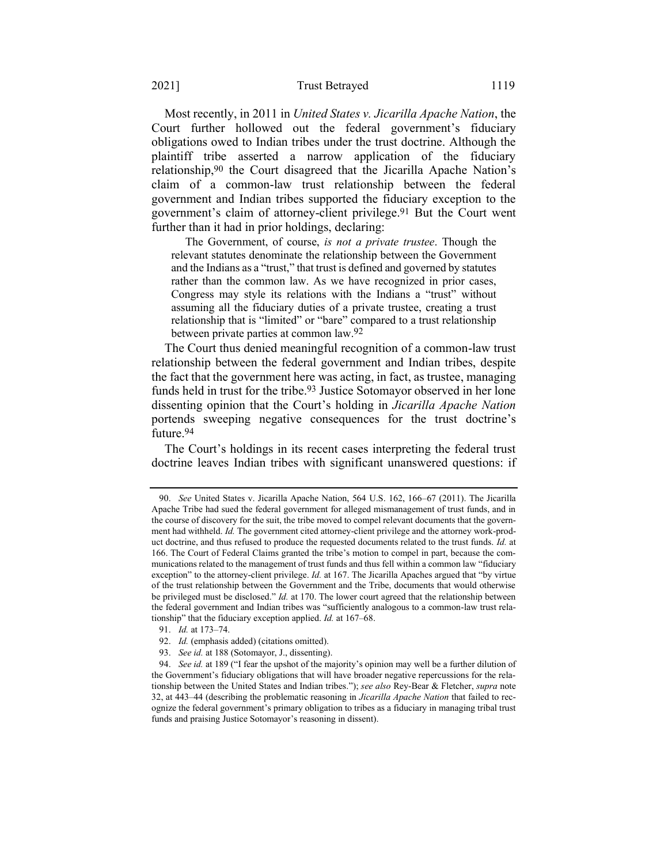#### 2021] Trust Betrayed 1119

Most recently, in 2011 in *United States v. Jicarilla Apache Nation*, the Court further hollowed out the federal government's fiduciary obligations owed to Indian tribes under the trust doctrine. Although the plaintiff tribe asserted a narrow application of the fiduciary relationship,90 the Court disagreed that the Jicarilla Apache Nation's claim of a common-law trust relationship between the federal government and Indian tribes supported the fiduciary exception to the government's claim of attorney-client privilege.91 But the Court went further than it had in prior holdings, declaring:

The Government, of course, *is not a private trustee*. Though the relevant statutes denominate the relationship between the Government and the Indians as a "trust," that trust is defined and governed by statutes rather than the common law. As we have recognized in prior cases, Congress may style its relations with the Indians a "trust" without assuming all the fiduciary duties of a private trustee, creating a trust relationship that is "limited" or "bare" compared to a trust relationship between private parties at common law.92

The Court thus denied meaningful recognition of a common-law trust relationship between the federal government and Indian tribes, despite the fact that the government here was acting, in fact, as trustee, managing funds held in trust for the tribe. 93 Justice Sotomayor observed in her lone dissenting opinion that the Court's holding in *Jicarilla Apache Nation* portends sweeping negative consequences for the trust doctrine's future.94

The Court's holdings in its recent cases interpreting the federal trust doctrine leaves Indian tribes with significant unanswered questions: if

<sup>90.</sup> *See* United States v. Jicarilla Apache Nation, 564 U.S. 162, 166–67 (2011). The Jicarilla Apache Tribe had sued the federal government for alleged mismanagement of trust funds, and in the course of discovery for the suit, the tribe moved to compel relevant documents that the government had withheld. *Id.* The government cited attorney-client privilege and the attorney work-product doctrine, and thus refused to produce the requested documents related to the trust funds. *Id.* at 166. The Court of Federal Claims granted the tribe's motion to compel in part, because the communications related to the management of trust funds and thus fell within a common law "fiduciary exception" to the attorney-client privilege. *Id.* at 167. The Jicarilla Apaches argued that "by virtue of the trust relationship between the Government and the Tribe, documents that would otherwise be privileged must be disclosed." *Id.* at 170. The lower court agreed that the relationship between the federal government and Indian tribes was "sufficiently analogous to a common-law trust relationship" that the fiduciary exception applied. *Id.* at 167–68.

<sup>91.</sup> *Id.* at 173–74.

<sup>92.</sup> *Id.* (emphasis added) (citations omitted).

<sup>93.</sup> *See id.* at 188 (Sotomayor, J., dissenting).

<sup>94.</sup> *See id.* at 189 ("I fear the upshot of the majority's opinion may well be a further dilution of the Government's fiduciary obligations that will have broader negative repercussions for the relationship between the United States and Indian tribes."); *see also* Rey-Bear & Fletcher, *supra* note [32,](#page-8-0) at 443–44 (describing the problematic reasoning in *Jicarilla Apache Nation* that failed to recognize the federal government's primary obligation to tribes as a fiduciary in managing tribal trust funds and praising Justice Sotomayor's reasoning in dissent).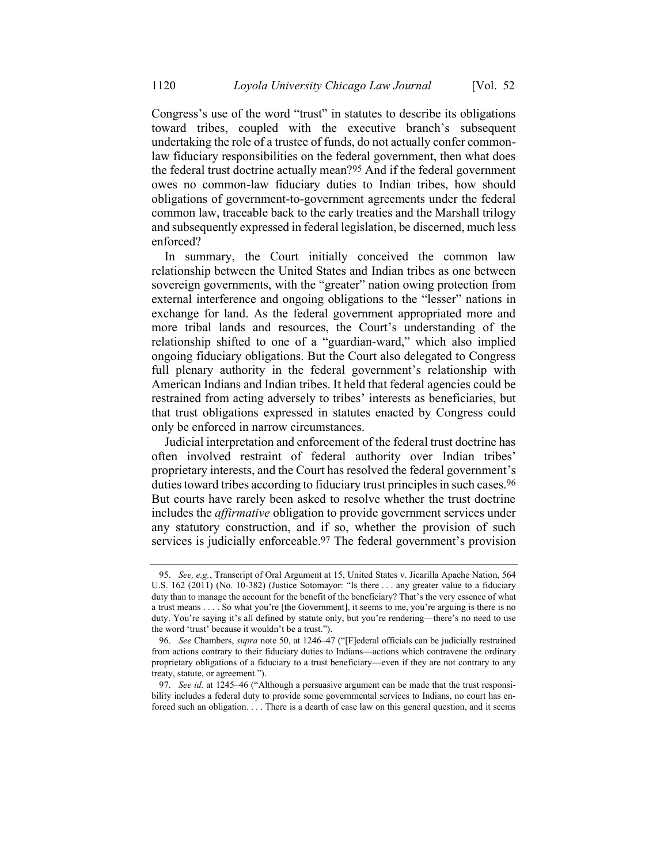Congress's use of the word "trust" in statutes to describe its obligations toward tribes, coupled with the executive branch's subsequent undertaking the role of a trustee of funds, do not actually confer commonlaw fiduciary responsibilities on the federal government, then what does the federal trust doctrine actually mean?95 And if the federal government owes no common-law fiduciary duties to Indian tribes, how should obligations of government-to-government agreements under the federal common law, traceable back to the early treaties and the Marshall trilogy and subsequently expressed in federal legislation, be discerned, much less enforced?

In summary, the Court initially conceived the common law relationship between the United States and Indian tribes as one between sovereign governments, with the "greater" nation owing protection from external interference and ongoing obligations to the "lesser" nations in exchange for land. As the federal government appropriated more and more tribal lands and resources, the Court's understanding of the relationship shifted to one of a "guardian-ward," which also implied ongoing fiduciary obligations. But the Court also delegated to Congress full plenary authority in the federal government's relationship with American Indians and Indian tribes. It held that federal agencies could be restrained from acting adversely to tribes' interests as beneficiaries, but that trust obligations expressed in statutes enacted by Congress could only be enforced in narrow circumstances.

Judicial interpretation and enforcement of the federal trust doctrine has often involved restraint of federal authority over Indian tribes' proprietary interests, and the Court has resolved the federal government's duties toward tribes according to fiduciary trust principles in such cases.<sup>96</sup> But courts have rarely been asked to resolve whether the trust doctrine includes the *affirmative* obligation to provide government services under any statutory construction, and if so, whether the provision of such services is judicially enforceable.<sup>97</sup> The federal government's provision

<sup>95.</sup> *See, e.g.*, Transcript of Oral Argument at 15, United States v. Jicarilla Apache Nation, 564 U.S. 162 (2011) (No. 10-382) (Justice Sotomayor: "Is there . . . any greater value to a fiduciary duty than to manage the account for the benefit of the beneficiary? That's the very essence of what a trust means . . . . So what you're [the Government], it seems to me, you're arguing is there is no duty. You're saying it's all defined by statute only, but you're rendering—there's no need to use the word 'trust' because it wouldn't be a trust.").

<sup>96.</sup> *See* Chambers, *supra* note [50,](#page-14-0) at 1246–47 ("[F]ederal officials can be judicially restrained from actions contrary to their fiduciary duties to Indians—actions which contravene the ordinary proprietary obligations of a fiduciary to a trust beneficiary—even if they are not contrary to any treaty, statute, or agreement.").

<sup>97.</sup> *See id.* at 1245–46 ("Although a persuasive argument can be made that the trust responsibility includes a federal duty to provide some governmental services to Indians, no court has enforced such an obligation. . . . There is a dearth of case law on this general question, and it seems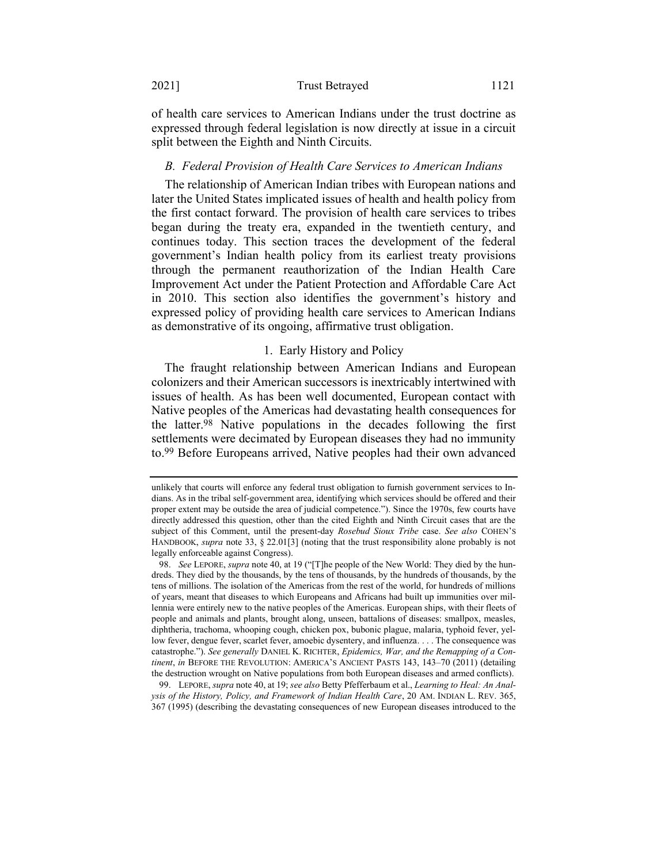#### 2021] Trust Betrayed 1121

of health care services to American Indians under the trust doctrine as expressed through federal legislation is now directly at issue in a circuit split between the Eighth and Ninth Circuits.

#### *B. Federal Provision of Health Care Services to American Indians*

The relationship of American Indian tribes with European nations and later the United States implicated issues of health and health policy from the first contact forward. The provision of health care services to tribes began during the treaty era, expanded in the twentieth century, and continues today. This section traces the development of the federal government's Indian health policy from its earliest treaty provisions through the permanent reauthorization of the Indian Health Care Improvement Act under the Patient Protection and Affordable Care Act in 2010. This section also identifies the government's history and expressed policy of providing health care services to American Indians as demonstrative of its ongoing, affirmative trust obligation.

# 1. Early History and Policy

The fraught relationship between American Indians and European colonizers and their American successors is inextricably intertwined with issues of health. As has been well documented, European contact with Native peoples of the Americas had devastating health consequences for the latter.98 Native populations in the decades following the first settlements were decimated by European diseases they had no immunity to. 99 Before Europeans arrived, Native peoples had their own advanced

99. LEPORE, *supra* note [40,](#page-11-0) at 19; *see also* Betty Pfefferbaum et al., *Learning to Heal: An Analysis of the History, Policy, and Framework of Indian Health Care*, 20 AM. INDIAN L. REV. 365, 367 (1995) (describing the devastating consequences of new European diseases introduced to the

<span id="page-23-0"></span>unlikely that courts will enforce any federal trust obligation to furnish government services to Indians. As in the tribal self-government area, identifying which services should be offered and their proper extent may be outside the area of judicial competence."). Since the 1970s, few courts have directly addressed this question, other than the cited Eighth and Ninth Circuit cases that are the subject of this Comment, until the present-day *Rosebud Sioux Tribe* case. *See also* COHEN'S HANDBOOK, *supra* note [33,](#page-9-0) § 22.01[3] (noting that the trust responsibility alone probably is not legally enforceable against Congress).

<sup>98.</sup> *See* LEPORE, *supra* not[e 40,](#page-11-0) at 19 ("[T]he people of the New World: They died by the hundreds. They died by the thousands, by the tens of thousands, by the hundreds of thousands, by the tens of millions. The isolation of the Americas from the rest of the world, for hundreds of millions of years, meant that diseases to which Europeans and Africans had built up immunities over millennia were entirely new to the native peoples of the Americas. European ships, with their fleets of people and animals and plants, brought along, unseen, battalions of diseases: smallpox, measles, diphtheria, trachoma, whooping cough, chicken pox, bubonic plague, malaria, typhoid fever, yellow fever, dengue fever, scarlet fever, amoebic dysentery, and influenza. . . . The consequence was catastrophe."). *See generally* DANIEL K. RICHTER, *Epidemics, War, and the Remapping of a Continent*, *in* BEFORE THE REVOLUTION: AMERICA'S ANCIENT PASTS 143, 143–70 (2011) (detailing the destruction wrought on Native populations from both European diseases and armed conflicts).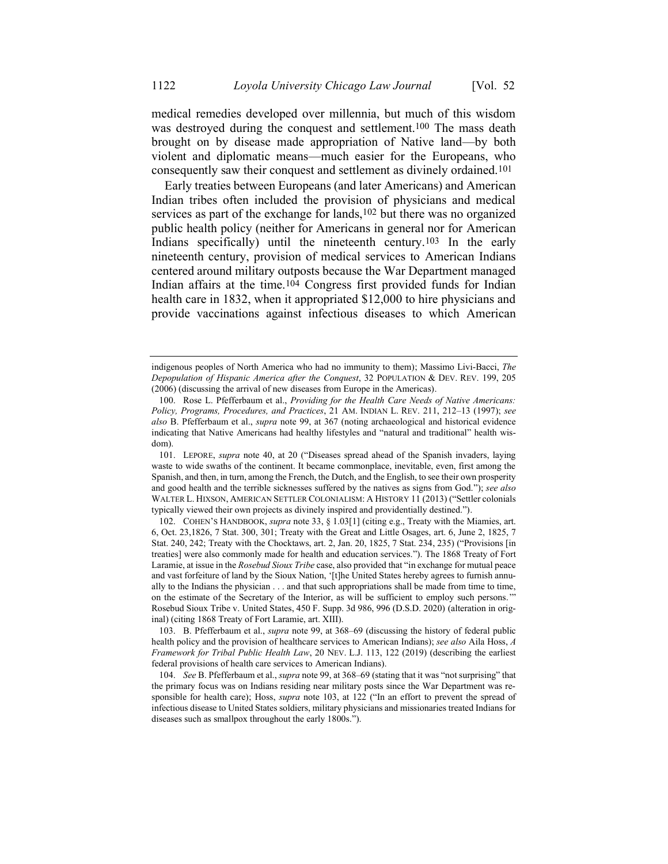<span id="page-24-1"></span>medical remedies developed over millennia, but much of this wisdom was destroyed during the conquest and settlement.<sup>100</sup> The mass death brought on by disease made appropriation of Native land—by both violent and diplomatic means—much easier for the Europeans, who consequently saw their conquest and settlement as divinely ordained.101

<span id="page-24-0"></span>Early treaties between Europeans (and later Americans) and American Indian tribes often included the provision of physicians and medical services as part of the exchange for lands,<sup>102</sup> but there was no organized public health policy (neither for Americans in general nor for American Indians specifically) until the nineteenth century.103 In the early nineteenth century, provision of medical services to American Indians centered around military outposts because the War Department managed Indian affairs at the time.104 Congress first provided funds for Indian health care in 1832, when it appropriated \$12,000 to hire physicians and provide vaccinations against infectious diseases to which American

indigenous peoples of North America who had no immunity to them); Massimo Livi-Bacci, *The Depopulation of Hispanic America after the Conquest*, 32 POPULATION & DEV. REV. 199, 205 (2006) (discussing the arrival of new diseases from Europe in the Americas).

<sup>100.</sup> Rose L. Pfefferbaum et al., *Providing for the Health Care Needs of Native Americans: Policy, Programs, Procedures, and Practices*, 21 AM. INDIAN L. REV. 211, 212–13 (1997); *see also* B. Pfefferbaum et al., *supra* note [99,](#page-23-0) at 367 (noting archaeological and historical evidence indicating that Native Americans had healthy lifestyles and "natural and traditional" health wisdom).

<sup>101.</sup> LEPORE, *supra* note [40,](#page-11-0) at 20 ("Diseases spread ahead of the Spanish invaders, laying waste to wide swaths of the continent. It became commonplace, inevitable, even, first among the Spanish, and then, in turn, among the French, the Dutch, and the English, to see their own prosperity and good health and the terrible sicknesses suffered by the natives as signs from God."); *see also*  WALTER L. HIXSON, AMERICAN SETTLER COLONIALISM: A HISTORY 11 (2013) ("Settler colonials typically viewed their own projects as divinely inspired and providentially destined.").

<sup>102.</sup> COHEN'S HANDBOOK, *supra* not[e 33,](#page-9-0) § 1.03[1] (citing e.g., Treaty with the Miamies, art. 6, Oct. 23,1826, 7 Stat. 300, 301; Treaty with the Great and Little Osages, art. 6, June 2, 1825, 7 Stat. 240, 242; Treaty with the Chocktaws, art. 2, Jan. 20, 1825, 7 Stat. 234, 235) ("Provisions [in treaties] were also commonly made for health and education services."). The 1868 Treaty of Fort Laramie, at issue in the *Rosebud Sioux Tribe* case, also provided that "in exchange for mutual peace and vast forfeiture of land by the Sioux Nation, '[t]he United States hereby agrees to furnish annually to the Indians the physician . . . and that such appropriations shall be made from time to time, on the estimate of the Secretary of the Interior, as will be sufficient to employ such persons.'" Rosebud Sioux Tribe v. United States, 450 F. Supp. 3d 986, 996 (D.S.D. 2020) (alteration in original) (citing 1868 Treaty of Fort Laramie, art. XIII).

<sup>103.</sup> B. Pfefferbaum et al., *supra* note [99,](#page-23-0) at 368–69 (discussing the history of federal public health policy and the provision of healthcare services to American Indians); *see also* Aila Hoss, *A Framework for Tribal Public Health Law*, 20 NEV. L.J. 113, 122 (2019) (describing the earliest federal provisions of health care services to American Indians).

<sup>104.</sup> *See* B. Pfefferbaum et al., *supra* not[e 99,](#page-23-0) at 368–69 (stating that it was "not surprising" that the primary focus was on Indians residing near military posts since the War Department was responsible for health care); Hoss, *supra* note [103,](#page-24-0) at 122 ("In an effort to prevent the spread of infectious disease to United States soldiers, military physicians and missionaries treated Indians for diseases such as smallpox throughout the early 1800s.").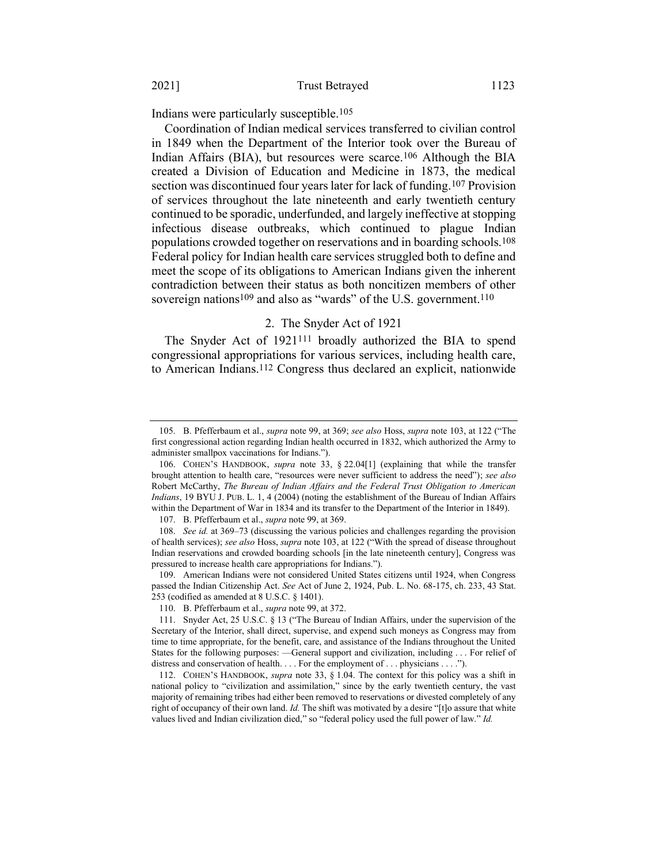Indians were particularly susceptible.105

Coordination of Indian medical services transferred to civilian control in 1849 when the Department of the Interior took over the Bureau of Indian Affairs (BIA), but resources were scarce.106 Although the BIA created a Division of Education and Medicine in 1873, the medical section was discontinued four years later for lack of funding.<sup>107</sup> Provision of services throughout the late nineteenth and early twentieth century continued to be sporadic, underfunded, and largely ineffective at stopping infectious disease outbreaks, which continued to plague Indian populations crowded together on reservations and in boarding schools.108 Federal policy for Indian health care services struggled both to define and meet the scope of its obligations to American Indians given the inherent contradiction between their status as both noncitizen members of other sovereign nations<sup>109</sup> and also as "wards" of the U.S. government.<sup>110</sup>

## <span id="page-25-0"></span>2. The Snyder Act of 1921

The Snyder Act of 1921<sup>111</sup> broadly authorized the BIA to spend congressional appropriations for various services, including health care, to American Indians. 112 Congress thus declared an explicit, nationwide

<sup>105.</sup> B. Pfefferbaum et al., *supra* note [99,](#page-23-0) at 369; *see also* Hoss, *supra* not[e 103,](#page-24-0) at 122 ("The first congressional action regarding Indian health occurred in 1832, which authorized the Army to administer smallpox vaccinations for Indians.").

<sup>106.</sup> COHEN'S HANDBOOK, *supra* note [33,](#page-9-0) § 22.04[1] (explaining that while the transfer brought attention to health care, "resources were never sufficient to address the need"); *see also*  Robert McCarthy, *The Bureau of Indian Affairs and the Federal Trust Obligation to American Indians*, 19 BYU J. PUB. L. 1, 4 (2004) (noting the establishment of the Bureau of Indian Affairs within the Department of War in 1834 and its transfer to the Department of the Interior in 1849).

<sup>107.</sup> B. Pfefferbaum et al., *supra* not[e 99,](#page-23-0) at 369.

<sup>108.</sup> *See id.* at 369–73 (discussing the various policies and challenges regarding the provision of health services); *see also* Hoss, *supra* note [103,](#page-24-0) at 122 ("With the spread of disease throughout Indian reservations and crowded boarding schools [in the late nineteenth century], Congress was pressured to increase health care appropriations for Indians.").

<sup>109.</sup> American Indians were not considered United States citizens until 1924, when Congress passed the Indian Citizenship Act. *See* Act of June 2, 1924, Pub. L. No. 68-175, ch. 233, 43 Stat. 253 (codified as amended at 8 U.S.C. § 1401).

<sup>110.</sup> B. Pfefferbaum et al., *supra* not[e 99,](#page-23-0) at 372.

<sup>111.</sup> Snyder Act, 25 U.S.C. § 13 ("The Bureau of Indian Affairs, under the supervision of the Secretary of the Interior, shall direct, supervise, and expend such moneys as Congress may from time to time appropriate, for the benefit, care, and assistance of the Indians throughout the United States for the following purposes: —General support and civilization, including . . . For relief of distress and conservation of health. . . . For the employment of . . . physicians . . . .").

<sup>112.</sup> COHEN'S HANDBOOK, *supra* note [33,](#page-9-0) § 1.04. The context for this policy was a shift in national policy to "civilization and assimilation," since by the early twentieth century, the vast majority of remaining tribes had either been removed to reservations or divested completely of any right of occupancy of their own land. *Id.* The shift was motivated by a desire "[t]o assure that white values lived and Indian civilization died," so "federal policy used the full power of law." *Id.*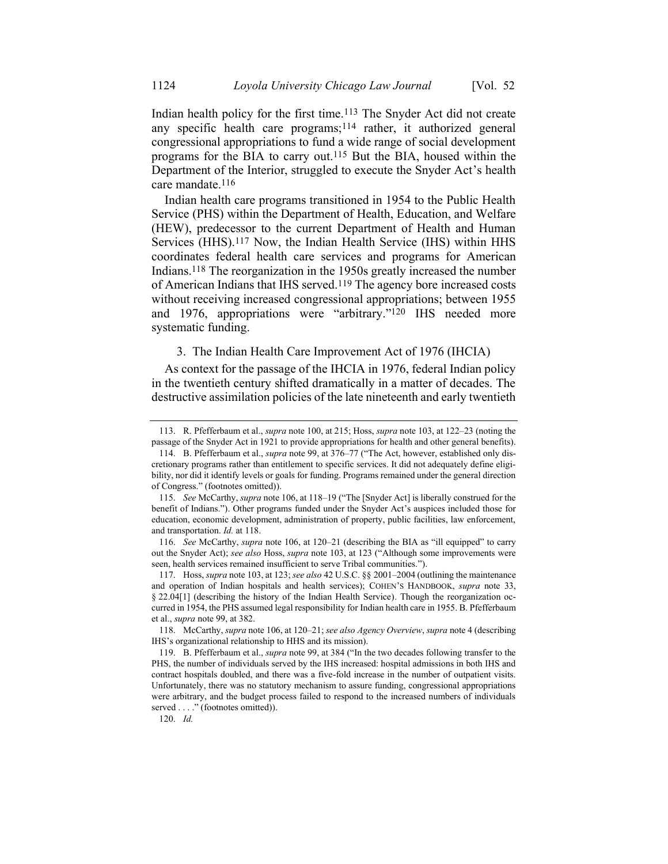Indian health policy for the first time.113 The Snyder Act did not create any specific health care programs; $114$  rather, it authorized general congressional appropriations to fund a wide range of social development programs for the BIA to carry out.115 But the BIA, housed within the Department of the Interior, struggled to execute the Snyder Act's health care mandate.116

Indian health care programs transitioned in 1954 to the Public Health Service (PHS) within the Department of Health, Education, and Welfare (HEW), predecessor to the current Department of Health and Human Services (HHS).117 Now, the Indian Health Service (IHS) within HHS coordinates federal health care services and programs for American Indians. 118 The reorganization in the 1950s greatly increased the number of American Indians that IHS served. 119 The agency bore increased costs without receiving increased congressional appropriations; between 1955 and 1976, appropriations were "arbitrary."120 IHS needed more systematic funding.

### 3. The Indian Health Care Improvement Act of 1976 (IHCIA)

As context for the passage of the IHCIA in 1976, federal Indian policy in the twentieth century shifted dramatically in a matter of decades. The destructive assimilation policies of the late nineteenth and early twentieth

120. *Id.*

<sup>113.</sup> R. Pfefferbaum et al., *supra* not[e 100,](#page-24-1) at 215; Hoss, *supra* not[e 103,](#page-24-0) at 122–23 (noting the passage of the Snyder Act in 1921 to provide appropriations for health and other general benefits).

<sup>114.</sup> B. Pfefferbaum et al., *supra* note [99,](#page-23-0) at 376–77 ("The Act, however, established only discretionary programs rather than entitlement to specific services. It did not adequately define eligibility, nor did it identify levels or goals for funding. Programs remained under the general direction of Congress." (footnotes omitted)).

<sup>115.</sup> *See* McCarthy, *supra* not[e 106,](#page-25-0) at 118–19 ("The [Snyder Act] is liberally construed for the benefit of Indians."). Other programs funded under the Snyder Act's auspices included those for education, economic development, administration of property, public facilities, law enforcement, and transportation. *Id.* at 118.

<sup>116.</sup> *See* McCarthy, *supra* not[e 106,](#page-25-0) at 120–21 (describing the BIA as "ill equipped" to carry out the Snyder Act); *see also* Hoss, *supra* note [103,](#page-24-0) at 123 ("Although some improvements were seen, health services remained insufficient to serve Tribal communities.").

<sup>117.</sup> Hoss, *supra* not[e 103,](#page-24-0) at 123; *see also* 42 U.S.C. §§ 2001–2004 (outlining the maintenance and operation of Indian hospitals and health services); COHEN'S HANDBOOK, *supra* note [33,](#page-9-0)  § 22.04[1] (describing the history of the Indian Health Service). Though the reorganization occurred in 1954, the PHS assumed legal responsibility for Indian health care in 1955. B. Pfefferbaum et al., *supra* note [99,](#page-23-0) at 382.

<sup>118.</sup> McCarthy, *supra* not[e 106,](#page-25-0) at 120–21; *see also Agency Overview*, *supra* not[e 4](#page-4-1) (describing IHS's organizational relationship to HHS and its mission).

<sup>119.</sup> B. Pfefferbaum et al., *supra* note [99](#page-23-0), at 384 ("In the two decades following transfer to the PHS, the number of individuals served by the IHS increased: hospital admissions in both IHS and contract hospitals doubled, and there was a five-fold increase in the number of outpatient visits. Unfortunately, there was no statutory mechanism to assure funding, congressional appropriations were arbitrary, and the budget process failed to respond to the increased numbers of individuals served . . . ." (footnotes omitted)).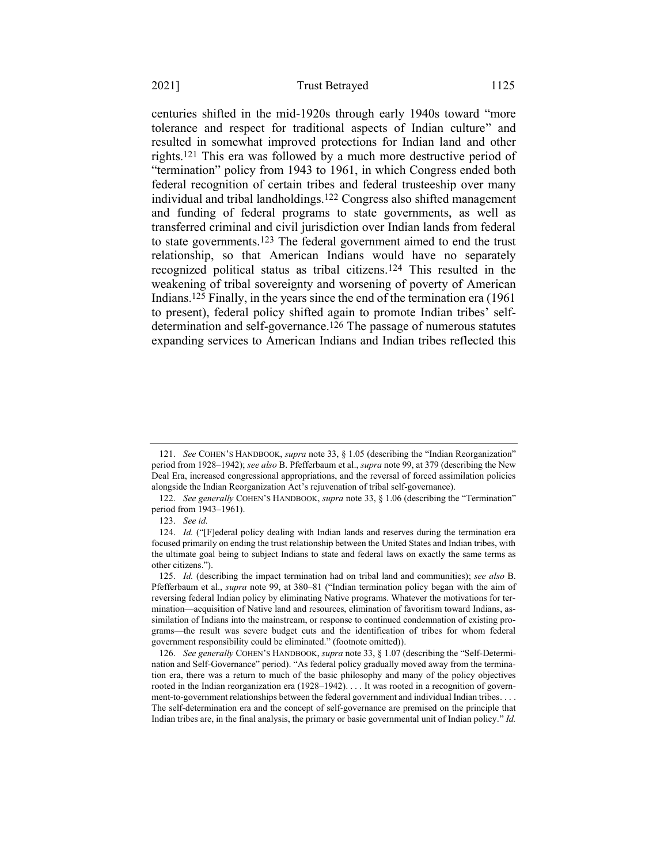centuries shifted in the mid-1920s through early 1940s toward "more tolerance and respect for traditional aspects of Indian culture" and resulted in somewhat improved protections for Indian land and other rights.121 This era was followed by a much more destructive period of "termination" policy from 1943 to 1961, in which Congress ended both federal recognition of certain tribes and federal trusteeship over many individual and tribal landholdings.122 Congress also shifted management and funding of federal programs to state governments, as well as transferred criminal and civil jurisdiction over Indian lands from federal to state governments.123 The federal government aimed to end the trust relationship, so that American Indians would have no separately recognized political status as tribal citizens.124 This resulted in the weakening of tribal sovereignty and worsening of poverty of American Indians. 125 Finally, in the years since the end of the termination era (1961 to present), federal policy shifted again to promote Indian tribes' selfdetermination and self-governance.126 The passage of numerous statutes expanding services to American Indians and Indian tribes reflected this

<sup>121.</sup> *See* COHEN'S HANDBOOK, *supra* note [33,](#page-9-0) § 1.05 (describing the "Indian Reorganization" period from 1928–1942); *see also* B. Pfefferbaum et al., *supra* not[e 99,](#page-23-0) at 379 (describing the New Deal Era, increased congressional appropriations, and the reversal of forced assimilation policies alongside the Indian Reorganization Act's rejuvenation of tribal self-governance).

<sup>122.</sup> *See generally* COHEN'S HANDBOOK, *supra* note [33,](#page-9-0) § 1.06 (describing the "Termination" period from 1943–1961).

<sup>123.</sup> *See id.*

<sup>124.</sup> *Id.* ("[F]ederal policy dealing with Indian lands and reserves during the termination era focused primarily on ending the trust relationship between the United States and Indian tribes, with the ultimate goal being to subject Indians to state and federal laws on exactly the same terms as other citizens.").

<sup>125.</sup> *Id.* (describing the impact termination had on tribal land and communities); *see also* B. Pfefferbaum et al., *supra* note [99,](#page-23-0) at 380–81 ("Indian termination policy began with the aim of reversing federal Indian policy by eliminating Native programs. Whatever the motivations for termination—acquisition of Native land and resources, elimination of favoritism toward Indians, assimilation of Indians into the mainstream, or response to continued condemnation of existing programs—the result was severe budget cuts and the identification of tribes for whom federal government responsibility could be eliminated." (footnote omitted)).

<sup>126.</sup> *See generally* COHEN'S HANDBOOK, *supra* not[e 33,](#page-9-0) § 1.07 (describing the "Self-Determination and Self-Governance" period). "As federal policy gradually moved away from the termination era, there was a return to much of the basic philosophy and many of the policy objectives rooted in the Indian reorganization era (1928–1942).... It was rooted in a recognition of government-to-government relationships between the federal government and individual Indian tribes. . . . The self-determination era and the concept of self-governance are premised on the principle that Indian tribes are, in the final analysis, the primary or basic governmental unit of Indian policy." *Id.*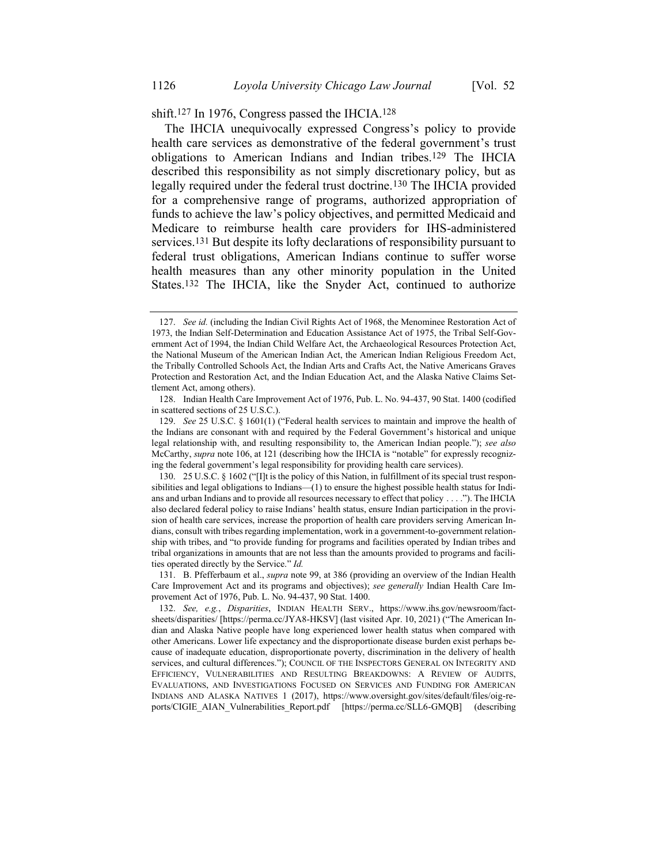# shift.127 In 1976, Congress passed the IHCIA.128

The IHCIA unequivocally expressed Congress's policy to provide health care services as demonstrative of the federal government's trust obligations to American Indians and Indian tribes.129 The IHCIA described this responsibility as not simply discretionary policy, but as legally required under the federal trust doctrine.130 The IHCIA provided for a comprehensive range of programs, authorized appropriation of funds to achieve the law's policy objectives, and permitted Medicaid and Medicare to reimburse health care providers for IHS-administered services.131 But despite its lofty declarations of responsibility pursuant to federal trust obligations, American Indians continue to suffer worse health measures than any other minority population in the United States.<sup>132</sup> The IHCIA, like the Snyder Act, continued to authorize

<sup>127.</sup> *See id.* (including the Indian Civil Rights Act of 1968, the Menominee Restoration Act of 1973, the Indian Self-Determination and Education Assistance Act of 1975, the Tribal Self-Government Act of 1994, the Indian Child Welfare Act, the Archaeological Resources Protection Act, the National Museum of the American Indian Act, the American Indian Religious Freedom Act, the Tribally Controlled Schools Act, the Indian Arts and Crafts Act, the Native Americans Graves Protection and Restoration Act, and the Indian Education Act, and the Alaska Native Claims Settlement Act, among others).

<sup>128.</sup> Indian Health Care Improvement Act of 1976, Pub. L. No. 94-437, 90 Stat. 1400 (codified in scattered sections of 25 U.S.C.).

<sup>129.</sup> *See* 25 U.S.C. § 1601(1) ("Federal health services to maintain and improve the health of the Indians are consonant with and required by the Federal Government's historical and unique legal relationship with, and resulting responsibility to, the American Indian people."); *see also*  McCarthy, *supra* not[e 106,](#page-25-0) at 121 (describing how the IHCIA is "notable" for expressly recognizing the federal government's legal responsibility for providing health care services).

<sup>130.</sup> 25 U.S.C. § 1602 ("[I]t is the policy of this Nation, in fulfillment of its special trust responsibilities and legal obligations to Indians—(1) to ensure the highest possible health status for Indians and urban Indians and to provide all resources necessary to effect that policy . . . ."). The IHCIA also declared federal policy to raise Indians' health status, ensure Indian participation in the provision of health care services, increase the proportion of health care providers serving American Indians, consult with tribes regarding implementation, work in a government-to-government relationship with tribes, and "to provide funding for programs and facilities operated by Indian tribes and tribal organizations in amounts that are not less than the amounts provided to programs and facilities operated directly by the Service." *Id.*

<sup>131.</sup> B. Pfefferbaum et al., *supra* not[e 99,](#page-23-0) at 386 (providing an overview of the Indian Health Care Improvement Act and its programs and objectives); *see generally* Indian Health Care Improvement Act of 1976, Pub. L. No. 94-437, 90 Stat. 1400.

<sup>132.</sup> *See, e.g.*, *Disparities*, INDIAN HEALTH SERV., https://www.ihs.gov/newsroom/factsheets/disparities/ [https://perma.cc/JYA8-HKSV] (last visited Apr. 10, 2021) ("The American Indian and Alaska Native people have long experienced lower health status when compared with other Americans. Lower life expectancy and the disproportionate disease burden exist perhaps because of inadequate education, disproportionate poverty, discrimination in the delivery of health services, and cultural differences."); COUNCIL OF THE INSPECTORS GENERAL ON INTEGRITY AND EFFICIENCY, VULNERABILITIES AND RESULTING BREAKDOWNS: A REVIEW OF AUDITS, EVALUATIONS, AND INVESTIGATIONS FOCUSED ON SERVICES AND FUNDING FOR AMERICAN INDIANS AND ALASKA NATIVES 1 (2017), https://www.oversight.gov/sites/default/files/oig-reports/CIGIE\_AIAN\_Vulnerabilities\_Report.pdf [https://perma.cc/SLL6-GMQB] (describing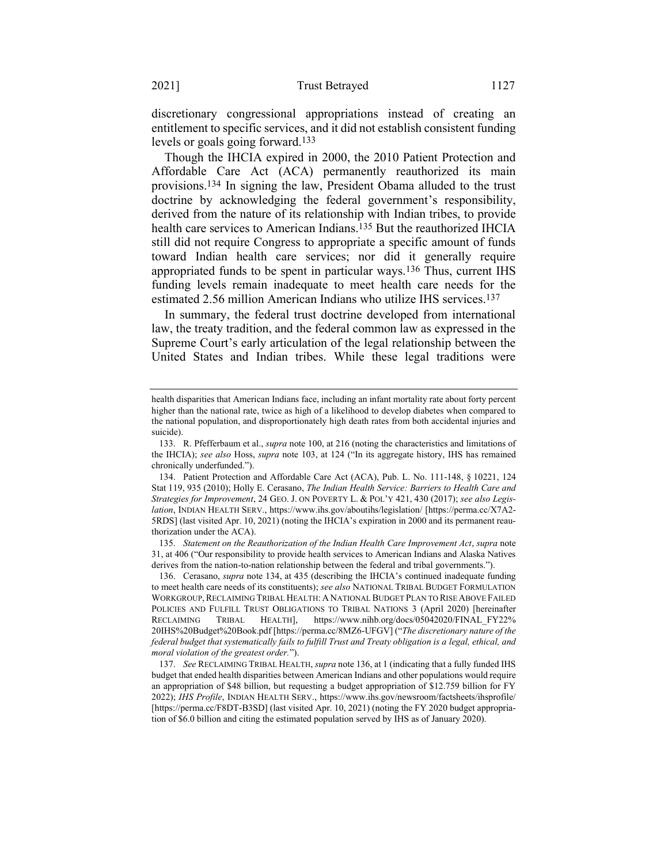discretionary congressional appropriations instead of creating an entitlement to specific services, and it did not establish consistent funding levels or goals going forward.133

<span id="page-29-0"></span>Though the IHCIA expired in 2000, the 2010 Patient Protection and Affordable Care Act (ACA) permanently reauthorized its main provisions.134 In signing the law, President Obama alluded to the trust doctrine by acknowledging the federal government's responsibility, derived from the nature of its relationship with Indian tribes, to provide health care services to American Indians. 135 But the reauthorized IHCIA still did not require Congress to appropriate a specific amount of funds toward Indian health care services; nor did it generally require appropriated funds to be spent in particular ways.136 Thus, current IHS funding levels remain inadequate to meet health care needs for the estimated 2.56 million American Indians who utilize IHS services.137

<span id="page-29-1"></span>In summary, the federal trust doctrine developed from international law, the treaty tradition, and the federal common law as expressed in the Supreme Court's early articulation of the legal relationship between the United States and Indian tribes. While these legal traditions were

health disparities that American Indians face, including an infant mortality rate about forty percent higher than the national rate, twice as high of a likelihood to develop diabetes when compared to the national population, and disproportionately high death rates from both accidental injuries and suicide).

<sup>133.</sup> R. Pfefferbaum et al., *supra* not[e 100,](#page-24-1) at 216 (noting the characteristics and limitations of the IHCIA); *see also* Hoss, *supra* note [103,](#page-24-0) at 124 ("In its aggregate history, IHS has remained chronically underfunded.").

<sup>134.</sup> Patient Protection and Affordable Care Act (ACA), Pub. L. No. 111-148, § 10221, 124 Stat 119, 935 (2010); Holly E. Cerasano, *The Indian Health Service: Barriers to Health Care and Strategies for Improvement*, 24 GEO. J. ON POVERTY L. & POL'Y 421, 430 (2017); *see also Legislation*, INDIAN HEALTH SERV., https://www.ihs.gov/aboutihs/legislation/ [https://perma.cc/X7A2- 5RDS] (last visited Apr. 10, 2021) (noting the IHCIA's expiration in 2000 and its permanent reauthorization under the ACA).

<sup>135.</sup> *Statement on the Reauthorization of the Indian Health Care Improvement Act*, *supra* note [31,](#page-8-1) at 406 ("Our responsibility to provide health services to American Indians and Alaska Natives derives from the nation-to-nation relationship between the federal and tribal governments.").

<sup>136.</sup> Cerasano, *supra* note [134,](#page-29-0) at 435 (describing the IHCIA's continued inadequate funding to meet health care needs of its constituents); *see also* NATIONAL TRIBAL BUDGET FORMULATION WORKGROUP,RECLAIMING TRIBAL HEALTH: A NATIONAL BUDGET PLAN TO RISE ABOVE FAILED POLICIES AND FULFILL TRUST OBLIGATIONS TO TRIBAL NATIONS 3 (April 2020) [hereinafter RECLAIMING TRIBAL HEALTH], https://www.nihb.org/docs/05042020/FINAL\_FY22% 20IHS%20Budget%20Book.pdf [https://perma.cc/8MZ6-UFGV] ("*The discretionary nature of the federal budget that systematically fails to fulfill Trust and Treaty obligation is a legal, ethical, and moral violation of the greatest order.*").

<sup>137.</sup> *See* RECLAIMING TRIBAL HEALTH, *supra* not[e 136,](#page-29-1) at 1 (indicating that a fully funded IHS budget that ended health disparities between American Indians and other populations would require an appropriation of \$48 billion, but requesting a budget appropriation of \$12.759 billion for FY 2022); *IHS Profile*, INDIAN HEALTH SERV., https://www.ihs.gov/newsroom/factsheets/ihsprofile/ [https://perma.cc/F8DT-B3SD] (last visited Apr. 10, 2021) (noting the FY 2020 budget appropriation of \$6.0 billion and citing the estimated population served by IHS as of January 2020).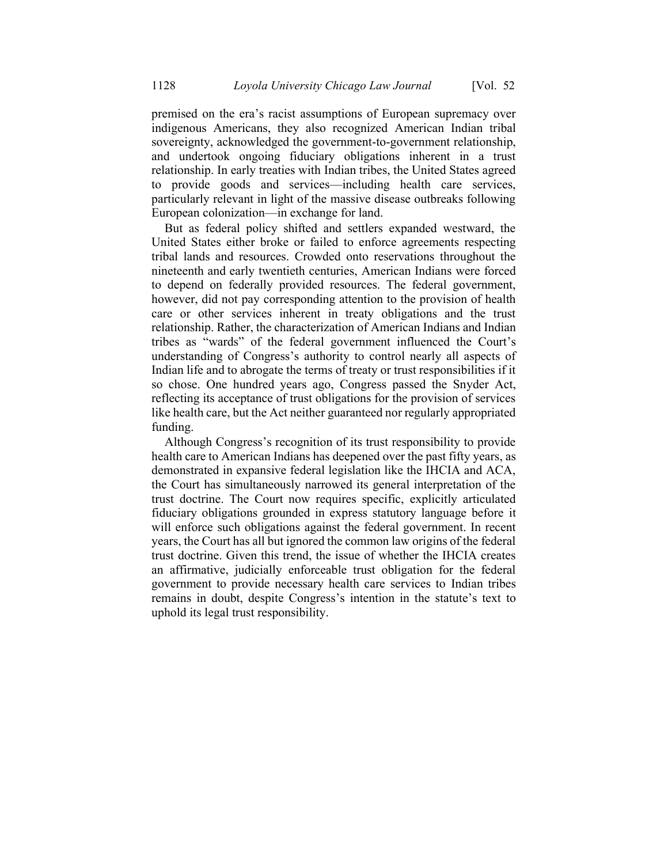premised on the era's racist assumptions of European supremacy over indigenous Americans, they also recognized American Indian tribal sovereignty, acknowledged the government-to-government relationship, and undertook ongoing fiduciary obligations inherent in a trust relationship. In early treaties with Indian tribes, the United States agreed to provide goods and services—including health care services, particularly relevant in light of the massive disease outbreaks following European colonization—in exchange for land.

But as federal policy shifted and settlers expanded westward, the United States either broke or failed to enforce agreements respecting tribal lands and resources. Crowded onto reservations throughout the nineteenth and early twentieth centuries, American Indians were forced to depend on federally provided resources. The federal government, however, did not pay corresponding attention to the provision of health care or other services inherent in treaty obligations and the trust relationship. Rather, the characterization of American Indians and Indian tribes as "wards" of the federal government influenced the Court's understanding of Congress's authority to control nearly all aspects of Indian life and to abrogate the terms of treaty or trust responsibilities if it so chose. One hundred years ago, Congress passed the Snyder Act, reflecting its acceptance of trust obligations for the provision of services like health care, but the Act neither guaranteed nor regularly appropriated funding.

Although Congress's recognition of its trust responsibility to provide health care to American Indians has deepened over the past fifty years, as demonstrated in expansive federal legislation like the IHCIA and ACA, the Court has simultaneously narrowed its general interpretation of the trust doctrine. The Court now requires specific, explicitly articulated fiduciary obligations grounded in express statutory language before it will enforce such obligations against the federal government. In recent years, the Court has all but ignored the common law origins of the federal trust doctrine. Given this trend, the issue of whether the IHCIA creates an affirmative, judicially enforceable trust obligation for the federal government to provide necessary health care services to Indian tribes remains in doubt, despite Congress's intention in the statute's text to uphold its legal trust responsibility.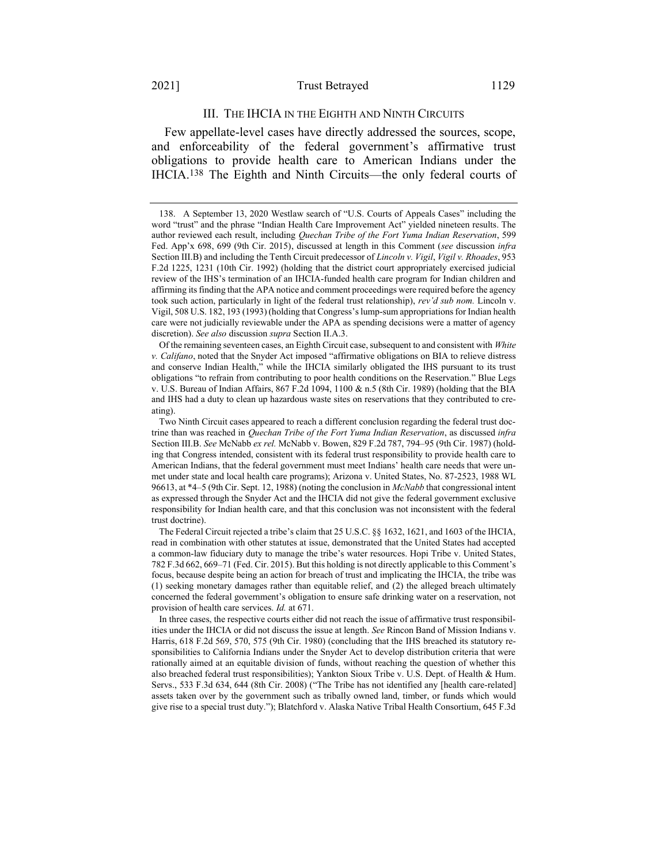#### 2021] Trust Betrayed 1129

## III. THE IHCIA IN THE EIGHTH AND NINTH CIRCUITS

<span id="page-31-0"></span>Few appellate-level cases have directly addressed the sources, scope, and enforceability of the federal government's affirmative trust obligations to provide health care to American Indians under the IHCIA.138 The Eighth and Ninth Circuits—the only federal courts of

Of the remaining seventeen cases, an Eighth Circuit case, subsequent to and consistent with *White v. Califano*, noted that the Snyder Act imposed "affirmative obligations on BIA to relieve distress and conserve Indian Health," while the IHCIA similarly obligated the IHS pursuant to its trust obligations "to refrain from contributing to poor health conditions on the Reservation." Blue Legs v. U.S. Bureau of Indian Affairs, 867 F.2d 1094, 1100 & n.5 (8th Cir. 1989) (holding that the BIA and IHS had a duty to clean up hazardous waste sites on reservations that they contributed to creating).

<sup>138.</sup> A September 13, 2020 Westlaw search of "U.S. Courts of Appeals Cases" including the word "trust" and the phrase "Indian Health Care Improvement Act" yielded nineteen results. The author reviewed each result, including *Quechan Tribe of the Fort Yuma Indian Reservation*, 599 Fed. App'x 698, 699 (9th Cir. 2015), discussed at length in this Comment (*see* discussion *infra*  Section III.B) and including the Tenth Circuit predecessor of *Lincoln v. Vigil*, *Vigil v. Rhoades*, 953 F.2d 1225, 1231 (10th Cir. 1992) (holding that the district court appropriately exercised judicial review of the IHS's termination of an IHCIA-funded health care program for Indian children and affirming its finding that the APA notice and comment proceedings were required before the agency took such action, particularly in light of the federal trust relationship), *rev'd sub nom.* Lincoln v. Vigil, 508 U.S. 182, 193 (1993) (holding that Congress's lump-sum appropriations for Indian health care were not judicially reviewable under the APA as spending decisions were a matter of agency discretion). *See also* discussion *supra* Section II.A.3.

Two Ninth Circuit cases appeared to reach a different conclusion regarding the federal trust doctrine than was reached in *Quechan Tribe of the Fort Yuma Indian Reservation*, as discussed *infra* Section III.B. *See* McNabb *ex rel.* McNabb v. Bowen, 829 F.2d 787, 794–95 (9th Cir. 1987) (holding that Congress intended, consistent with its federal trust responsibility to provide health care to American Indians, that the federal government must meet Indians' health care needs that were unmet under state and local health care programs); Arizona v. United States, No. 87-2523, 1988 WL 96613, at \*4–5 (9th Cir. Sept. 12, 1988) (noting the conclusion in *McNabb* that congressional intent as expressed through the Snyder Act and the IHCIA did not give the federal government exclusive responsibility for Indian health care, and that this conclusion was not inconsistent with the federal trust doctrine).

The Federal Circuit rejected a tribe's claim that 25 U.S.C. §§ 1632, 1621, and 1603 of the IHCIA, read in combination with other statutes at issue, demonstrated that the United States had accepted a common-law fiduciary duty to manage the tribe's water resources. Hopi Tribe v. United States, 782 F.3d 662, 669–71 (Fed. Cir. 2015). But this holding is not directly applicable to this Comment's focus, because despite being an action for breach of trust and implicating the IHCIA, the tribe was (1) seeking monetary damages rather than equitable relief, and (2) the alleged breach ultimately concerned the federal government's obligation to ensure safe drinking water on a reservation, not provision of health care services. *Id.* at 671.

In three cases, the respective courts either did not reach the issue of affirmative trust responsibilities under the IHCIA or did not discuss the issue at length. *See* Rincon Band of Mission Indians v. Harris, 618 F.2d 569, 570, 575 (9th Cir. 1980) (concluding that the IHS breached its statutory responsibilities to California Indians under the Snyder Act to develop distribution criteria that were rationally aimed at an equitable division of funds, without reaching the question of whether this also breached federal trust responsibilities); Yankton Sioux Tribe v. U.S. Dept. of Health & Hum. Servs., 533 F.3d 634, 644 (8th Cir. 2008) ("The Tribe has not identified any [health care-related] assets taken over by the government such as tribally owned land, timber, or funds which would give rise to a special trust duty."); Blatchford v. Alaska Native Tribal Health Consortium, 645 F.3d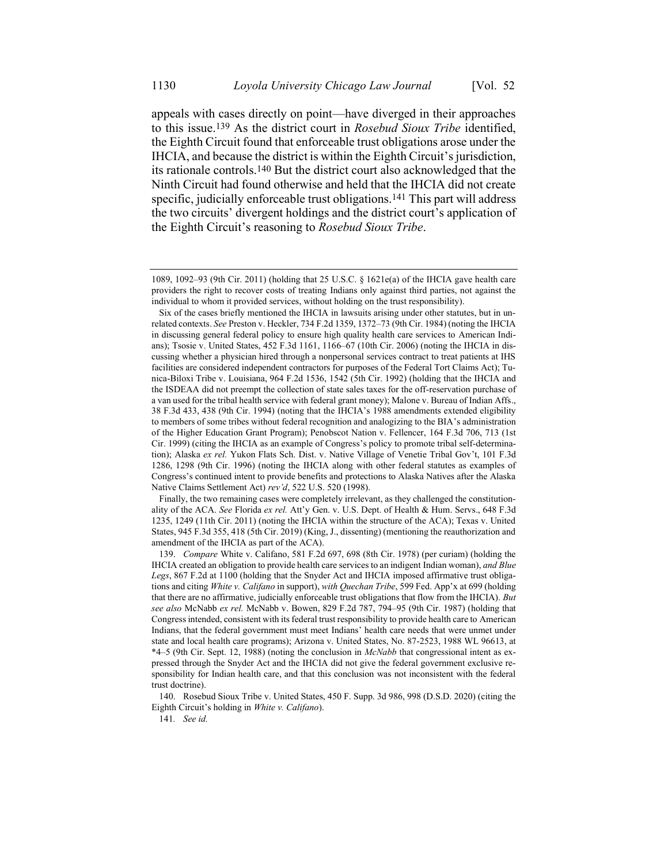appeals with cases directly on point—have diverged in their approaches to this issue.139 As the district court in *Rosebud Sioux Tribe* identified, the Eighth Circuit found that enforceable trust obligations arose under the IHCIA, and because the district is within the Eighth Circuit's jurisdiction, its rationale controls.140 But the district court also acknowledged that the Ninth Circuit had found otherwise and held that the IHCIA did not create specific, judicially enforceable trust obligations.<sup>141</sup> This part will address the two circuits' divergent holdings and the district court's application of the Eighth Circuit's reasoning to *Rosebud Sioux Tribe*.

Finally, the two remaining cases were completely irrelevant, as they challenged the constitutionality of the ACA. *See* Florida *ex rel.* Att'y Gen. v. U.S. Dept. of Health & Hum. Servs., 648 F.3d 1235, 1249 (11th Cir. 2011) (noting the IHCIA within the structure of the ACA); Texas v. United States, 945 F.3d 355, 418 (5th Cir. 2019) (King, J., dissenting) (mentioning the reauthorization and amendment of the IHCIA as part of the ACA).

<sup>1089, 1092</sup>–93 (9th Cir. 2011) (holding that 25 U.S.C. § 1621e(a) of the IHCIA gave health care providers the right to recover costs of treating Indians only against third parties, not against the individual to whom it provided services, without holding on the trust responsibility).

Six of the cases briefly mentioned the IHCIA in lawsuits arising under other statutes, but in unrelated contexts. *See* Preston v. Heckler, 734 F.2d 1359, 1372–73 (9th Cir. 1984) (noting the IHCIA in discussing general federal policy to ensure high quality health care services to American Indians); Tsosie v. United States, 452 F.3d 1161, 1166–67 (10th Cir. 2006) (noting the IHCIA in discussing whether a physician hired through a nonpersonal services contract to treat patients at IHS facilities are considered independent contractors for purposes of the Federal Tort Claims Act); Tunica-Biloxi Tribe v. Louisiana, 964 F.2d 1536, 1542 (5th Cir. 1992) (holding that the IHCIA and the ISDEAA did not preempt the collection of state sales taxes for the off-reservation purchase of a van used for the tribal health service with federal grant money); Malone v. Bureau of Indian Affs., 38 F.3d 433, 438 (9th Cir. 1994) (noting that the IHCIA's 1988 amendments extended eligibility to members of some tribes without federal recognition and analogizing to the BIA's administration of the Higher Education Grant Program); Penobscot Nation v. Fellencer, 164 F.3d 706, 713 (1st Cir. 1999) (citing the IHCIA as an example of Congress's policy to promote tribal self-determination); Alaska *ex rel.* Yukon Flats Sch. Dist. v. Native Village of Venetie Tribal Gov't, 101 F.3d 1286, 1298 (9th Cir. 1996) (noting the IHCIA along with other federal statutes as examples of Congress's continued intent to provide benefits and protections to Alaska Natives after the Alaska Native Claims Settlement Act) *rev'd*, 522 U.S. 520 (1998).

<sup>139.</sup> *Compare* White v. Califano, 581 F.2d 697, 698 (8th Cir. 1978) (per curiam) (holding the IHCIA created an obligation to provide health care services to an indigent Indian woman), *and Blue Legs*, 867 F.2d at 1100 (holding that the Snyder Act and IHCIA imposed affirmative trust obligations and citing *White v. Califano* in support), *with Quechan Tribe*, 599 Fed. App'x at 699 (holding that there are no affirmative, judicially enforceable trust obligations that flow from the IHCIA). *But see also* McNabb *ex rel.* McNabb v. Bowen, 829 F.2d 787, 794–95 (9th Cir. 1987) (holding that Congress intended, consistent with its federal trust responsibility to provide health care to American Indians, that the federal government must meet Indians' health care needs that were unmet under state and local health care programs); Arizona v. United States, No. 87-2523, 1988 WL 96613, at \*4–5 (9th Cir. Sept. 12, 1988) (noting the conclusion in *McNabb* that congressional intent as expressed through the Snyder Act and the IHCIA did not give the federal government exclusive responsibility for Indian health care, and that this conclusion was not inconsistent with the federal trust doctrine).

<sup>140.</sup> Rosebud Sioux Tribe v. United States, 450 F. Supp. 3d 986, 998 (D.S.D. 2020) (citing the Eighth Circuit's holding in *White v. Califano*).

<sup>141</sup>*. See id.*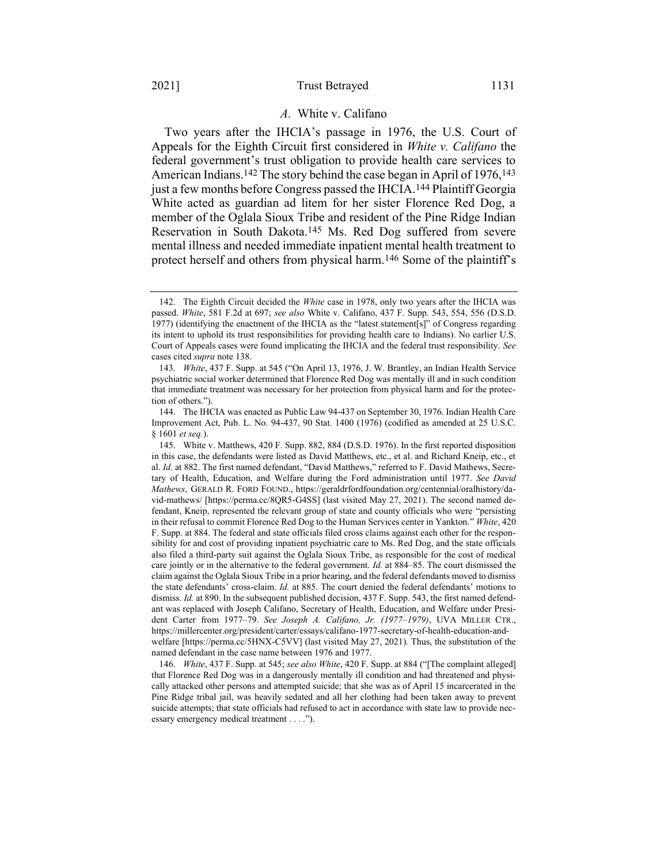### *A.* White v. Califano

Two years after the IHCIA's passage in 1976, the U.S. Court of Appeals for the Eighth Circuit first considered in *White v. Califano* the federal government's trust obligation to provide health care services to American Indians.<sup>142</sup> The story behind the case began in April of 1976,<sup>143</sup> just a few months before Congress passed the IHCIA.144 Plaintiff Georgia White acted as guardian ad litem for her sister Florence Red Dog, a member of the Oglala Sioux Tribe and resident of the Pine Ridge Indian Reservation in South Dakota.145 Ms. Red Dog suffered from severe mental illness and needed immediate inpatient mental health treatment to protect herself and others from physical harm.146 Some of the plaintiff's

<sup>142.</sup> The Eighth Circuit decided the *White* case in 1978, only two years after the IHCIA was passed. *White*, 581 F.2d at 697; *see also* White v. Califano, 437 F. Supp. 543, 554, 556 (D.S.D. 1977) (identifying the enactment of the IHCIA as the "latest statement[s]" of Congress regarding its intent to uphold its trust responsibilities for providing health care to Indians). No earlier U.S. Court of Appeals cases were found implicating the IHCIA and the federal trust responsibility. *See*  cases cited *supra* note [138.](#page-31-0)

<sup>143.</sup> *White*, 437 F. Supp. at 545 ("On April 13, 1976, J. W. Brantley, an Indian Health Service psychiatric social worker determined that Florence Red Dog was mentally ill and in such condition that immediate treatment was necessary for her protection from physical harm and for the protection of others.").

<sup>144.</sup> The IHCIA was enacted as Public Law 94-437 on September 30, 1976. Indian Health Care Improvement Act, Pub. L. No. 94-437, 90 Stat. 1400 (1976) (codified as amended at 25 U.S.C. § 1601 *et seq.*).

<sup>145.</sup> White v. Matthews, 420 F. Supp. 882, 884 (D.S.D. 1976). In the first reported disposition in this case, the defendants were listed as David Matthews, etc., et al. and Richard Kneip, etc., et al. *Id.* at 882. The first named defendant, "David Matthews," referred to F. David Mathews, Secretary of Health, Education, and Welfare during the Ford administration until 1977. *See David Mathews*, GERALD R. FORD FOUND., https://geraldrfordfoundation.org/centennial/oralhistory/david-mathews/ [https://perma.cc/8QR5-G4SS] (last visited May 27, 2021). The second named defendant, Kneip, represented the relevant group of state and county officials who were "persisting in their refusal to commit Florence Red Dog to the Human Services center in Yankton." *White*, 420 F. Supp. at 884. The federal and state officials filed cross claims against each other for the responsibility for and cost of providing inpatient psychiatric care to Ms. Red Dog, and the state officials also filed a third-party suit against the Oglala Sioux Tribe, as responsible for the cost of medical care jointly or in the alternative to the federal government. *Id.* at 884–85. The court dismissed the claim against the Oglala Sioux Tribe in a prior hearing, and the federal defendants moved to dismiss the state defendants' cross-claim. *Id.* at 885. The court denied the federal defendants' motions to dismiss. *Id.* at 890. In the subsequent published decision, 437 F. Supp. 543, the first named defendant was replaced with Joseph Califano, Secretary of Health, Education, and Welfare under President Carter from 1977–79. *See Joseph A. Califano, Jr. (1977–1979)*, UVA MILLER CTR., https://millercenter.org/president/carter/essays/califano-1977-secretary-of-health-education-andwelfare [https://perma.cc/5HNX-C5VV] (last visited May 27, 2021)*.* Thus, the substitution of the named defendant in the case name between 1976 and 1977.

<sup>146.</sup> *White*, 437 F. Supp. at 545; *see also White*, 420 F. Supp. at 884 ("[The complaint alleged] that Florence Red Dog was in a dangerously mentally ill condition and had threatened and physically attacked other persons and attempted suicide; that she was as of April 15 incarcerated in the Pine Ridge tribal jail, was heavily sedated and all her clothing had been taken away to prevent suicide attempts; that state officials had refused to act in accordance with state law to provide necessary emergency medical treatment . . . .").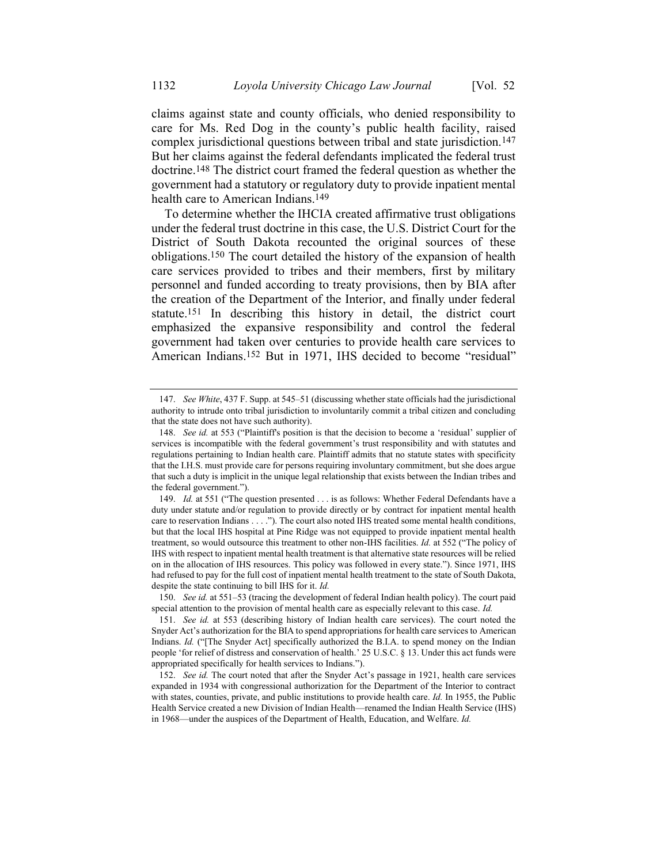claims against state and county officials, who denied responsibility to care for Ms. Red Dog in the county's public health facility, raised complex jurisdictional questions between tribal and state jurisdiction.147 But her claims against the federal defendants implicated the federal trust doctrine.148 The district court framed the federal question as whether the government had a statutory or regulatory duty to provide inpatient mental health care to American Indians. 149

To determine whether the IHCIA created affirmative trust obligations under the federal trust doctrine in this case, the U.S. District Court for the District of South Dakota recounted the original sources of these obligations.150 The court detailed the history of the expansion of health care services provided to tribes and their members, first by military personnel and funded according to treaty provisions, then by BIA after the creation of the Department of the Interior, and finally under federal statute.151 In describing this history in detail, the district court emphasized the expansive responsibility and control the federal government had taken over centuries to provide health care services to American Indians. 152 But in 1971, IHS decided to become "residual"

<sup>147.</sup> *See White*, 437 F. Supp. at 545–51 (discussing whether state officials had the jurisdictional authority to intrude onto tribal jurisdiction to involuntarily commit a tribal citizen and concluding that the state does not have such authority).

<sup>148.</sup> *See id.* at 553 ("Plaintiff's position is that the decision to become a 'residual' supplier of services is incompatible with the federal government's trust responsibility and with statutes and regulations pertaining to Indian health care. Plaintiff admits that no statute states with specificity that the I.H.S. must provide care for persons requiring involuntary commitment, but she does argue that such a duty is implicit in the unique legal relationship that exists between the Indian tribes and the federal government.").

<sup>149.</sup> *Id.* at 551 ("The question presented . . . is as follows: Whether Federal Defendants have a duty under statute and/or regulation to provide directly or by contract for inpatient mental health care to reservation Indians . . . ."). The court also noted IHS treated some mental health conditions, but that the local IHS hospital at Pine Ridge was not equipped to provide inpatient mental health treatment, so would outsource this treatment to other non-IHS facilities. *Id.* at 552 ("The policy of IHS with respect to inpatient mental health treatment is that alternative state resources will be relied on in the allocation of IHS resources. This policy was followed in every state."). Since 1971, IHS had refused to pay for the full cost of inpatient mental health treatment to the state of South Dakota, despite the state continuing to bill IHS for it. *Id.*

<sup>150.</sup> *See id.* at 551–53 (tracing the development of federal Indian health policy). The court paid special attention to the provision of mental health care as especially relevant to this case. *Id.*

<sup>151.</sup> *See id.* at 553 (describing history of Indian health care services). The court noted the Snyder Act's authorization for the BIA to spend appropriations for health care services to American Indians. *Id.* ("[The Snyder Act] specifically authorized the B.I.A. to spend money on the Indian people 'for relief of distress and conservation of health.' 25 U.S.C. § 13. Under this act funds were appropriated specifically for health services to Indians.").

<sup>152.</sup> *See id.* The court noted that after the Snyder Act's passage in 1921, health care services expanded in 1934 with congressional authorization for the Department of the Interior to contract with states, counties, private, and public institutions to provide health care. *Id.* In 1955, the Public Health Service created a new Division of Indian Health—renamed the Indian Health Service (IHS) in 1968—under the auspices of the Department of Health, Education, and Welfare. *Id.*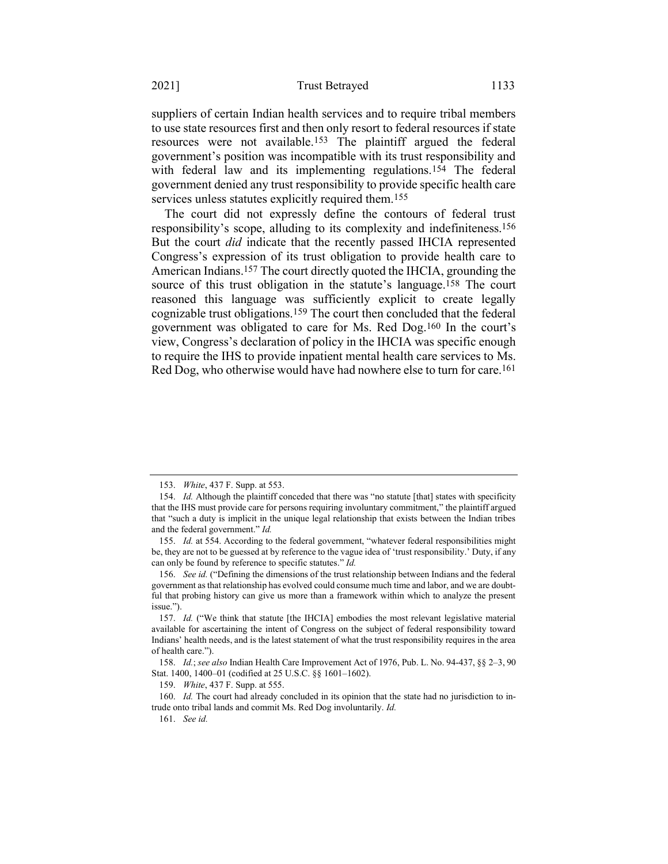#### 2021] Trust Betrayed 1133

suppliers of certain Indian health services and to require tribal members to use state resources first and then only resort to federal resources if state resources were not available.153 The plaintiff argued the federal government's position was incompatible with its trust responsibility and with federal law and its implementing regulations.154 The federal government denied any trust responsibility to provide specific health care services unless statutes explicitly required them.155

The court did not expressly define the contours of federal trust responsibility's scope, alluding to its complexity and indefiniteness.156 But the court *did* indicate that the recently passed IHCIA represented Congress's expression of its trust obligation to provide health care to American Indians. 157 The court directly quoted the IHCIA, grounding the source of this trust obligation in the statute's language.158 The court reasoned this language was sufficiently explicit to create legally cognizable trust obligations.159 The court then concluded that the federal government was obligated to care for Ms. Red Dog.160 In the court's view, Congress's declaration of policy in the IHCIA was specific enough to require the IHS to provide inpatient mental health care services to Ms. Red Dog, who otherwise would have had nowhere else to turn for care.<sup>161</sup>

159. *White*, 437 F. Supp. at 555.

160. *Id.* The court had already concluded in its opinion that the state had no jurisdiction to intrude onto tribal lands and commit Ms. Red Dog involuntarily. *Id.*

161. *See id.*

<sup>153.</sup> *White*, 437 F. Supp. at 553.

<sup>154.</sup> *Id.* Although the plaintiff conceded that there was "no statute [that] states with specificity that the IHS must provide care for persons requiring involuntary commitment," the plaintiff argued that "such a duty is implicit in the unique legal relationship that exists between the Indian tribes and the federal government." *Id.*

<sup>155.</sup> *Id.* at 554. According to the federal government, "whatever federal responsibilities might be, they are not to be guessed at by reference to the vague idea of 'trust responsibility.' Duty, if any can only be found by reference to specific statutes." *Id.*

<sup>156.</sup> *See id.* ("Defining the dimensions of the trust relationship between Indians and the federal government as that relationship has evolved could consume much time and labor, and we are doubtful that probing history can give us more than a framework within which to analyze the present issue.").

<sup>157.</sup> *Id.* ("We think that statute [the IHCIA] embodies the most relevant legislative material available for ascertaining the intent of Congress on the subject of federal responsibility toward Indians' health needs, and is the latest statement of what the trust responsibility requires in the area of health care.").

<sup>158.</sup> *Id.*; *see also* Indian Health Care Improvement Act of 1976, Pub. L. No. 94-437, §§ 2–3, 90 Stat. 1400, 1400–01 (codified at 25 U.S.C. §§ 1601–1602).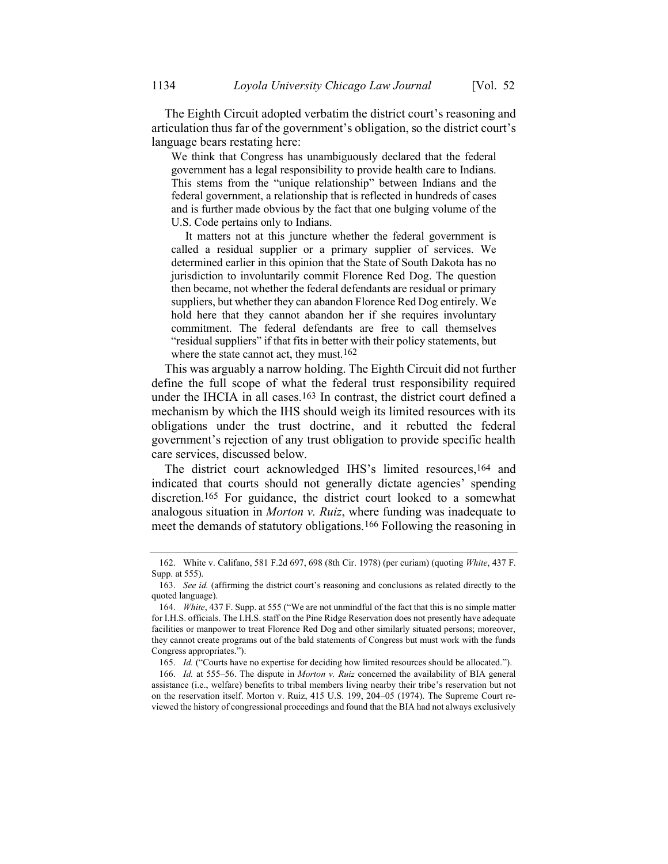The Eighth Circuit adopted verbatim the district court's reasoning and articulation thus far of the government's obligation, so the district court's language bears restating here:

We think that Congress has unambiguously declared that the federal government has a legal responsibility to provide health care to Indians. This stems from the "unique relationship" between Indians and the federal government, a relationship that is reflected in hundreds of cases and is further made obvious by the fact that one bulging volume of the U.S. Code pertains only to Indians.

It matters not at this juncture whether the federal government is called a residual supplier or a primary supplier of services. We determined earlier in this opinion that the State of South Dakota has no jurisdiction to involuntarily commit Florence Red Dog. The question then became, not whether the federal defendants are residual or primary suppliers, but whether they can abandon Florence Red Dog entirely. We hold here that they cannot abandon her if she requires involuntary commitment. The federal defendants are free to call themselves "residual suppliers" if that fits in better with their policy statements, but where the state cannot act, they must.<sup>162</sup>

This was arguably a narrow holding. The Eighth Circuit did not further define the full scope of what the federal trust responsibility required under the IHCIA in all cases.163 In contrast, the district court defined a mechanism by which the IHS should weigh its limited resources with its obligations under the trust doctrine, and it rebutted the federal government's rejection of any trust obligation to provide specific health care services, discussed below.

The district court acknowledged IHS's limited resources,164 and indicated that courts should not generally dictate agencies' spending discretion.165 For guidance, the district court looked to a somewhat analogous situation in *Morton v. Ruiz*, where funding was inadequate to meet the demands of statutory obligations.<sup>166</sup> Following the reasoning in

<sup>162.</sup> White v. Califano, 581 F.2d 697, 698 (8th Cir. 1978) (per curiam) (quoting *White*, 437 F. Supp. at 555).

<sup>163.</sup> *See id.* (affirming the district court's reasoning and conclusions as related directly to the quoted language).

<sup>164.</sup> *White*, 437 F. Supp. at 555 ("We are not unmindful of the fact that this is no simple matter for I.H.S. officials. The I.H.S. staff on the Pine Ridge Reservation does not presently have adequate facilities or manpower to treat Florence Red Dog and other similarly situated persons; moreover, they cannot create programs out of the bald statements of Congress but must work with the funds Congress appropriates.").

<sup>165.</sup> *Id.* ("Courts have no expertise for deciding how limited resources should be allocated.").

<sup>166.</sup> *Id.* at 555–56. The dispute in *Morton v. Ruiz* concerned the availability of BIA general assistance (i.e., welfare) benefits to tribal members living nearby their tribe's reservation but not on the reservation itself. Morton v. Ruiz, 415 U.S. 199, 204–05 (1974). The Supreme Court reviewed the history of congressional proceedings and found that the BIA had not always exclusively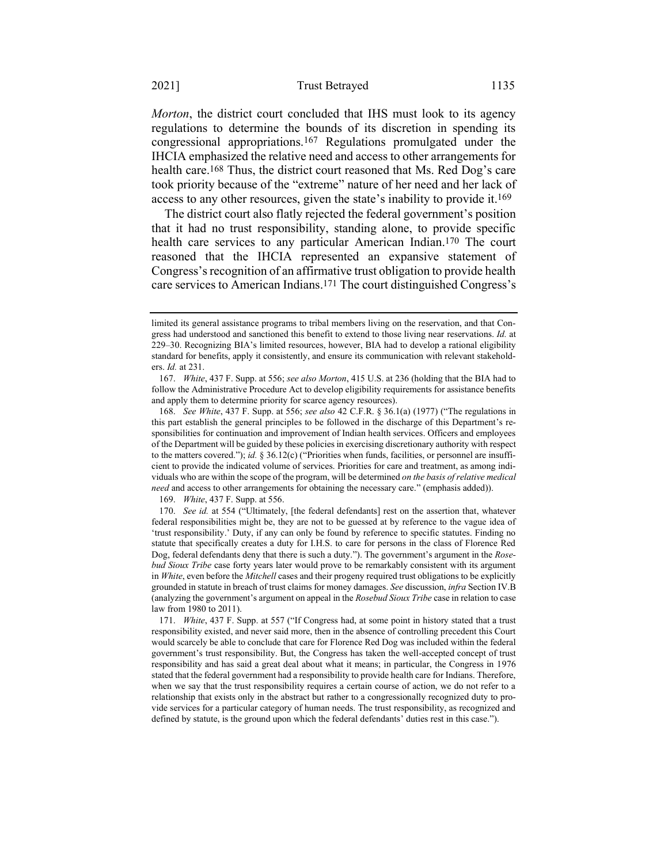*Morton*, the district court concluded that IHS must look to its agency regulations to determine the bounds of its discretion in spending its congressional appropriations.167 Regulations promulgated under the IHCIA emphasized the relative need and access to other arrangements for health care.<sup>168</sup> Thus, the district court reasoned that Ms. Red Dog's care took priority because of the "extreme" nature of her need and her lack of access to any other resources, given the state's inability to provide it.169

The district court also flatly rejected the federal government's position that it had no trust responsibility, standing alone, to provide specific health care services to any particular American Indian. 170 The court reasoned that the IHCIA represented an expansive statement of Congress's recognition of an affirmative trust obligation to provide health care services to American Indians. 171 The court distinguished Congress's

169. *White*, 437 F. Supp. at 556.

170. *See id.* at 554 ("Ultimately, [the federal defendants] rest on the assertion that, whatever federal responsibilities might be, they are not to be guessed at by reference to the vague idea of 'trust responsibility.' Duty, if any can only be found by reference to specific statutes. Finding no statute that specifically creates a duty for I.H.S. to care for persons in the class of Florence Red Dog, federal defendants deny that there is such a duty."). The government's argument in the *Rosebud Sioux Tribe* case forty years later would prove to be remarkably consistent with its argument in *White*, even before the *Mitchell* cases and their progeny required trust obligations to be explicitly grounded in statute in breach of trust claims for money damages. *See* discussion, *infra* Section IV.B (analyzing the government's argument on appeal in the *Rosebud Sioux Tribe* case in relation to case law from 1980 to 2011).

171. *White*, 437 F. Supp. at 557 ("If Congress had, at some point in history stated that a trust responsibility existed, and never said more, then in the absence of controlling precedent this Court would scarcely be able to conclude that care for Florence Red Dog was included within the federal government's trust responsibility. But, the Congress has taken the well-accepted concept of trust responsibility and has said a great deal about what it means; in particular, the Congress in 1976 stated that the federal government had a responsibility to provide health care for Indians. Therefore, when we say that the trust responsibility requires a certain course of action, we do not refer to a relationship that exists only in the abstract but rather to a congressionally recognized duty to provide services for a particular category of human needs. The trust responsibility, as recognized and defined by statute, is the ground upon which the federal defendants' duties rest in this case.").

limited its general assistance programs to tribal members living on the reservation, and that Congress had understood and sanctioned this benefit to extend to those living near reservations. *Id.* at 229–30. Recognizing BIA's limited resources, however, BIA had to develop a rational eligibility standard for benefits, apply it consistently, and ensure its communication with relevant stakeholders. *Id.* at 231.

<sup>167.</sup> *White*, 437 F. Supp. at 556; *see also Morton*, 415 U.S. at 236 (holding that the BIA had to follow the Administrative Procedure Act to develop eligibility requirements for assistance benefits and apply them to determine priority for scarce agency resources).

<sup>168.</sup> *See White*, 437 F. Supp. at 556; *see also* 42 C.F.R. § 36.1(a) (1977) ("The regulations in this part establish the general principles to be followed in the discharge of this Department's responsibilities for continuation and improvement of Indian health services. Officers and employees of the Department will be guided by these policies in exercising discretionary authority with respect to the matters covered."); *id.* § 36.12(c) ("Priorities when funds, facilities, or personnel are insufficient to provide the indicated volume of services. Priorities for care and treatment, as among individuals who are within the scope of the program, will be determined *on the basis of relative medical need* and access to other arrangements for obtaining the necessary care." (emphasis added)).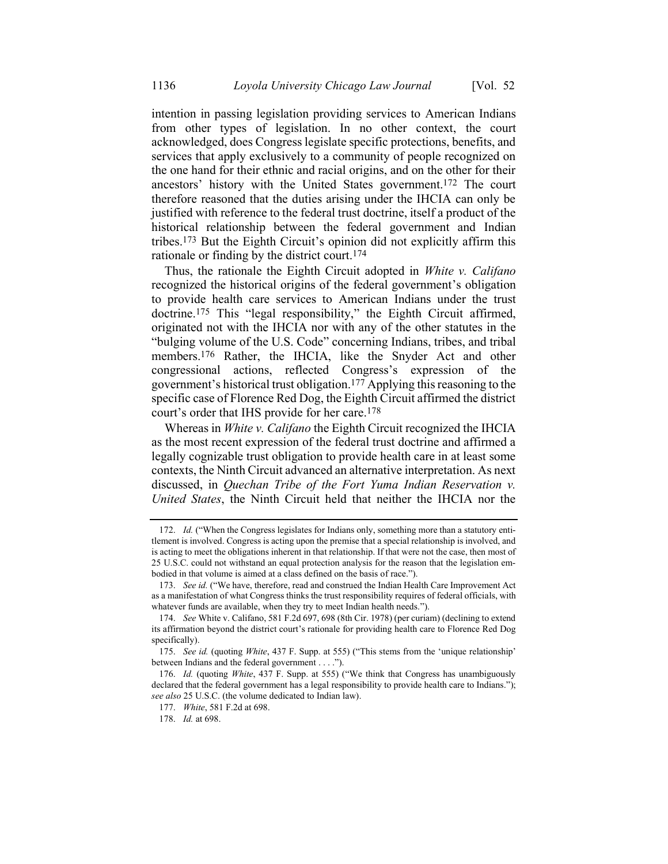intention in passing legislation providing services to American Indians from other types of legislation. In no other context, the court acknowledged, does Congress legislate specific protections, benefits, and services that apply exclusively to a community of people recognized on the one hand for their ethnic and racial origins, and on the other for their ancestors' history with the United States government.172 The court therefore reasoned that the duties arising under the IHCIA can only be justified with reference to the federal trust doctrine, itself a product of the historical relationship between the federal government and Indian tribes.173 But the Eighth Circuit's opinion did not explicitly affirm this rationale or finding by the district court.174

Thus, the rationale the Eighth Circuit adopted in *White v. Califano* recognized the historical origins of the federal government's obligation to provide health care services to American Indians under the trust doctrine.175 This "legal responsibility," the Eighth Circuit affirmed, originated not with the IHCIA nor with any of the other statutes in the "bulging volume of the U.S. Code" concerning Indians, tribes, and tribal members.176 Rather, the IHCIA, like the Snyder Act and other congressional actions, reflected Congress's expression of the government's historical trust obligation.177 Applying this reasoning to the specific case of Florence Red Dog, the Eighth Circuit affirmed the district court's order that IHS provide for her care.178

Whereas in *White v. Califano* the Eighth Circuit recognized the IHCIA as the most recent expression of the federal trust doctrine and affirmed a legally cognizable trust obligation to provide health care in at least some contexts, the Ninth Circuit advanced an alternative interpretation. As next discussed, in *Quechan Tribe of the Fort Yuma Indian Reservation v. United States*, the Ninth Circuit held that neither the IHCIA nor the

<sup>172.</sup> *Id.* ("When the Congress legislates for Indians only, something more than a statutory entitlement is involved. Congress is acting upon the premise that a special relationship is involved, and is acting to meet the obligations inherent in that relationship. If that were not the case, then most of 25 U.S.C. could not withstand an equal protection analysis for the reason that the legislation embodied in that volume is aimed at a class defined on the basis of race.").

<sup>173.</sup> *See id.* ("We have, therefore, read and construed the Indian Health Care Improvement Act as a manifestation of what Congress thinks the trust responsibility requires of federal officials, with whatever funds are available, when they try to meet Indian health needs.").

<sup>174.</sup> *See* White v. Califano, 581 F.2d 697, 698 (8th Cir. 1978) (per curiam) (declining to extend its affirmation beyond the district court's rationale for providing health care to Florence Red Dog specifically).

<sup>175.</sup> *See id.* (quoting *White*, 437 F. Supp. at 555) ("This stems from the 'unique relationship' between Indians and the federal government . . . .").

<sup>176.</sup> *Id.* (quoting *White*, 437 F. Supp. at 555) ("We think that Congress has unambiguously declared that the federal government has a legal responsibility to provide health care to Indians."); *see also* 25 U.S.C. (the volume dedicated to Indian law).

<sup>177.</sup> *White*, 581 F.2d at 698.

<sup>178.</sup> *Id.* at 698.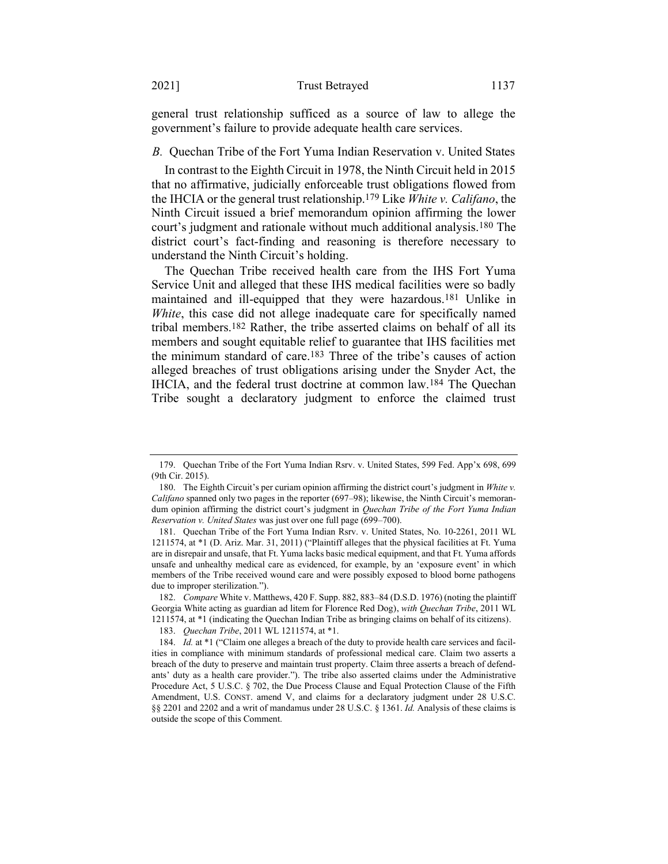general trust relationship sufficed as a source of law to allege the government's failure to provide adequate health care services.

### *B.* Quechan Tribe of the Fort Yuma Indian Reservation v. United States

In contrast to the Eighth Circuit in 1978, the Ninth Circuit held in 2015 that no affirmative, judicially enforceable trust obligations flowed from the IHCIA or the general trust relationship.179 Like *White v. Califano*, the Ninth Circuit issued a brief memorandum opinion affirming the lower court's judgment and rationale without much additional analysis.180 The district court's fact-finding and reasoning is therefore necessary to understand the Ninth Circuit's holding.

The Quechan Tribe received health care from the IHS Fort Yuma Service Unit and alleged that these IHS medical facilities were so badly maintained and ill-equipped that they were hazardous.181 Unlike in *White*, this case did not allege inadequate care for specifically named tribal members.182 Rather, the tribe asserted claims on behalf of all its members and sought equitable relief to guarantee that IHS facilities met the minimum standard of care.183 Three of the tribe's causes of action alleged breaches of trust obligations arising under the Snyder Act, the IHCIA, and the federal trust doctrine at common law.184 The Quechan Tribe sought a declaratory judgment to enforce the claimed trust

<sup>179.</sup> Quechan Tribe of the Fort Yuma Indian Rsrv. v. United States, 599 Fed. App'x 698, 699 (9th Cir. 2015).

<sup>180.</sup> The Eighth Circuit's per curiam opinion affirming the district court's judgment in *White v. Califano* spanned only two pages in the reporter (697–98); likewise, the Ninth Circuit's memorandum opinion affirming the district court's judgment in *Quechan Tribe of the Fort Yuma Indian Reservation v. United States* was just over one full page (699–700).

<sup>181.</sup> Quechan Tribe of the Fort Yuma Indian Rsrv. v. United States, No. 10-2261, 2011 WL 1211574, at \*1 (D. Ariz. Mar. 31, 2011) ("Plaintiff alleges that the physical facilities at Ft. Yuma are in disrepair and unsafe, that Ft. Yuma lacks basic medical equipment, and that Ft. Yuma affords unsafe and unhealthy medical care as evidenced, for example, by an 'exposure event' in which members of the Tribe received wound care and were possibly exposed to blood borne pathogens due to improper sterilization.").

<sup>182.</sup> *Compare* White v. Matthews, 420 F. Supp. 882, 883–84 (D.S.D. 1976) (noting the plaintiff Georgia White acting as guardian ad litem for Florence Red Dog), *with Quechan Tribe*, 2011 WL 1211574, at \*1 (indicating the Quechan Indian Tribe as bringing claims on behalf of its citizens).

<sup>183.</sup> *Quechan Tribe*, 2011 WL 1211574, at \*1.

<sup>184.</sup> *Id.* at \*1 ("Claim one alleges a breach of the duty to provide health care services and facilities in compliance with minimum standards of professional medical care. Claim two asserts a breach of the duty to preserve and maintain trust property. Claim three asserts a breach of defendants' duty as a health care provider."). The tribe also asserted claims under the Administrative Procedure Act, 5 U.S.C. § 702, the Due Process Clause and Equal Protection Clause of the Fifth Amendment, U.S. CONST. amend V, and claims for a declaratory judgment under 28 U.S.C. §§ 2201 and 2202 and a writ of mandamus under 28 U.S.C. § 1361. *Id.* Analysis of these claims is outside the scope of this Comment.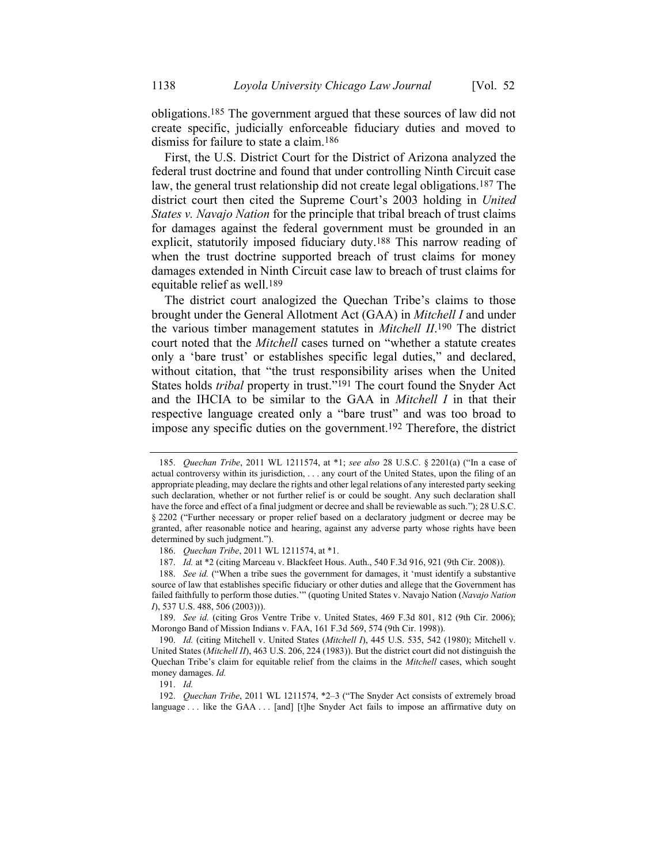obligations.185 The government argued that these sources of law did not create specific, judicially enforceable fiduciary duties and moved to dismiss for failure to state a claim.186

First, the U.S. District Court for the District of Arizona analyzed the federal trust doctrine and found that under controlling Ninth Circuit case law, the general trust relationship did not create legal obligations.187 The district court then cited the Supreme Court's 2003 holding in *United States v. Navajo Nation* for the principle that tribal breach of trust claims for damages against the federal government must be grounded in an explicit, statutorily imposed fiduciary duty.188 This narrow reading of when the trust doctrine supported breach of trust claims for money damages extended in Ninth Circuit case law to breach of trust claims for equitable relief as well.189

The district court analogized the Quechan Tribe's claims to those brought under the General Allotment Act (GAA) in *Mitchell I* and under the various timber management statutes in *Mitchell II*. 190 The district court noted that the *Mitchell* cases turned on "whether a statute creates only a 'bare trust' or establishes specific legal duties," and declared, without citation, that "the trust responsibility arises when the United States holds *tribal* property in trust."191 The court found the Snyder Act and the IHCIA to be similar to the GAA in *Mitchell I* in that their respective language created only a "bare trust" and was too broad to impose any specific duties on the government.192 Therefore, the district

191. *Id.*

<sup>185.</sup> *Quechan Tribe*, 2011 WL 1211574, at \*1; *see also* 28 U.S.C. § 2201(a) ("In a case of actual controversy within its jurisdiction, . . . any court of the United States, upon the filing of an appropriate pleading, may declare the rights and other legal relations of any interested party seeking such declaration, whether or not further relief is or could be sought. Any such declaration shall have the force and effect of a final judgment or decree and shall be reviewable as such."); 28 U.S.C. § 2202 ("Further necessary or proper relief based on a declaratory judgment or decree may be granted, after reasonable notice and hearing, against any adverse party whose rights have been determined by such judgment.").

<sup>186.</sup> *Quechan Tribe*, 2011 WL 1211574, at \*1.

<sup>187.</sup> *Id.* at \*2 (citing Marceau v. Blackfeet Hous. Auth., 540 F.3d 916, 921 (9th Cir. 2008)).

<sup>188.</sup> *See id.* ("When a tribe sues the government for damages, it 'must identify a substantive source of law that establishes specific fiduciary or other duties and allege that the Government has failed faithfully to perform those duties.'" (quoting United States v. Navajo Nation (*Navajo Nation I*), 537 U.S. 488, 506 (2003))).

<sup>189.</sup> *See id.* (citing Gros Ventre Tribe v. United States, 469 F.3d 801, 812 (9th Cir. 2006); Morongo Band of Mission Indians v. FAA, 161 F.3d 569, 574 (9th Cir. 1998)).

<sup>190.</sup> *Id.* (citing Mitchell v. United States (*Mitchell I*), 445 U.S. 535, 542 (1980); Mitchell v. United States (*Mitchell II*), 463 U.S. 206, 224 (1983)). But the district court did not distinguish the Quechan Tribe's claim for equitable relief from the claims in the *Mitchell* cases, which sought money damages. *Id.*

<sup>192.</sup> *Quechan Tribe*, 2011 WL 1211574, \*2–3 ("The Snyder Act consists of extremely broad language ... like the GAA ... [and] [t]he Snyder Act fails to impose an affirmative duty on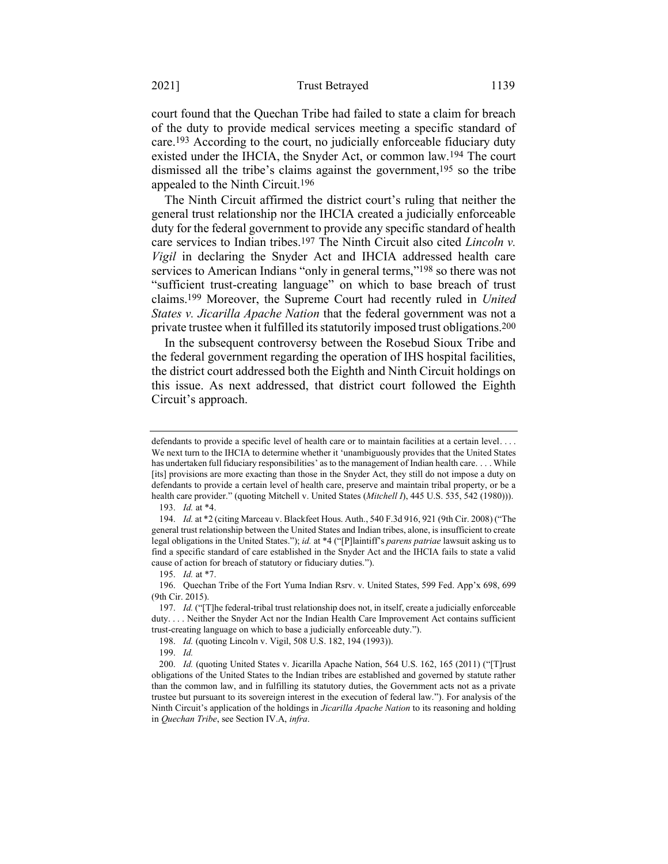court found that the Quechan Tribe had failed to state a claim for breach of the duty to provide medical services meeting a specific standard of care.193 According to the court, no judicially enforceable fiduciary duty existed under the IHCIA, the Snyder Act, or common law.194 The court dismissed all the tribe's claims against the government,195 so the tribe appealed to the Ninth Circuit.196

The Ninth Circuit affirmed the district court's ruling that neither the general trust relationship nor the IHCIA created a judicially enforceable duty for the federal government to provide any specific standard of health care services to Indian tribes.197 The Ninth Circuit also cited *Lincoln v. Vigil* in declaring the Snyder Act and IHCIA addressed health care services to American Indians "only in general terms,"<sup>198</sup> so there was not "sufficient trust-creating language" on which to base breach of trust claims.199 Moreover, the Supreme Court had recently ruled in *United States v. Jicarilla Apache Nation* that the federal government was not a private trustee when it fulfilled its statutorily imposed trust obligations.200

In the subsequent controversy between the Rosebud Sioux Tribe and the federal government regarding the operation of IHS hospital facilities, the district court addressed both the Eighth and Ninth Circuit holdings on this issue. As next addressed, that district court followed the Eighth Circuit's approach.

198. *Id.* (quoting Lincoln v. Vigil, 508 U.S. 182, 194 (1993)).

199. *Id.*

defendants to provide a specific level of health care or to maintain facilities at a certain level. . . . We next turn to the IHCIA to determine whether it 'unambiguously provides that the United States has undertaken full fiduciary responsibilities' as to the management of Indian health care. . . . While [its] provisions are more exacting than those in the Snyder Act, they still do not impose a duty on defendants to provide a certain level of health care, preserve and maintain tribal property, or be a health care provider." (quoting Mitchell v. United States (*Mitchell I*), 445 U.S. 535, 542 (1980))). 193. *Id.* at \*4.

<sup>194.</sup> *Id.* at \*2 (citing Marceau v. Blackfeet Hous. Auth., 540 F.3d 916, 921 (9th Cir. 2008) ("The general trust relationship between the United States and Indian tribes, alone, is insufficient to create legal obligations in the United States."); *id.* at \*4 ("[P]laintiff's *parens patriae* lawsuit asking us to find a specific standard of care established in the Snyder Act and the IHCIA fails to state a valid cause of action for breach of statutory or fiduciary duties.").

<sup>195.</sup> *Id.* at \*7.

<sup>196.</sup> Quechan Tribe of the Fort Yuma Indian Rsrv. v. United States, 599 Fed. App'x 698, 699 (9th Cir. 2015).

<sup>197.</sup> *Id.* ("[T]he federal-tribal trust relationship does not, in itself, create a judicially enforceable duty. . . . Neither the Snyder Act nor the Indian Health Care Improvement Act contains sufficient trust-creating language on which to base a judicially enforceable duty.").

<sup>200.</sup> *Id.* (quoting United States v. Jicarilla Apache Nation, 564 U.S. 162, 165 (2011) ("[T]rust obligations of the United States to the Indian tribes are established and governed by statute rather than the common law, and in fulfilling its statutory duties, the Government acts not as a private trustee but pursuant to its sovereign interest in the execution of federal law."). For analysis of the Ninth Circuit's application of the holdings in *Jicarilla Apache Nation* to its reasoning and holding in *Quechan Tribe*, see Section IV.A, *infra*.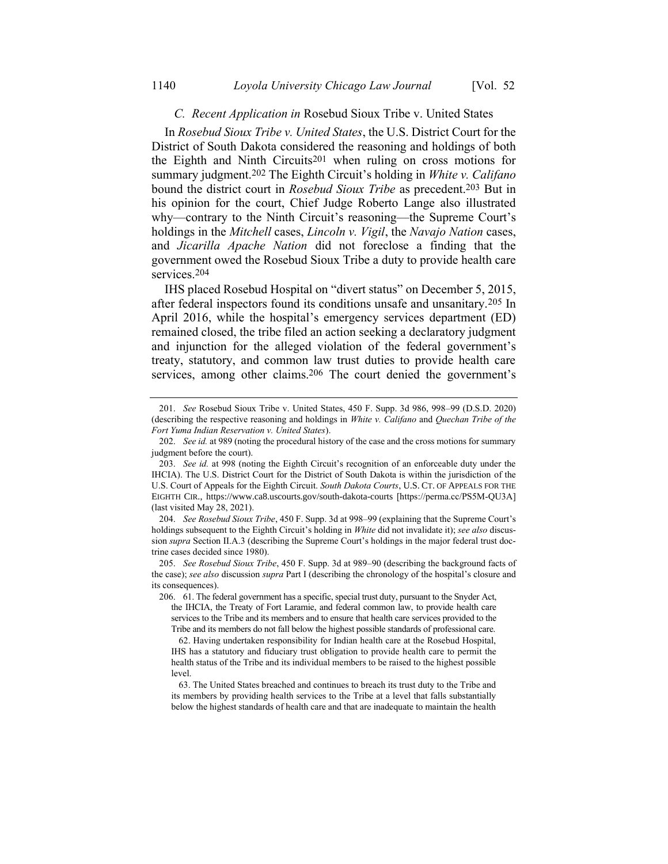# <span id="page-42-0"></span>*C. Recent Application in* Rosebud Sioux Tribe v. United States

In *Rosebud Sioux Tribe v. United States*, the U.S. District Court for the District of South Dakota considered the reasoning and holdings of both the Eighth and Ninth Circuits201 when ruling on cross motions for summary judgment.202 The Eighth Circuit's holding in *White v. Califano*  bound the district court in *Rosebud Sioux Tribe* as precedent.203 But in his opinion for the court, Chief Judge Roberto Lange also illustrated why—contrary to the Ninth Circuit's reasoning—the Supreme Court's holdings in the *Mitchell* cases, *Lincoln v. Vigil*, the *Navajo Nation* cases, and *Jicarilla Apache Nation* did not foreclose a finding that the government owed the Rosebud Sioux Tribe a duty to provide health care services.204

IHS placed Rosebud Hospital on "divert status" on December 5, 2015, after federal inspectors found its conditions unsafe and unsanitary.205 In April 2016, while the hospital's emergency services department (ED) remained closed, the tribe filed an action seeking a declaratory judgment and injunction for the alleged violation of the federal government's treaty, statutory, and common law trust duties to provide health care services, among other claims.<sup>206</sup> The court denied the government's

<sup>201.</sup> *See* Rosebud Sioux Tribe v. United States, 450 F. Supp. 3d 986, 998–99 (D.S.D. 2020) (describing the respective reasoning and holdings in *White v. Califano* and *Quechan Tribe of the Fort Yuma Indian Reservation v. United States*).

<sup>202.</sup> *See id.* at 989 (noting the procedural history of the case and the cross motions for summary judgment before the court).

<sup>203.</sup> *See id.* at 998 (noting the Eighth Circuit's recognition of an enforceable duty under the IHCIA). The U.S. District Court for the District of South Dakota is within the jurisdiction of the U.S. Court of Appeals for the Eighth Circuit. *South Dakota Courts*, U.S. CT. OF APPEALS FOR THE EIGHTH CIR., https://www.ca8.uscourts.gov/south-dakota-courts [https://perma.cc/PS5M-QU3A] (last visited May 28, 2021).

<sup>204.</sup> *See Rosebud Sioux Tribe*, 450 F. Supp. 3d at 998–99 (explaining that the Supreme Court's holdings subsequent to the Eighth Circuit's holding in *White* did not invalidate it); *see also* discussion *supra* Section II.A.3 (describing the Supreme Court's holdings in the major federal trust doctrine cases decided since 1980).

<sup>205.</sup> *See Rosebud Sioux Tribe*, 450 F. Supp. 3d at 989–90 (describing the background facts of the case); *see also* discussion *supra* Part I (describing the chronology of the hospital's closure and its consequences).

<sup>206.</sup> 61. The federal government has a specific, special trust duty, pursuant to the Snyder Act, the IHCIA, the Treaty of Fort Laramie, and federal common law, to provide health care services to the Tribe and its members and to ensure that health care services provided to the Tribe and its members do not fall below the highest possible standards of professional care.

<sup>62.</sup> Having undertaken responsibility for Indian health care at the Rosebud Hospital, IHS has a statutory and fiduciary trust obligation to provide health care to permit the health status of the Tribe and its individual members to be raised to the highest possible level.

<sup>63.</sup> The United States breached and continues to breach its trust duty to the Tribe and its members by providing health services to the Tribe at a level that falls substantially below the highest standards of health care and that are inadequate to maintain the health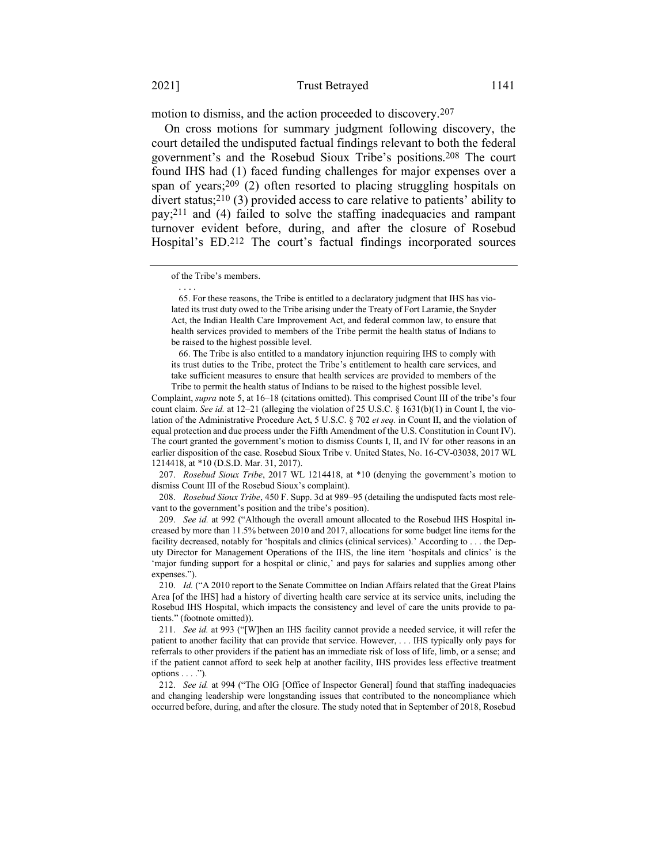motion to dismiss, and the action proceeded to discovery.207

On cross motions for summary judgment following discovery, the court detailed the undisputed factual findings relevant to both the federal government's and the Rosebud Sioux Tribe's positions.208 The court found IHS had (1) faced funding challenges for major expenses over a span of years;209 (2) often resorted to placing struggling hospitals on divert status;210 (3) provided access to care relative to patients' ability to pay;211 and (4) failed to solve the staffing inadequacies and rampant turnover evident before, during, and after the closure of Rosebud Hospital's ED.212 The court's factual findings incorporated sources

. . . .

66. The Tribe is also entitled to a mandatory injunction requiring IHS to comply with its trust duties to the Tribe, protect the Tribe's entitlement to health care services, and take sufficient measures to ensure that health services are provided to members of the Tribe to permit the health status of Indians to be raised to the highest possible level.

Complaint, *supra* not[e 5,](#page-4-0) at 16–18 (citations omitted). This comprised Count III of the tribe's four count claim. *See id.* at 12–21 (alleging the violation of 25 U.S.C. § 1631(b)(1) in Count I, the violation of the Administrative Procedure Act, 5 U.S.C. § 702 *et seq.* in Count II, and the violation of equal protection and due process under the Fifth Amendment of the U.S. Constitution in Count IV). The court granted the government's motion to dismiss Counts I, II, and IV for other reasons in an earlier disposition of the case. Rosebud Sioux Tribe v. United States, No. 16-CV-03038, 2017 WL 1214418, at \*10 (D.S.D. Mar. 31, 2017).

207. *Rosebud Sioux Tribe*, 2017 WL 1214418, at \*10 (denying the government's motion to dismiss Count III of the Rosebud Sioux's complaint).

208. *Rosebud Sioux Tribe*, 450 F. Supp. 3d at 989–95 (detailing the undisputed facts most relevant to the government's position and the tribe's position).

209. *See id.* at 992 ("Although the overall amount allocated to the Rosebud IHS Hospital increased by more than 11.5% between 2010 and 2017, allocations for some budget line items for the facility decreased, notably for 'hospitals and clinics (clinical services).' According to . . . the Deputy Director for Management Operations of the IHS, the line item 'hospitals and clinics' is the 'major funding support for a hospital or clinic,' and pays for salaries and supplies among other expenses.").

210. *Id.* ("A 2010 report to the Senate Committee on Indian Affairs related that the Great Plains Area [of the IHS] had a history of diverting health care service at its service units, including the Rosebud IHS Hospital, which impacts the consistency and level of care the units provide to patients." (footnote omitted)).

211. *See id.* at 993 ("[W]hen an IHS facility cannot provide a needed service, it will refer the patient to another facility that can provide that service. However, . . . IHS typically only pays for referrals to other providers if the patient has an immediate risk of loss of life, limb, or a sense; and if the patient cannot afford to seek help at another facility, IHS provides less effective treatment options  $\dots$ .").

212. *See id.* at 994 ("The OIG [Office of Inspector General] found that staffing inadequacies and changing leadership were longstanding issues that contributed to the noncompliance which occurred before, during, and after the closure. The study noted that in September of 2018, Rosebud

of the Tribe's members.

<sup>65.</sup> For these reasons, the Tribe is entitled to a declaratory judgment that IHS has violated its trust duty owed to the Tribe arising under the Treaty of Fort Laramie, the Snyder Act, the Indian Health Care Improvement Act, and federal common law, to ensure that health services provided to members of the Tribe permit the health status of Indians to be raised to the highest possible level.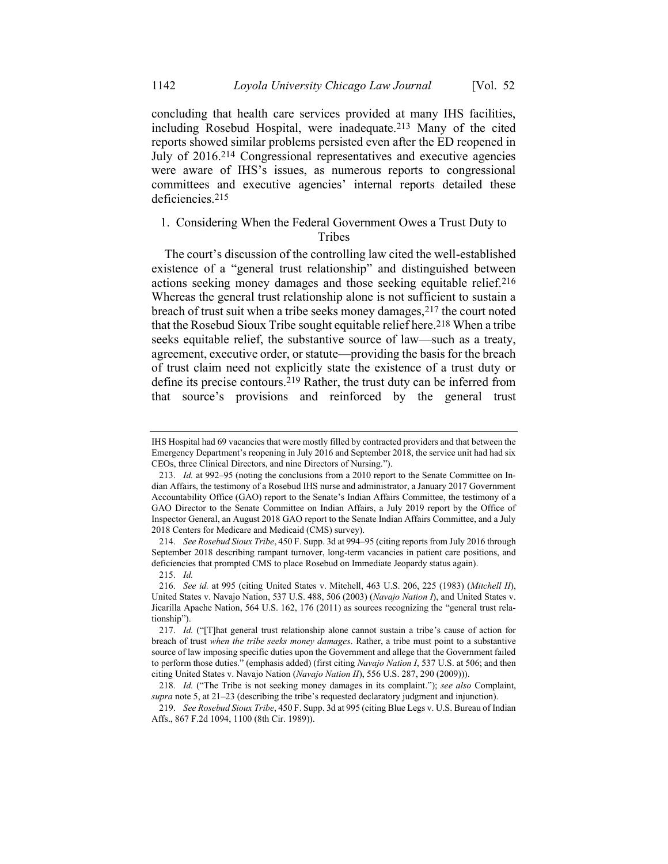concluding that health care services provided at many IHS facilities, including Rosebud Hospital, were inadequate.213 Many of the cited reports showed similar problems persisted even after the ED reopened in July of 2016.214 Congressional representatives and executive agencies were aware of IHS's issues, as numerous reports to congressional committees and executive agencies' internal reports detailed these deficiencies.215

# 1. Considering When the Federal Government Owes a Trust Duty to Tribes

The court's discussion of the controlling law cited the well-established existence of a "general trust relationship" and distinguished between actions seeking money damages and those seeking equitable relief.216 Whereas the general trust relationship alone is not sufficient to sustain a breach of trust suit when a tribe seeks money damages,  $2^{17}$  the court noted that the Rosebud Sioux Tribe sought equitable relief here.218 When a tribe seeks equitable relief, the substantive source of law—such as a treaty, agreement, executive order, or statute—providing the basis for the breach of trust claim need not explicitly state the existence of a trust duty or define its precise contours.219 Rather, the trust duty can be inferred from that source's provisions and reinforced by the general trust

214. *See Rosebud Sioux Tribe*, 450 F. Supp. 3d at 994–95 (citing reports from July 2016 through September 2018 describing rampant turnover, long-term vacancies in patient care positions, and deficiencies that prompted CMS to place Rosebud on Immediate Jeopardy status again).

215. *Id.*

IHS Hospital had 69 vacancies that were mostly filled by contracted providers and that between the Emergency Department's reopening in July 2016 and September 2018, the service unit had had six CEOs, three Clinical Directors, and nine Directors of Nursing.").

<sup>213.</sup> *Id.* at 992–95 (noting the conclusions from a 2010 report to the Senate Committee on Indian Affairs, the testimony of a Rosebud IHS nurse and administrator, a January 2017 Government Accountability Office (GAO) report to the Senate's Indian Affairs Committee, the testimony of a GAO Director to the Senate Committee on Indian Affairs, a July 2019 report by the Office of Inspector General, an August 2018 GAO report to the Senate Indian Affairs Committee, and a July 2018 Centers for Medicare and Medicaid (CMS) survey).

<sup>216.</sup> *See id.* at 995 (citing United States v. Mitchell, 463 U.S. 206, 225 (1983) (*Mitchell II*), United States v. Navajo Nation, 537 U.S. 488, 506 (2003) (*Navajo Nation I*), and United States v. Jicarilla Apache Nation, 564 U.S. 162, 176 (2011) as sources recognizing the "general trust relationship").

<sup>217.</sup> *Id.* ("[T]hat general trust relationship alone cannot sustain a tribe's cause of action for breach of trust *when the tribe seeks money damages*. Rather, a tribe must point to a substantive source of law imposing specific duties upon the Government and allege that the Government failed to perform those duties." (emphasis added) (first citing *Navajo Nation I*, 537 U.S. at 506; and then citing United States v. Navajo Nation (*Navajo Nation II*), 556 U.S. 287, 290 (2009))).

<sup>218.</sup> *Id.* ("The Tribe is not seeking money damages in its complaint."); *see also* Complaint, *supra* not[e 5,](#page-4-0) at 21–23 (describing the tribe's requested declaratory judgment and injunction).

<sup>219.</sup> *See Rosebud Sioux Tribe*, 450 F. Supp. 3d at 995 (citing Blue Legs v. U.S. Bureau of Indian Affs., 867 F.2d 1094, 1100 (8th Cir. 1989)).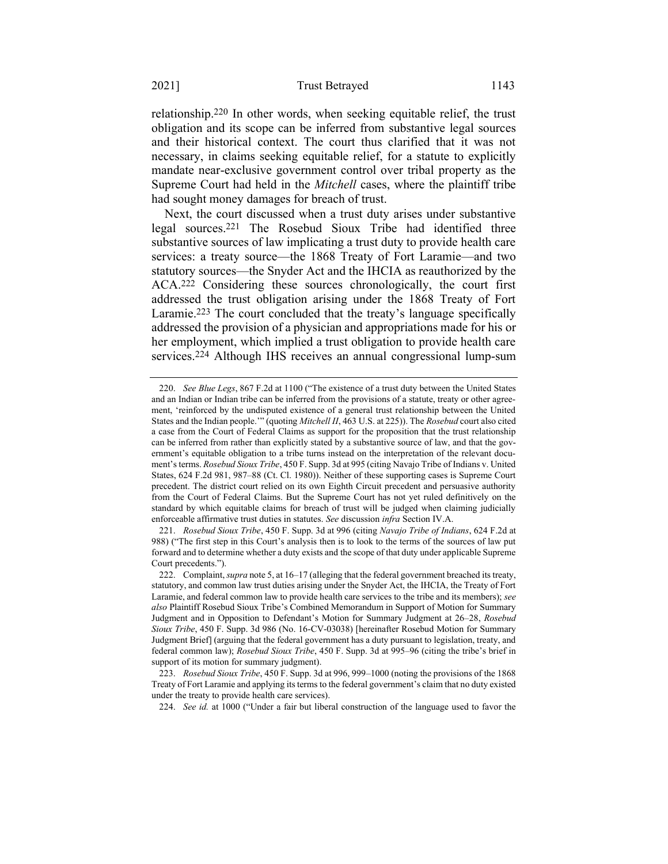relationship.220 In other words, when seeking equitable relief, the trust obligation and its scope can be inferred from substantive legal sources and their historical context. The court thus clarified that it was not necessary, in claims seeking equitable relief, for a statute to explicitly mandate near-exclusive government control over tribal property as the Supreme Court had held in the *Mitchell* cases, where the plaintiff tribe had sought money damages for breach of trust.

<span id="page-45-0"></span>Next, the court discussed when a trust duty arises under substantive legal sources. 221 The Rosebud Sioux Tribe had identified three substantive sources of law implicating a trust duty to provide health care services: a treaty source—the 1868 Treaty of Fort Laramie—and two statutory sources—the Snyder Act and the IHCIA as reauthorized by the ACA.222 Considering these sources chronologically, the court first addressed the trust obligation arising under the 1868 Treaty of Fort Laramie.223 The court concluded that the treaty's language specifically addressed the provision of a physician and appropriations made for his or her employment, which implied a trust obligation to provide health care services.224 Although IHS receives an annual congressional lump-sum

224. *See id.* at 1000 ("Under a fair but liberal construction of the language used to favor the

<span id="page-45-1"></span><sup>220.</sup> *See Blue Legs*, 867 F.2d at 1100 ("The existence of a trust duty between the United States and an Indian or Indian tribe can be inferred from the provisions of a statute, treaty or other agreement, 'reinforced by the undisputed existence of a general trust relationship between the United States and the Indian people.'" (quoting *Mitchell II*, 463 U.S. at 225)). The *Rosebud* court also cited a case from the Court of Federal Claims as support for the proposition that the trust relationship can be inferred from rather than explicitly stated by a substantive source of law, and that the government's equitable obligation to a tribe turns instead on the interpretation of the relevant document's terms. *Rosebud Sioux Tribe*, 450 F. Supp. 3d at 995 (citing Navajo Tribe of Indians v. United States, 624 F.2d 981, 987–88 (Ct. Cl. 1980)). Neither of these supporting cases is Supreme Court precedent. The district court relied on its own Eighth Circuit precedent and persuasive authority from the Court of Federal Claims. But the Supreme Court has not yet ruled definitively on the standard by which equitable claims for breach of trust will be judged when claiming judicially enforceable affirmative trust duties in statutes. *See* discussion *infra* Section IV.A.

<sup>221.</sup> *Rosebud Sioux Tribe*, 450 F. Supp. 3d at 996 (citing *Navajo Tribe of Indians*, 624 F.2d at 988) ("The first step in this Court's analysis then is to look to the terms of the sources of law put forward and to determine whether a duty exists and the scope of that duty under applicable Supreme Court precedents.").

<sup>222.</sup> Complaint, *supra* not[e 5,](#page-4-0) at 16–17 (alleging that the federal government breached its treaty, statutory, and common law trust duties arising under the Snyder Act, the IHCIA, the Treaty of Fort Laramie, and federal common law to provide health care services to the tribe and its members); *see also* Plaintiff Rosebud Sioux Tribe's Combined Memorandum in Support of Motion for Summary Judgment and in Opposition to Defendant's Motion for Summary Judgment at 26–28, *Rosebud Sioux Tribe*, 450 F. Supp. 3d 986 (No. 16-CV-03038) [hereinafter Rosebud Motion for Summary Judgment Brief] (arguing that the federal government has a duty pursuant to legislation, treaty, and federal common law); *Rosebud Sioux Tribe*, 450 F. Supp. 3d at 995–96 (citing the tribe's brief in support of its motion for summary judgment).

<sup>223.</sup> *Rosebud Sioux Tribe*, 450 F. Supp. 3d at 996, 999–1000 (noting the provisions of the 1868 Treaty of Fort Laramie and applying its terms to the federal government's claim that no duty existed under the treaty to provide health care services).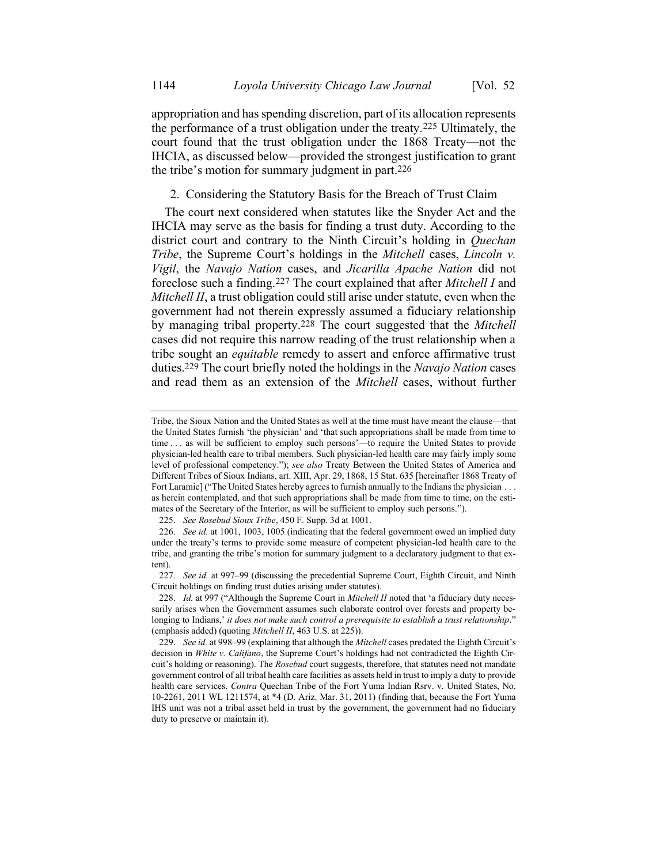appropriation and has spending discretion, part of its allocation represents the performance of a trust obligation under the treaty.225 Ultimately, the court found that the trust obligation under the 1868 Treaty—not the IHCIA, as discussed below—provided the strongest justification to grant the tribe's motion for summary judgment in part.226

### 2. Considering the Statutory Basis for the Breach of Trust Claim

The court next considered when statutes like the Snyder Act and the IHCIA may serve as the basis for finding a trust duty. According to the district court and contrary to the Ninth Circuit's holding in *Quechan Tribe*, the Supreme Court's holdings in the *Mitchell* cases, *Lincoln v. Vigil*, the *Navajo Nation* cases, and *Jicarilla Apache Nation* did not foreclose such a finding.227 The court explained that after *Mitchell I* and *Mitchell II*, a trust obligation could still arise under statute, even when the government had not therein expressly assumed a fiduciary relationship by managing tribal property.228 The court suggested that the *Mitchell* cases did not require this narrow reading of the trust relationship when a tribe sought an *equitable* remedy to assert and enforce affirmative trust duties.229 The court briefly noted the holdings in the *Navajo Nation* cases and read them as an extension of the *Mitchell* cases, without further

Tribe, the Sioux Nation and the United States as well at the time must have meant the clause—that the United States furnish 'the physician' and 'that such appropriations shall be made from time to time . . . as will be sufficient to employ such persons'—to require the United States to provide physician-led health care to tribal members. Such physician-led health care may fairly imply some level of professional competency."); *see also* Treaty Between the United States of America and Different Tribes of Sioux Indians, art. XIII, Apr. 29, 1868, 15 Stat. 635 [hereinafter 1868 Treaty of Fort Laramie] ("The United States hereby agrees to furnish annually to the Indians the physician . . . as herein contemplated, and that such appropriations shall be made from time to time, on the estimates of the Secretary of the Interior, as will be sufficient to employ such persons.").

<sup>225.</sup> *See Rosebud Sioux Tribe*, 450 F. Supp. 3d at 1001.

<sup>226.</sup> *See id.* at 1001, 1003, 1005 (indicating that the federal government owed an implied duty under the treaty's terms to provide some measure of competent physician-led health care to the tribe, and granting the tribe's motion for summary judgment to a declaratory judgment to that extent).

<sup>227.</sup> *See id.* at 997–99 (discussing the precedential Supreme Court, Eighth Circuit, and Ninth Circuit holdings on finding trust duties arising under statutes).

<sup>228.</sup> *Id.* at 997 ("Although the Supreme Court in *Mitchell II* noted that 'a fiduciary duty necessarily arises when the Government assumes such elaborate control over forests and property belonging to Indians,' *it does not make such control a prerequisite to establish a trust relationship*." (emphasis added) (quoting *Mitchell II*, 463 U.S. at 225)).

<sup>229.</sup> *See id.* at 998–99 (explaining that although the *Mitchell* cases predated the Eighth Circuit's decision in *White v. Califano*, the Supreme Court's holdings had not contradicted the Eighth Circuit's holding or reasoning). The *Rosebud* court suggests, therefore, that statutes need not mandate government control of all tribal health care facilities as assets held in trust to imply a duty to provide health care services. *Contra* Quechan Tribe of the Fort Yuma Indian Rsrv. v. United States, No. 10-2261, 2011 WL 1211574, at \*4 (D. Ariz. Mar. 31, 2011) (finding that, because the Fort Yuma IHS unit was not a tribal asset held in trust by the government, the government had no fiduciary duty to preserve or maintain it).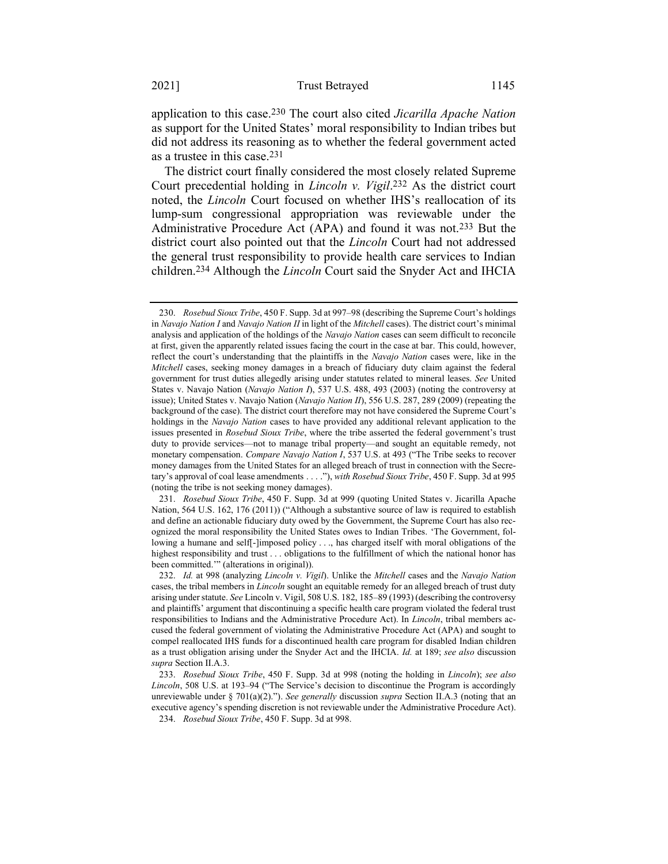application to this case.230 The court also cited *Jicarilla Apache Nation* as support for the United States' moral responsibility to Indian tribes but did not address its reasoning as to whether the federal government acted as a trustee in this case.231

The district court finally considered the most closely related Supreme Court precedential holding in *Lincoln v. Vigil*. 232 As the district court noted, the *Lincoln* Court focused on whether IHS's reallocation of its lump-sum congressional appropriation was reviewable under the Administrative Procedure Act (APA) and found it was not.233 But the district court also pointed out that the *Lincoln* Court had not addressed the general trust responsibility to provide health care services to Indian children.234 Although the *Lincoln* Court said the Snyder Act and IHCIA

231. *Rosebud Sioux Tribe*, 450 F. Supp. 3d at 999 (quoting United States v. Jicarilla Apache Nation, 564 U.S. 162, 176 (2011)) ("Although a substantive source of law is required to establish and define an actionable fiduciary duty owed by the Government, the Supreme Court has also recognized the moral responsibility the United States owes to Indian Tribes. 'The Government, following a humane and self[-]imposed policy . . ., has charged itself with moral obligations of the highest responsibility and trust . . . obligations to the fulfillment of which the national honor has been committed.'" (alterations in original)).

<sup>230.</sup> *Rosebud Sioux Tribe*, 450 F. Supp. 3d at 997–98 (describing the Supreme Court's holdings in *Navajo Nation I* and *Navajo Nation II* in light of the *Mitchell* cases). The district court's minimal analysis and application of the holdings of the *Navajo Nation* cases can seem difficult to reconcile at first, given the apparently related issues facing the court in the case at bar. This could, however, reflect the court's understanding that the plaintiffs in the *Navajo Nation* cases were, like in the *Mitchell* cases, seeking money damages in a breach of fiduciary duty claim against the federal government for trust duties allegedly arising under statutes related to mineral leases. *See* United States v. Navajo Nation (*Navajo Nation I*), 537 U.S. 488, 493 (2003) (noting the controversy at issue); United States v. Navajo Nation (*Navajo Nation II*), 556 U.S. 287, 289 (2009) (repeating the background of the case). The district court therefore may not have considered the Supreme Court's holdings in the *Navajo Nation* cases to have provided any additional relevant application to the issues presented in *Rosebud Sioux Tribe*, where the tribe asserted the federal government's trust duty to provide services—not to manage tribal property—and sought an equitable remedy, not monetary compensation. *Compare Navajo Nation I*, 537 U.S. at 493 ("The Tribe seeks to recover money damages from the United States for an alleged breach of trust in connection with the Secretary's approval of coal lease amendments . . . ."), *with Rosebud Sioux Tribe*, 450 F. Supp. 3d at 995 (noting the tribe is not seeking money damages).

<sup>232.</sup> *Id.* at 998 (analyzing *Lincoln v. Vigil*). Unlike the *Mitchell* cases and the *Navajo Nation* cases, the tribal members in *Lincoln* sought an equitable remedy for an alleged breach of trust duty arising under statute. *See* Lincoln v. Vigil, 508 U.S. 182, 185–89 (1993) (describing the controversy and plaintiffs' argument that discontinuing a specific health care program violated the federal trust responsibilities to Indians and the Administrative Procedure Act). In *Lincoln*, tribal members accused the federal government of violating the Administrative Procedure Act (APA) and sought to compel reallocated IHS funds for a discontinued health care program for disabled Indian children as a trust obligation arising under the Snyder Act and the IHCIA. *Id.* at 189; *see also* discussion *supra* Section II.A.3.

<sup>233.</sup> *Rosebud Sioux Tribe*, 450 F. Supp. 3d at 998 (noting the holding in *Lincoln*); *see also Lincoln*, 508 U.S. at 193–94 ("The Service's decision to discontinue the Program is accordingly unreviewable under § 701(a)(2)."). *See generally* discussion *supra* Section II.A.3 (noting that an executive agency's spending discretion is not reviewable under the Administrative Procedure Act).

<sup>234.</sup> *Rosebud Sioux Tribe*, 450 F. Supp. 3d at 998.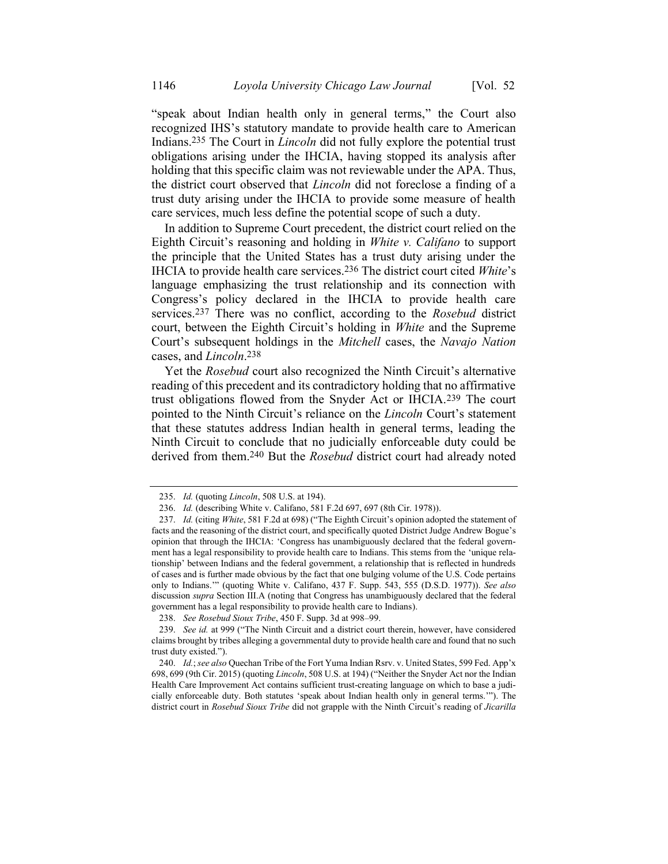"speak about Indian health only in general terms," the Court also recognized IHS's statutory mandate to provide health care to American Indians. 235 The Court in *Lincoln* did not fully explore the potential trust obligations arising under the IHCIA, having stopped its analysis after holding that this specific claim was not reviewable under the APA. Thus, the district court observed that *Lincoln* did not foreclose a finding of a trust duty arising under the IHCIA to provide some measure of health care services, much less define the potential scope of such a duty.

In addition to Supreme Court precedent, the district court relied on the Eighth Circuit's reasoning and holding in *White v. Califano* to support the principle that the United States has a trust duty arising under the IHCIA to provide health care services.236 The district court cited *White*'s language emphasizing the trust relationship and its connection with Congress's policy declared in the IHCIA to provide health care services.237 There was no conflict, according to the *Rosebud* district court, between the Eighth Circuit's holding in *White* and the Supreme Court's subsequent holdings in the *Mitchell* cases, the *Navajo Nation*  cases, and *Lincoln*. 238

Yet the *Rosebud* court also recognized the Ninth Circuit's alternative reading of this precedent and its contradictory holding that no affirmative trust obligations flowed from the Snyder Act or IHCIA.239 The court pointed to the Ninth Circuit's reliance on the *Lincoln* Court's statement that these statutes address Indian health in general terms, leading the Ninth Circuit to conclude that no judicially enforceable duty could be derived from them.240 But the *Rosebud* district court had already noted

238. *See Rosebud Sioux Tribe*, 450 F. Supp. 3d at 998–99.

239. *See id.* at 999 ("The Ninth Circuit and a district court therein, however, have considered claims brought by tribes alleging a governmental duty to provide health care and found that no such trust duty existed.").

<sup>235.</sup> *Id.* (quoting *Lincoln*, 508 U.S. at 194).

<sup>236.</sup> *Id.* (describing White v. Califano, 581 F.2d 697, 697 (8th Cir. 1978)).

<sup>237.</sup> *Id.* (citing *White*, 581 F.2d at 698) ("The Eighth Circuit's opinion adopted the statement of facts and the reasoning of the district court, and specifically quoted District Judge Andrew Bogue's opinion that through the IHCIA: 'Congress has unambiguously declared that the federal government has a legal responsibility to provide health care to Indians. This stems from the 'unique relationship' between Indians and the federal government, a relationship that is reflected in hundreds of cases and is further made obvious by the fact that one bulging volume of the U.S. Code pertains only to Indians.'" (quoting White v. Califano, 437 F. Supp. 543, 555 (D.S.D. 1977)). *See also*  discussion *supra* Section III.A (noting that Congress has unambiguously declared that the federal government has a legal responsibility to provide health care to Indians).

<sup>240.</sup> *Id.*; *see also* Quechan Tribe of the Fort Yuma Indian Rsrv. v. United States, 599 Fed. App'x 698, 699 (9th Cir. 2015) (quoting *Lincoln*, 508 U.S. at 194) ("Neither the Snyder Act nor the Indian Health Care Improvement Act contains sufficient trust-creating language on which to base a judicially enforceable duty. Both statutes 'speak about Indian health only in general terms.'"). The district court in *Rosebud Sioux Tribe* did not grapple with the Ninth Circuit's reading of *Jicarilla*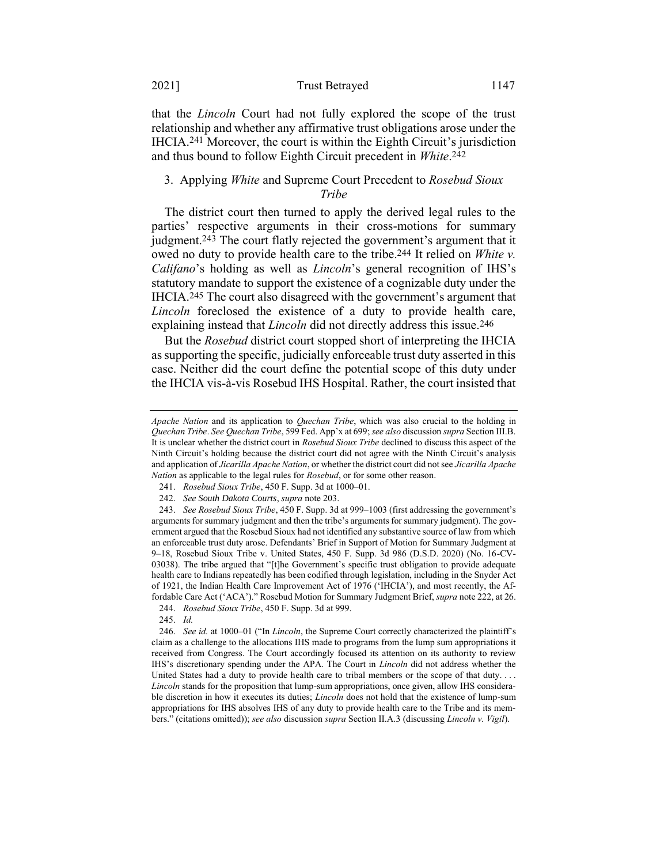#### 2021] Trust Betrayed 1147

that the *Lincoln* Court had not fully explored the scope of the trust relationship and whether any affirmative trust obligations arose under the IHCIA.241 Moreover, the court is within the Eighth Circuit's jurisdiction and thus bound to follow Eighth Circuit precedent in *White*. 242

## 3. Applying *White* and Supreme Court Precedent to *Rosebud Sioux Tribe*

The district court then turned to apply the derived legal rules to the parties' respective arguments in their cross-motions for summary judgment.243 The court flatly rejected the government's argument that it owed no duty to provide health care to the tribe.244 It relied on *White v. Califano*'s holding as well as *Lincoln*'s general recognition of IHS's statutory mandate to support the existence of a cognizable duty under the IHCIA.245 The court also disagreed with the government's argument that *Lincoln* foreclosed the existence of a duty to provide health care, explaining instead that *Lincoln* did not directly address this issue.246

But the *Rosebud* district court stopped short of interpreting the IHCIA as supporting the specific, judicially enforceable trust duty asserted in this case. Neither did the court define the potential scope of this duty under the IHCIA vis-à-vis Rosebud IHS Hospital. Rather, the court insisted that

*Apache Nation* and its application to *Quechan Tribe*, which was also crucial to the holding in *Quechan Tribe*. *See Quechan Tribe*, 599 Fed. App'x at 699; *see also* discussion *supra* Section III.B. It is unclear whether the district court in *Rosebud Sioux Tribe* declined to discuss this aspect of the Ninth Circuit's holding because the district court did not agree with the Ninth Circuit's analysis and application of *Jicarilla Apache Nation*, or whether the district court did not see *Jicarilla Apache Nation* as applicable to the legal rules for *Rosebud*, or for some other reason.

<sup>241.</sup> *Rosebud Sioux Tribe*, 450 F. Supp. 3d at 1000–01.

<sup>242.</sup> *See South Dakota Courts*, *supra* not[e 203.](#page-42-0)

<sup>243.</sup> *See Rosebud Sioux Tribe*, 450 F. Supp. 3d at 999–1003 (first addressing the government's arguments for summary judgment and then the tribe's arguments for summary judgment). The government argued that the Rosebud Sioux had not identified any substantive source of law from which an enforceable trust duty arose. Defendants' Brief in Support of Motion for Summary Judgment at 9–18, Rosebud Sioux Tribe v. United States, 450 F. Supp. 3d 986 (D.S.D. 2020) (No. 16-CV-03038). The tribe argued that "[t]he Government's specific trust obligation to provide adequate health care to Indians repeatedly has been codified through legislation, including in the Snyder Act of 1921, the Indian Health Care Improvement Act of 1976 ('IHCIA'), and most recently, the Affordable Care Act ('ACA')." Rosebud Motion for Summary Judgment Brief, *supra* not[e 222,](#page-45-0) at 26.

<sup>244.</sup> *Rosebud Sioux Tribe*, 450 F. Supp. 3d at 999.

<sup>245.</sup> *Id.*

<sup>246.</sup> *See id.* at 1000–01 ("In *Lincoln*, the Supreme Court correctly characterized the plaintiff's claim as a challenge to the allocations IHS made to programs from the lump sum appropriations it received from Congress. The Court accordingly focused its attention on its authority to review IHS's discretionary spending under the APA. The Court in *Lincoln* did not address whether the United States had a duty to provide health care to tribal members or the scope of that duty.... *Lincoln* stands for the proposition that lump-sum appropriations, once given, allow IHS considerable discretion in how it executes its duties; *Lincoln* does not hold that the existence of lump-sum appropriations for IHS absolves IHS of any duty to provide health care to the Tribe and its members." (citations omitted)); *see also* discussion *supra* Section II.A.3 (discussing *Lincoln v. Vigil*).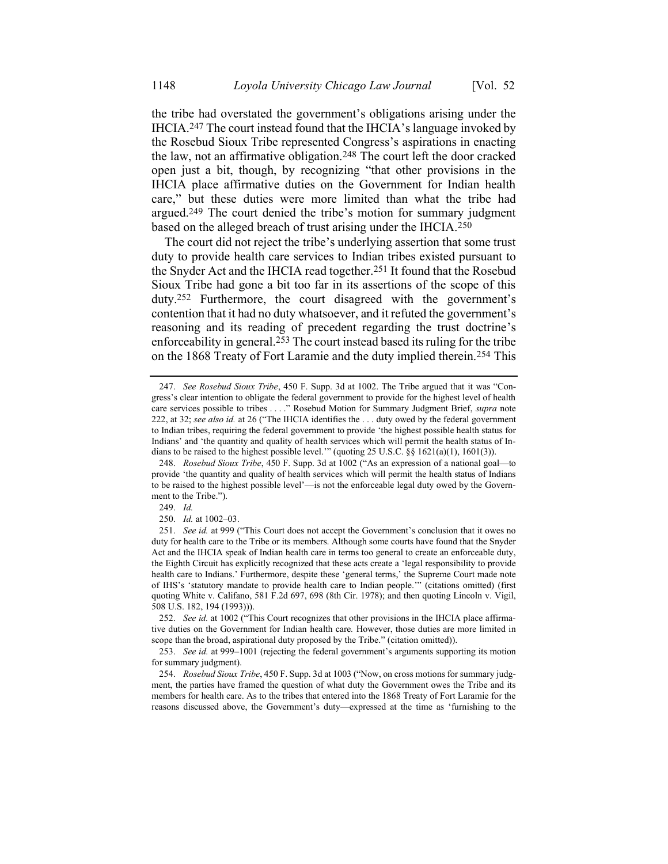the tribe had overstated the government's obligations arising under the IHCIA.247 The court instead found that the IHCIA's language invoked by the Rosebud Sioux Tribe represented Congress's aspirations in enacting the law, not an affirmative obligation.248 The court left the door cracked open just a bit, though, by recognizing "that other provisions in the IHCIA place affirmative duties on the Government for Indian health care," but these duties were more limited than what the tribe had argued.249 The court denied the tribe's motion for summary judgment based on the alleged breach of trust arising under the IHCIA.250

The court did not reject the tribe's underlying assertion that some trust duty to provide health care services to Indian tribes existed pursuant to the Snyder Act and the IHCIA read together.251 It found that the Rosebud Sioux Tribe had gone a bit too far in its assertions of the scope of this duty.252 Furthermore, the court disagreed with the government's contention that it had no duty whatsoever, and it refuted the government's reasoning and its reading of precedent regarding the trust doctrine's enforceability in general.253 The court instead based its ruling for the tribe on the 1868 Treaty of Fort Laramie and the duty implied therein.254 This

<sup>247.</sup> *See Rosebud Sioux Tribe*, 450 F. Supp. 3d at 1002. The Tribe argued that it was "Congress's clear intention to obligate the federal government to provide for the highest level of health care services possible to tribes . . . ." Rosebud Motion for Summary Judgment Brief, *supra* note [222,](#page-45-0) at 32; *see also id.* at 26 ("The IHCIA identifies the . . . duty owed by the federal government to Indian tribes, requiring the federal government to provide 'the highest possible health status for Indians' and 'the quantity and quality of health services which will permit the health status of Indians to be raised to the highest possible level." (quoting 25 U.S.C.  $\S$   $\S$  1621(a)(1), 1601(3)).

<sup>248.</sup> *Rosebud Sioux Tribe*, 450 F. Supp. 3d at 1002 ("As an expression of a national goal—to provide 'the quantity and quality of health services which will permit the health status of Indians to be raised to the highest possible level'—is not the enforceable legal duty owed by the Government to the Tribe.").

<sup>249.</sup> *Id.*

<sup>250.</sup> *Id.* at 1002–03.

<sup>251.</sup> *See id.* at 999 ("This Court does not accept the Government's conclusion that it owes no duty for health care to the Tribe or its members. Although some courts have found that the Snyder Act and the IHCIA speak of Indian health care in terms too general to create an enforceable duty, the Eighth Circuit has explicitly recognized that these acts create a 'legal responsibility to provide health care to Indians.' Furthermore, despite these 'general terms,' the Supreme Court made note of IHS's 'statutory mandate to provide health care to Indian people.'" (citations omitted) (first quoting White v. Califano, 581 F.2d 697, 698 (8th Cir. 1978); and then quoting Lincoln v. Vigil, 508 U.S. 182, 194 (1993))).

<sup>252.</sup> *See id.* at 1002 ("This Court recognizes that other provisions in the IHCIA place affirmative duties on the Government for Indian health care*.* However, those duties are more limited in scope than the broad, aspirational duty proposed by the Tribe." (citation omitted)).

<sup>253.</sup> *See id.* at 999–1001 (rejecting the federal government's arguments supporting its motion for summary judgment).

<sup>254.</sup> *Rosebud Sioux Tribe*, 450 F. Supp. 3d at 1003 ("Now, on cross motions for summary judgment, the parties have framed the question of what duty the Government owes the Tribe and its members for health care. As to the tribes that entered into the 1868 Treaty of Fort Laramie for the reasons discussed above, the Government's duty—expressed at the time as 'furnishing to the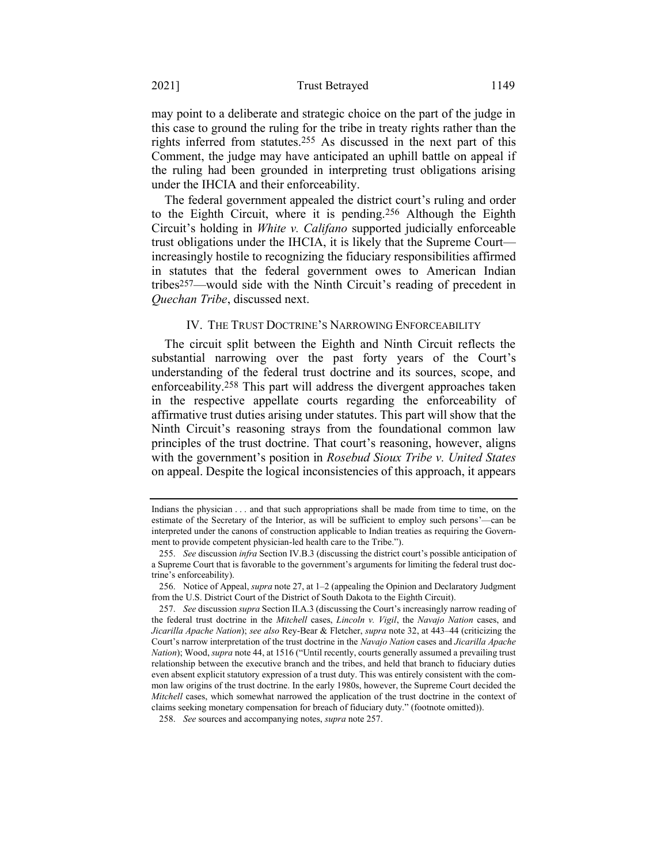may point to a deliberate and strategic choice on the part of the judge in this case to ground the ruling for the tribe in treaty rights rather than the rights inferred from statutes.255 As discussed in the next part of this Comment, the judge may have anticipated an uphill battle on appeal if the ruling had been grounded in interpreting trust obligations arising under the IHCIA and their enforceability.

The federal government appealed the district court's ruling and order to the Eighth Circuit, where it is pending.256 Although the Eighth Circuit's holding in *White v. Califano* supported judicially enforceable trust obligations under the IHCIA, it is likely that the Supreme Court increasingly hostile to recognizing the fiduciary responsibilities affirmed in statutes that the federal government owes to American Indian tribes257—would side with the Ninth Circuit's reading of precedent in *Quechan Tribe*, discussed next.

### <span id="page-51-0"></span>IV. THE TRUST DOCTRINE'S NARROWING ENFORCEABILITY

The circuit split between the Eighth and Ninth Circuit reflects the substantial narrowing over the past forty years of the Court's understanding of the federal trust doctrine and its sources, scope, and enforceability.258 This part will address the divergent approaches taken in the respective appellate courts regarding the enforceability of affirmative trust duties arising under statutes. This part will show that the Ninth Circuit's reasoning strays from the foundational common law principles of the trust doctrine. That court's reasoning, however, aligns with the government's position in *Rosebud Sioux Tribe v. United States* on appeal. Despite the logical inconsistencies of this approach, it appears

Indians the physician . . . and that such appropriations shall be made from time to time, on the estimate of the Secretary of the Interior, as will be sufficient to employ such persons'—can be interpreted under the canons of construction applicable to Indian treaties as requiring the Government to provide competent physician-led health care to the Tribe.").

<sup>255.</sup> *See* discussion *infra* Section IV.B.3 (discussing the district court's possible anticipation of a Supreme Court that is favorable to the government's arguments for limiting the federal trust doctrine's enforceability).

<sup>256.</sup> Notice of Appeal, *supra* not[e 27,](#page-7-0) at 1–2 (appealing the Opinion and Declaratory Judgment from the U.S. District Court of the District of South Dakota to the Eighth Circuit).

<sup>257.</sup> *See* discussion *supra* Section II.A.3 (discussing the Court's increasingly narrow reading of the federal trust doctrine in the *Mitchell* cases, *Lincoln v. Vigil*, the *Navajo Nation* cases, and *Jicarilla Apache Nation*); *see also* Rey-Bear & Fletcher, *supra* not[e 32,](#page-8-0) at 443–44 (criticizing the Court's narrow interpretation of the trust doctrine in the *Navajo Nation* cases and *Jicarilla Apache Nation*); Wood, *supra* not[e 44](#page-12-0), at 1516 ("Until recently, courts generally assumed a prevailing trust relationship between the executive branch and the tribes, and held that branch to fiduciary duties even absent explicit statutory expression of a trust duty. This was entirely consistent with the common law origins of the trust doctrine. In the early 1980s, however, the Supreme Court decided the *Mitchell* cases, which somewhat narrowed the application of the trust doctrine in the context of claims seeking monetary compensation for breach of fiduciary duty." (footnote omitted)).

<sup>258.</sup> *See* sources and accompanying notes, *supra* note [257.](#page-51-0)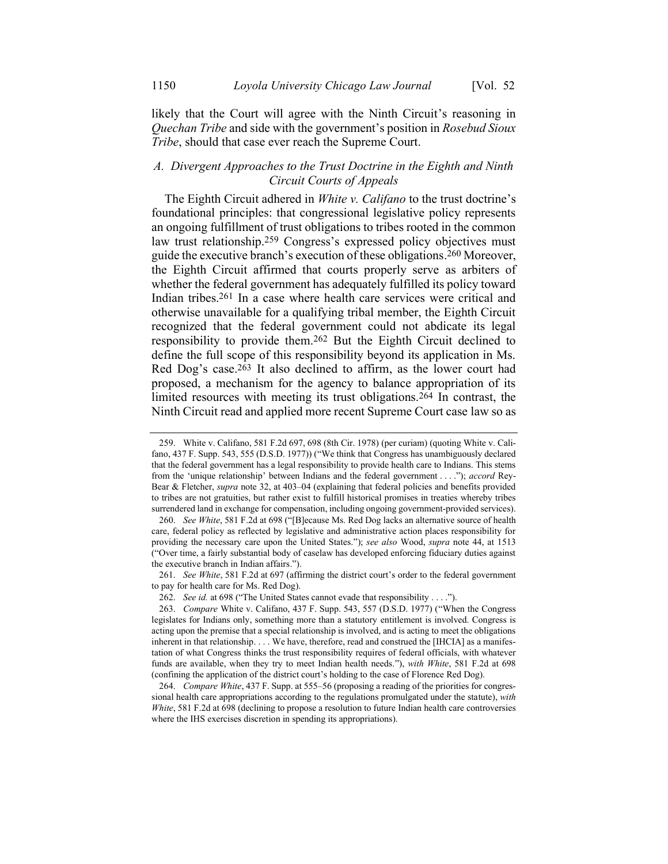likely that the Court will agree with the Ninth Circuit's reasoning in *Quechan Tribe* and side with the government's position in *Rosebud Sioux Tribe*, should that case ever reach the Supreme Court.

## *A. Divergent Approaches to the Trust Doctrine in the Eighth and Ninth Circuit Courts of Appeals*

The Eighth Circuit adhered in *White v. Califano* to the trust doctrine's foundational principles: that congressional legislative policy represents an ongoing fulfillment of trust obligations to tribes rooted in the common law trust relationship.259 Congress's expressed policy objectives must guide the executive branch's execution of these obligations. 260 Moreover, the Eighth Circuit affirmed that courts properly serve as arbiters of whether the federal government has adequately fulfilled its policy toward Indian tribes.261 In a case where health care services were critical and otherwise unavailable for a qualifying tribal member, the Eighth Circuit recognized that the federal government could not abdicate its legal responsibility to provide them.262 But the Eighth Circuit declined to define the full scope of this responsibility beyond its application in Ms. Red Dog's case.263 It also declined to affirm, as the lower court had proposed, a mechanism for the agency to balance appropriation of its limited resources with meeting its trust obligations.<sup>264</sup> In contrast, the Ninth Circuit read and applied more recent Supreme Court case law so as

<sup>259.</sup> White v. Califano, 581 F.2d 697, 698 (8th Cir. 1978) (per curiam) (quoting White v. Califano, 437 F. Supp. 543, 555 (D.S.D. 1977)) ("We think that Congress has unambiguously declared that the federal government has a legal responsibility to provide health care to Indians. This stems from the 'unique relationship' between Indians and the federal government . . . ."); *accord* Rey-Bear & Fletcher, *supra* note [32,](#page-8-0) at 403–04 (explaining that federal policies and benefits provided to tribes are not gratuities, but rather exist to fulfill historical promises in treaties whereby tribes surrendered land in exchange for compensation, including ongoing government-provided services).

<sup>260.</sup> *See White*, 581 F.2d at 698 ("[B]ecause Ms. Red Dog lacks an alternative source of health care, federal policy as reflected by legislative and administrative action places responsibility for providing the necessary care upon the United States."); *see also* Wood, *supra* note [44,](#page-12-0) at 1513 ("Over time, a fairly substantial body of caselaw has developed enforcing fiduciary duties against the executive branch in Indian affairs.").

<sup>261.</sup> *See White*, 581 F.2d at 697 (affirming the district court's order to the federal government to pay for health care for Ms. Red Dog).

<sup>262.</sup> *See id.* at 698 ("The United States cannot evade that responsibility . . . .").

<sup>263.</sup> *Compare* White v. Califano, 437 F. Supp. 543, 557 (D.S.D. 1977) ("When the Congress legislates for Indians only, something more than a statutory entitlement is involved. Congress is acting upon the premise that a special relationship is involved, and is acting to meet the obligations inherent in that relationship. . . . We have, therefore, read and construed the [IHCIA] as a manifestation of what Congress thinks the trust responsibility requires of federal officials, with whatever funds are available, when they try to meet Indian health needs."), *with White*, 581 F.2d at 698 (confining the application of the district court's holding to the case of Florence Red Dog).

<sup>264.</sup> *Compare White*, 437 F. Supp. at 555–56 (proposing a reading of the priorities for congressional health care appropriations according to the regulations promulgated under the statute), *with White*, 581 F.2d at 698 (declining to propose a resolution to future Indian health care controversies where the IHS exercises discretion in spending its appropriations).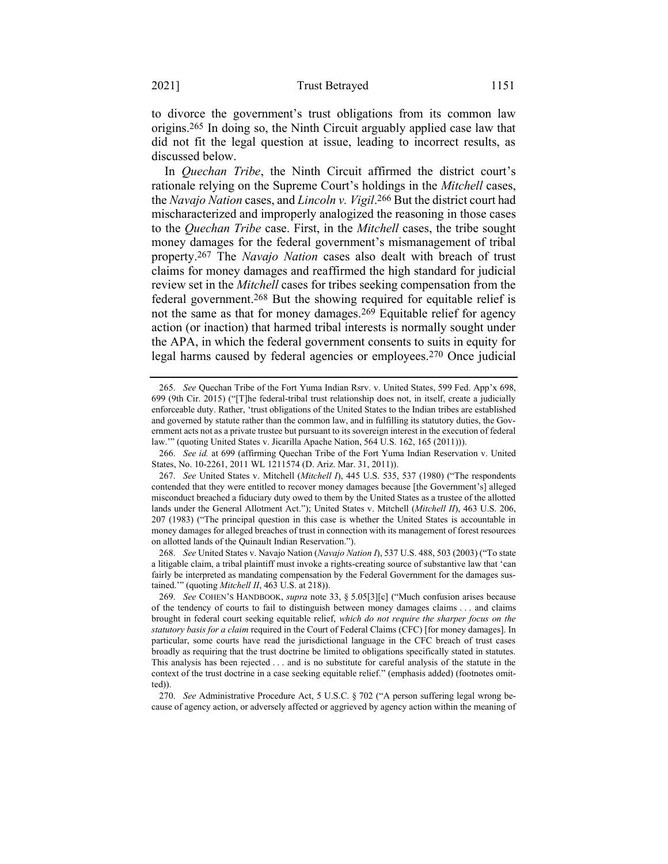to divorce the government's trust obligations from its common law origins.265 In doing so, the Ninth Circuit arguably applied case law that did not fit the legal question at issue, leading to incorrect results, as discussed below.

In *Quechan Tribe*, the Ninth Circuit affirmed the district court's rationale relying on the Supreme Court's holdings in the *Mitchell* cases, the *Navajo Nation* cases, and *Lincoln v. Vigil*. 266 But the district court had mischaracterized and improperly analogized the reasoning in those cases to the *Quechan Tribe* case. First, in the *Mitchell* cases, the tribe sought money damages for the federal government's mismanagement of tribal property.267 The *Navajo Nation* cases also dealt with breach of trust claims for money damages and reaffirmed the high standard for judicial review set in the *Mitchell* cases for tribes seeking compensation from the federal government.268 But the showing required for equitable relief is not the same as that for money damages.269 Equitable relief for agency action (or inaction) that harmed tribal interests is normally sought under the APA, in which the federal government consents to suits in equity for legal harms caused by federal agencies or employees.270 Once judicial

268. *See* United States v. Navajo Nation (*Navajo Nation I*), 537 U.S. 488, 503 (2003) ("To state a litigable claim, a tribal plaintiff must invoke a rights-creating source of substantive law that 'can fairly be interpreted as mandating compensation by the Federal Government for the damages sustained.'" (quoting *Mitchell II*, 463 U.S. at 218)).

<sup>265.</sup> *See* Quechan Tribe of the Fort Yuma Indian Rsrv. v. United States, 599 Fed. App'x 698, 699 (9th Cir. 2015) ("[T]he federal-tribal trust relationship does not, in itself, create a judicially enforceable duty. Rather, 'trust obligations of the United States to the Indian tribes are established and governed by statute rather than the common law, and in fulfilling its statutory duties, the Government acts not as a private trustee but pursuant to its sovereign interest in the execution of federal law.'" (quoting United States v. Jicarilla Apache Nation, 564 U.S. 162, 165 (2011))).

<sup>266.</sup> *See id.* at 699 (affirming Quechan Tribe of the Fort Yuma Indian Reservation v. United States, No. 10-2261, 2011 WL 1211574 (D. Ariz. Mar. 31, 2011)).

<sup>267.</sup> *See* United States v. Mitchell (*Mitchell I*), 445 U.S. 535, 537 (1980) ("The respondents contended that they were entitled to recover money damages because [the Government's] alleged misconduct breached a fiduciary duty owed to them by the United States as a trustee of the allotted lands under the General Allotment Act."); United States v. Mitchell (*Mitchell II*), 463 U.S. 206, 207 (1983) ("The principal question in this case is whether the United States is accountable in money damages for alleged breaches of trust in connection with its management of forest resources on allotted lands of the Quinault Indian Reservation.").

<sup>269.</sup> *See* COHEN'S HANDBOOK, *supra* note [33,](#page-9-0) § 5.05[3][c] ("Much confusion arises because of the tendency of courts to fail to distinguish between money damages claims . . . and claims brought in federal court seeking equitable relief, *which do not require the sharper focus on the statutory basis for a claim* required in the Court of Federal Claims (CFC) [for money damages]. In particular, some courts have read the jurisdictional language in the CFC breach of trust cases broadly as requiring that the trust doctrine be limited to obligations specifically stated in statutes. This analysis has been rejected . . . and is no substitute for careful analysis of the statute in the context of the trust doctrine in a case seeking equitable relief." (emphasis added) (footnotes omitted)).

<sup>270.</sup> *See* Administrative Procedure Act, 5 U.S.C. § 702 ("A person suffering legal wrong because of agency action, or adversely affected or aggrieved by agency action within the meaning of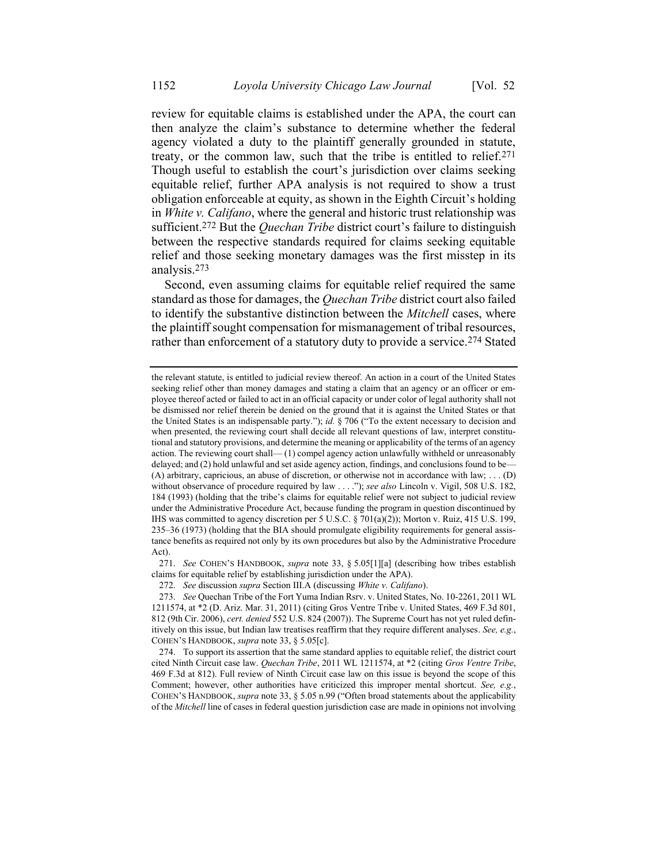review for equitable claims is established under the APA, the court can then analyze the claim's substance to determine whether the federal agency violated a duty to the plaintiff generally grounded in statute, treaty, or the common law, such that the tribe is entitled to relief.271 Though useful to establish the court's jurisdiction over claims seeking equitable relief, further APA analysis is not required to show a trust obligation enforceable at equity, as shown in the Eighth Circuit's holding in *White v. Califano*, where the general and historic trust relationship was sufficient.272 But the *Quechan Tribe* district court's failure to distinguish between the respective standards required for claims seeking equitable relief and those seeking monetary damages was the first misstep in its analysis.273

Second, even assuming claims for equitable relief required the same standard as those for damages, the *Quechan Tribe* district court also failed to identify the substantive distinction between the *Mitchell* cases, where the plaintiff sought compensation for mismanagement of tribal resources, rather than enforcement of a statutory duty to provide a service.274 Stated

271. *See* COHEN'S HANDBOOK, *supra* note [33,](#page-9-0) § 5.05[1][a] (describing how tribes establish claims for equitable relief by establishing jurisdiction under the APA).

272. *See* discussion *supra* Section III.A (discussing *White v. Califano*).

the relevant statute, is entitled to judicial review thereof. An action in a court of the United States seeking relief other than money damages and stating a claim that an agency or an officer or employee thereof acted or failed to act in an official capacity or under color of legal authority shall not be dismissed nor relief therein be denied on the ground that it is against the United States or that the United States is an indispensable party."); *id.* § 706 ("To the extent necessary to decision and when presented, the reviewing court shall decide all relevant questions of law, interpret constitutional and statutory provisions, and determine the meaning or applicability of the terms of an agency action. The reviewing court shall— (1) compel agency action unlawfully withheld or unreasonably delayed; and (2) hold unlawful and set aside agency action, findings, and conclusions found to be— (A) arbitrary, capricious, an abuse of discretion, or otherwise not in accordance with law; . . . (D) without observance of procedure required by law . . . ."); *see also* Lincoln v. Vigil, 508 U.S. 182, 184 (1993) (holding that the tribe's claims for equitable relief were not subject to judicial review under the Administrative Procedure Act, because funding the program in question discontinued by IHS was committed to agency discretion per 5 U.S.C. § 701(a)(2)); Morton v. Ruiz, 415 U.S. 199, 235–36 (1973) (holding that the BIA should promulgate eligibility requirements for general assistance benefits as required not only by its own procedures but also by the Administrative Procedure Act).

<sup>273.</sup> *See* Quechan Tribe of the Fort Yuma Indian Rsrv. v. United States, No. 10-2261, 2011 WL 1211574, at \*2 (D. Ariz. Mar. 31, 2011) (citing Gros Ventre Tribe v. United States, 469 F.3d 801, 812 (9th Cir. 2006), *cert. denied* 552 U.S. 824 (2007)). The Supreme Court has not yet ruled definitively on this issue, but Indian law treatises reaffirm that they require different analyses. *See, e.g.*, COHEN'S HANDBOOK, *supra* not[e 33,](#page-9-0) § 5.05[c].

<sup>274.</sup> To support its assertion that the same standard applies to equitable relief, the district court cited Ninth Circuit case law. *Quechan Tribe*, 2011 WL 1211574, at \*2 (citing *Gros Ventre Tribe*, 469 F.3d at 812). Full review of Ninth Circuit case law on this issue is beyond the scope of this Comment; however, other authorities have criticized this improper mental shortcut. *See, e.g.*, COHEN'S HANDBOOK, *supra* not[e 33,](#page-9-0) § 5.05 n.99 ("Often broad statements about the applicability of the *Mitchell* line of cases in federal question jurisdiction case are made in opinions not involving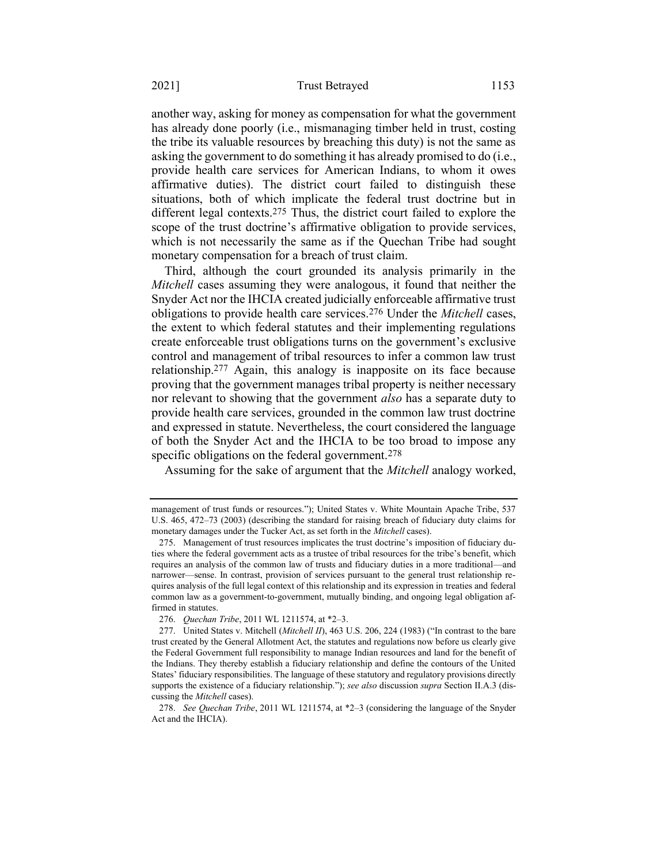another way, asking for money as compensation for what the government has already done poorly (i.e., mismanaging timber held in trust, costing the tribe its valuable resources by breaching this duty) is not the same as asking the government to do something it has already promised to do (i.e., provide health care services for American Indians, to whom it owes affirmative duties). The district court failed to distinguish these situations, both of which implicate the federal trust doctrine but in different legal contexts.275 Thus, the district court failed to explore the scope of the trust doctrine's affirmative obligation to provide services, which is not necessarily the same as if the Quechan Tribe had sought monetary compensation for a breach of trust claim.

Third, although the court grounded its analysis primarily in the *Mitchell* cases assuming they were analogous, it found that neither the Snyder Act nor the IHCIA created judicially enforceable affirmative trust obligations to provide health care services.276 Under the *Mitchell* cases, the extent to which federal statutes and their implementing regulations create enforceable trust obligations turns on the government's exclusive control and management of tribal resources to infer a common law trust relationship.277 Again, this analogy is inapposite on its face because proving that the government manages tribal property is neither necessary nor relevant to showing that the government *also* has a separate duty to provide health care services, grounded in the common law trust doctrine and expressed in statute. Nevertheless, the court considered the language of both the Snyder Act and the IHCIA to be too broad to impose any specific obligations on the federal government.<sup>278</sup>

Assuming for the sake of argument that the *Mitchell* analogy worked,

management of trust funds or resources."); United States v. White Mountain Apache Tribe, 537 U.S. 465, 472–73 (2003) (describing the standard for raising breach of fiduciary duty claims for monetary damages under the Tucker Act, as set forth in the *Mitchell* cases).

<sup>275.</sup> Management of trust resources implicates the trust doctrine's imposition of fiduciary duties where the federal government acts as a trustee of tribal resources for the tribe's benefit, which requires an analysis of the common law of trusts and fiduciary duties in a more traditional—and narrower—sense. In contrast, provision of services pursuant to the general trust relationship requires analysis of the full legal context of this relationship and its expression in treaties and federal common law as a government-to-government, mutually binding, and ongoing legal obligation affirmed in statutes.

<sup>276.</sup> *Quechan Tribe*, 2011 WL 1211574, at \*2–3.

<sup>277.</sup> United States v. Mitchell (*Mitchell II*), 463 U.S. 206, 224 (1983) ("In contrast to the bare trust created by the General Allotment Act, the statutes and regulations now before us clearly give the Federal Government full responsibility to manage Indian resources and land for the benefit of the Indians. They thereby establish a fiduciary relationship and define the contours of the United States' fiduciary responsibilities. The language of these statutory and regulatory provisions directly supports the existence of a fiduciary relationship."); *see also* discussion *supra* Section II.A.3 (discussing the *Mitchell* cases).

<sup>278.</sup> *See Quechan Tribe*, 2011 WL 1211574, at \*2–3 (considering the language of the Snyder Act and the IHCIA).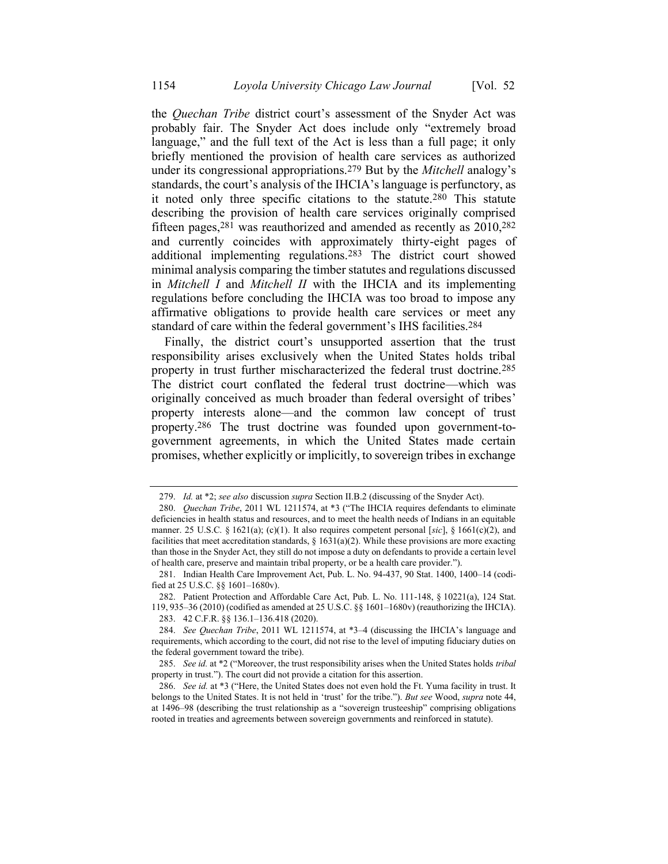the *Quechan Tribe* district court's assessment of the Snyder Act was probably fair. The Snyder Act does include only "extremely broad language," and the full text of the Act is less than a full page; it only briefly mentioned the provision of health care services as authorized under its congressional appropriations.279 But by the *Mitchell* analogy's standards, the court's analysis of the IHCIA's language is perfunctory, as it noted only three specific citations to the statute.280 This statute describing the provision of health care services originally comprised fifteen pages,  $281$  was reauthorized and amended as recently as  $2010$ ,  $282$ and currently coincides with approximately thirty-eight pages of additional implementing regulations.283 The district court showed minimal analysis comparing the timber statutes and regulations discussed in *Mitchell I* and *Mitchell II* with the IHCIA and its implementing regulations before concluding the IHCIA was too broad to impose any affirmative obligations to provide health care services or meet any standard of care within the federal government's IHS facilities.284

Finally, the district court's unsupported assertion that the trust responsibility arises exclusively when the United States holds tribal property in trust further mischaracterized the federal trust doctrine.285 The district court conflated the federal trust doctrine—which was originally conceived as much broader than federal oversight of tribes' property interests alone—and the common law concept of trust property.286 The trust doctrine was founded upon government-togovernment agreements, in which the United States made certain promises, whether explicitly or implicitly, to sovereign tribes in exchange

<sup>279.</sup> *Id.* at \*2; *see also* discussion *supra* Section II.B.2 (discussing of the Snyder Act).

<sup>280.</sup> *Quechan Tribe*, 2011 WL 1211574, at \*3 ("The IHCIA requires defendants to eliminate deficiencies in health status and resources, and to meet the health needs of Indians in an equitable manner. 25 U.S.C. § 1621(a); (c)(1). It also requires competent personal [*sic*], § 1661(c)(2), and facilities that meet accreditation standards,  $\S 1631(a)(2)$ . While these provisions are more exacting than those in the Snyder Act, they still do not impose a duty on defendants to provide a certain level of health care, preserve and maintain tribal property, or be a health care provider.").

<sup>281.</sup> Indian Health Care Improvement Act, Pub. L. No. 94-437, 90 Stat. 1400, 1400–14 (codified at 25 U.S.C. §§ 1601–1680v).

<sup>282.</sup> Patient Protection and Affordable Care Act, Pub. L. No. 111-148, § 10221(a), 124 Stat. 119, 935–36 (2010) (codified as amended at 25 U.S.C. §§ 1601–1680v) (reauthorizing the IHCIA).

<sup>283.</sup> 42 C.F.R. §§ 136.1–136.418 (2020).

<sup>284.</sup> *See Quechan Tribe*, 2011 WL 1211574, at \*3–4 (discussing the IHCIA's language and requirements, which according to the court, did not rise to the level of imputing fiduciary duties on the federal government toward the tribe).

<sup>285.</sup> *See id.* at \*2 ("Moreover, the trust responsibility arises when the United States holds *tribal* property in trust."). The court did not provide a citation for this assertion.

<sup>286.</sup> *See id.* at \*3 ("Here, the United States does not even hold the Ft. Yuma facility in trust. It belongs to the United States. It is not held in 'trust' for the tribe."). *But see* Wood, *supra* not[e 44,](#page-12-0)  at 1496–98 (describing the trust relationship as a "sovereign trusteeship" comprising obligations rooted in treaties and agreements between sovereign governments and reinforced in statute).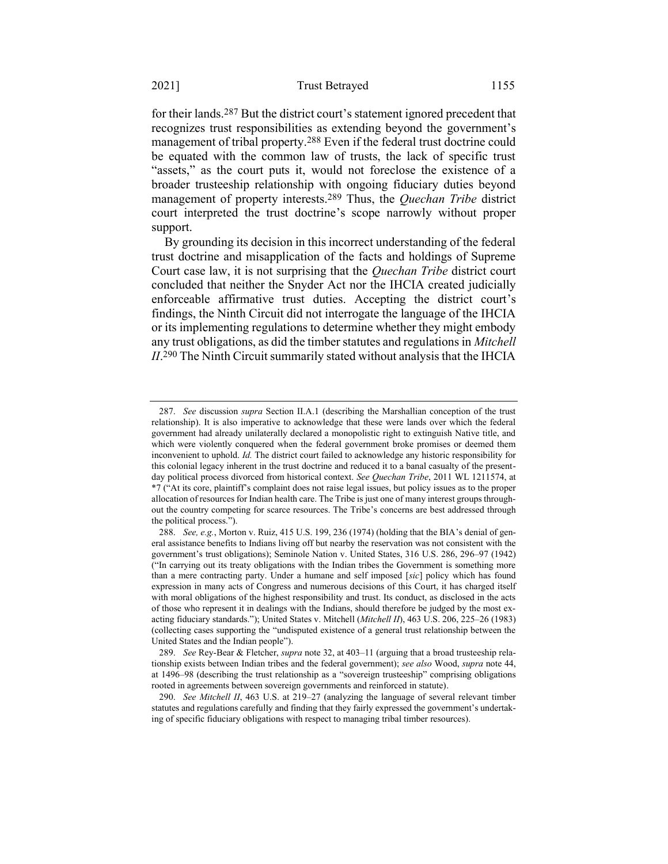for their lands.287 But the district court's statement ignored precedent that recognizes trust responsibilities as extending beyond the government's management of tribal property.288 Even if the federal trust doctrine could be equated with the common law of trusts, the lack of specific trust "assets," as the court puts it, would not foreclose the existence of a broader trusteeship relationship with ongoing fiduciary duties beyond management of property interests.289 Thus, the *Quechan Tribe* district court interpreted the trust doctrine's scope narrowly without proper support.

By grounding its decision in this incorrect understanding of the federal trust doctrine and misapplication of the facts and holdings of Supreme Court case law, it is not surprising that the *Quechan Tribe* district court concluded that neither the Snyder Act nor the IHCIA created judicially enforceable affirmative trust duties. Accepting the district court's findings, the Ninth Circuit did not interrogate the language of the IHCIA or its implementing regulations to determine whether they might embody any trust obligations, as did the timber statutes and regulations in *Mitchell II*. 290 The Ninth Circuit summarily stated without analysis that the IHCIA

<sup>287.</sup> *See* discussion *supra* Section II.A.1 (describing the Marshallian conception of the trust relationship). It is also imperative to acknowledge that these were lands over which the federal government had already unilaterally declared a monopolistic right to extinguish Native title, and which were violently conquered when the federal government broke promises or deemed them inconvenient to uphold. *Id.* The district court failed to acknowledge any historic responsibility for this colonial legacy inherent in the trust doctrine and reduced it to a banal casualty of the presentday political process divorced from historical context. *See Quechan Tribe*, 2011 WL 1211574, at \*7 ("At its core, plaintiff's complaint does not raise legal issues, but policy issues as to the proper allocation of resources for Indian health care. The Tribe is just one of many interest groups throughout the country competing for scarce resources. The Tribe's concerns are best addressed through the political process.").

<sup>288.</sup> *See, e.g.*, Morton v. Ruiz, 415 U.S. 199, 236 (1974) (holding that the BIA's denial of general assistance benefits to Indians living off but nearby the reservation was not consistent with the government's trust obligations); Seminole Nation v. United States, 316 U.S. 286, 296–97 (1942) ("In carrying out its treaty obligations with the Indian tribes the Government is something more than a mere contracting party. Under a humane and self imposed [*sic*] policy which has found expression in many acts of Congress and numerous decisions of this Court, it has charged itself with moral obligations of the highest responsibility and trust. Its conduct, as disclosed in the acts of those who represent it in dealings with the Indians, should therefore be judged by the most exacting fiduciary standards."); United States v. Mitchell (*Mitchell II*), 463 U.S. 206, 225–26 (1983) (collecting cases supporting the "undisputed existence of a general trust relationship between the United States and the Indian people").

<sup>289.</sup> *See* Rey-Bear & Fletcher, *supra* note [32,](#page-8-0) at 403–11 (arguing that a broad trusteeship relationship exists between Indian tribes and the federal government); *see also* Wood, *supra* not[e 44,](#page-12-0)  at 1496–98 (describing the trust relationship as a "sovereign trusteeship" comprising obligations rooted in agreements between sovereign governments and reinforced in statute).

<sup>290.</sup> *See Mitchell II*, 463 U.S. at 219–27 (analyzing the language of several relevant timber statutes and regulations carefully and finding that they fairly expressed the government's undertaking of specific fiduciary obligations with respect to managing tribal timber resources).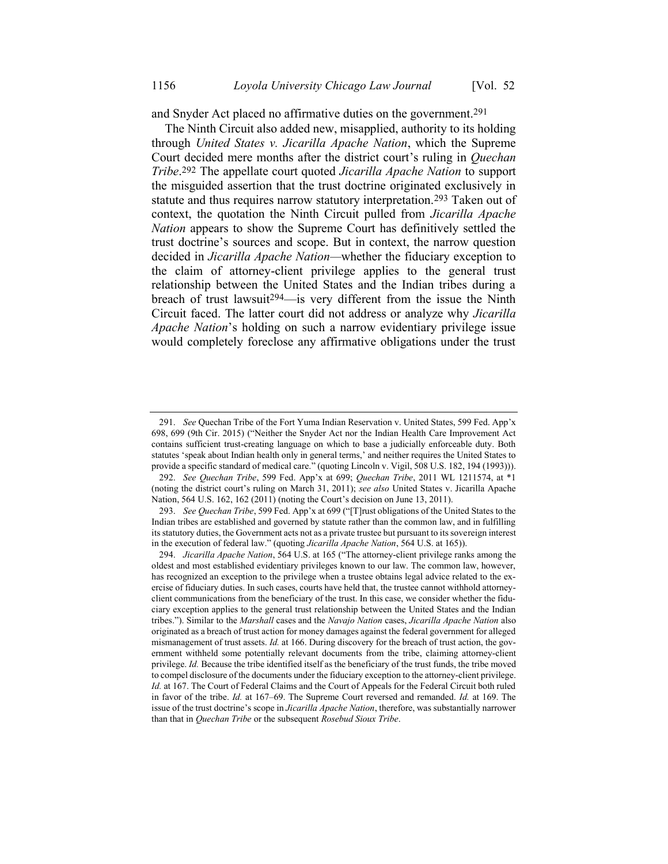and Snyder Act placed no affirmative duties on the government.291

The Ninth Circuit also added new, misapplied, authority to its holding through *United States v. Jicarilla Apache Nation*, which the Supreme Court decided mere months after the district court's ruling in *Quechan Tribe*. 292 The appellate court quoted *Jicarilla Apache Nation* to support the misguided assertion that the trust doctrine originated exclusively in statute and thus requires narrow statutory interpretation.<sup>293</sup> Taken out of context, the quotation the Ninth Circuit pulled from *Jicarilla Apache Nation* appears to show the Supreme Court has definitively settled the trust doctrine's sources and scope. But in context, the narrow question decided in *Jicarilla Apache Nation—*whether the fiduciary exception to the claim of attorney-client privilege applies to the general trust relationship between the United States and the Indian tribes during a breach of trust lawsuit<sup>294</sup>—is very different from the issue the Ninth Circuit faced. The latter court did not address or analyze why *Jicarilla Apache Nation*'s holding on such a narrow evidentiary privilege issue would completely foreclose any affirmative obligations under the trust

<sup>291.</sup> *See* Quechan Tribe of the Fort Yuma Indian Reservation v. United States, 599 Fed. App'x 698, 699 (9th Cir. 2015) ("Neither the Snyder Act nor the Indian Health Care Improvement Act contains sufficient trust-creating language on which to base a judicially enforceable duty. Both statutes 'speak about Indian health only in general terms,' and neither requires the United States to provide a specific standard of medical care." (quoting Lincoln v. Vigil, 508 U.S. 182, 194 (1993))).

<sup>292.</sup> *See Quechan Tribe*, 599 Fed. App'x at 699; *Quechan Tribe*, 2011 WL 1211574, at \*1 (noting the district court's ruling on March 31, 2011); *see also* United States v. Jicarilla Apache Nation, 564 U.S. 162, 162 (2011) (noting the Court's decision on June 13, 2011).

<sup>293.</sup> *See Quechan Tribe*, 599 Fed. App'x at 699 ("[T]rust obligations of the United States to the Indian tribes are established and governed by statute rather than the common law, and in fulfilling its statutory duties, the Government acts not as a private trustee but pursuant to its sovereign interest in the execution of federal law." (quoting *Jicarilla Apache Nation*, 564 U.S. at 165)).

<sup>294.</sup> *Jicarilla Apache Nation*, 564 U.S. at 165 ("The attorney-client privilege ranks among the oldest and most established evidentiary privileges known to our law. The common law, however, has recognized an exception to the privilege when a trustee obtains legal advice related to the exercise of fiduciary duties. In such cases, courts have held that, the trustee cannot withhold attorneyclient communications from the beneficiary of the trust. In this case, we consider whether the fiduciary exception applies to the general trust relationship between the United States and the Indian tribes."). Similar to the *Marshall* cases and the *Navajo Nation* cases, *Jicarilla Apache Nation* also originated as a breach of trust action for money damages against the federal government for alleged mismanagement of trust assets. *Id.* at 166. During discovery for the breach of trust action, the government withheld some potentially relevant documents from the tribe, claiming attorney-client privilege. *Id.* Because the tribe identified itself as the beneficiary of the trust funds, the tribe moved to compel disclosure of the documents under the fiduciary exception to the attorney-client privilege. *Id.* at 167. The Court of Federal Claims and the Court of Appeals for the Federal Circuit both ruled in favor of the tribe. *Id.* at 167–69. The Supreme Court reversed and remanded. *Id.* at 169. The issue of the trust doctrine's scope in *Jicarilla Apache Nation*, therefore, was substantially narrower than that in *Quechan Tribe* or the subsequent *Rosebud Sioux Tribe*.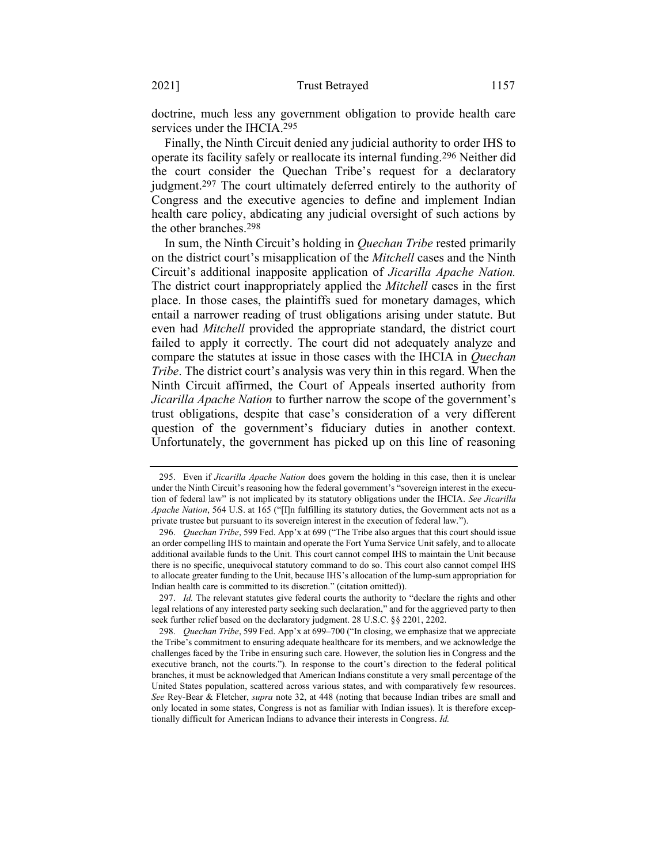doctrine, much less any government obligation to provide health care services under the IHCIA.295

Finally, the Ninth Circuit denied any judicial authority to order IHS to operate its facility safely or reallocate its internal funding.296 Neither did the court consider the Quechan Tribe's request for a declaratory judgment.297 The court ultimately deferred entirely to the authority of Congress and the executive agencies to define and implement Indian health care policy, abdicating any judicial oversight of such actions by the other branches.298

In sum, the Ninth Circuit's holding in *Quechan Tribe* rested primarily on the district court's misapplication of the *Mitchell* cases and the Ninth Circuit's additional inapposite application of *Jicarilla Apache Nation.* The district court inappropriately applied the *Mitchell* cases in the first place. In those cases, the plaintiffs sued for monetary damages, which entail a narrower reading of trust obligations arising under statute. But even had *Mitchell* provided the appropriate standard, the district court failed to apply it correctly. The court did not adequately analyze and compare the statutes at issue in those cases with the IHCIA in *Quechan Tribe*. The district court's analysis was very thin in this regard. When the Ninth Circuit affirmed, the Court of Appeals inserted authority from *Jicarilla Apache Nation* to further narrow the scope of the government's trust obligations, despite that case's consideration of a very different question of the government's fiduciary duties in another context. Unfortunately, the government has picked up on this line of reasoning

<sup>295.</sup> Even if *Jicarilla Apache Nation* does govern the holding in this case, then it is unclear under the Ninth Circuit's reasoning how the federal government's "sovereign interest in the execution of federal law" is not implicated by its statutory obligations under the IHCIA. *See Jicarilla Apache Nation*, 564 U.S. at 165 ("[I]n fulfilling its statutory duties, the Government acts not as a private trustee but pursuant to its sovereign interest in the execution of federal law.").

<sup>296.</sup> *Quechan Tribe*, 599 Fed. App'x at 699 ("The Tribe also argues that this court should issue an order compelling IHS to maintain and operate the Fort Yuma Service Unit safely, and to allocate additional available funds to the Unit. This court cannot compel IHS to maintain the Unit because there is no specific, unequivocal statutory command to do so. This court also cannot compel IHS to allocate greater funding to the Unit, because IHS's allocation of the lump-sum appropriation for Indian health care is committed to its discretion." (citation omitted)).

<sup>297.</sup> *Id.* The relevant statutes give federal courts the authority to "declare the rights and other legal relations of any interested party seeking such declaration," and for the aggrieved party to then seek further relief based on the declaratory judgment. 28 U.S.C. §§ 2201, 2202.

<sup>298.</sup> *Quechan Tribe*, 599 Fed. App'x at 699–700 ("In closing, we emphasize that we appreciate the Tribe's commitment to ensuring adequate healthcare for its members, and we acknowledge the challenges faced by the Tribe in ensuring such care. However, the solution lies in Congress and the executive branch, not the courts."). In response to the court's direction to the federal political branches, it must be acknowledged that American Indians constitute a very small percentage of the United States population, scattered across various states, and with comparatively few resources. *See* Rey-Bear & Fletcher, *supra* note [32,](#page-8-0) at 448 (noting that because Indian tribes are small and only located in some states, Congress is not as familiar with Indian issues). It is therefore exceptionally difficult for American Indians to advance their interests in Congress. *Id.*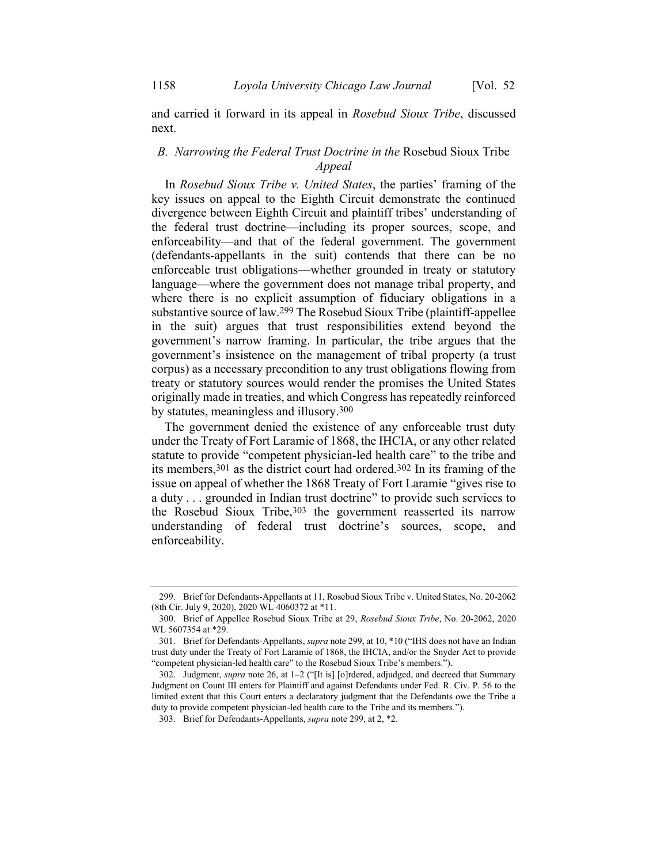and carried it forward in its appeal in *Rosebud Sioux Tribe*, discussed next.

# *B. Narrowing the Federal Trust Doctrine in the* Rosebud Sioux Tribe *Appeal*

In *Rosebud Sioux Tribe v. United States*, the parties' framing of the key issues on appeal to the Eighth Circuit demonstrate the continued divergence between Eighth Circuit and plaintiff tribes' understanding of the federal trust doctrine—including its proper sources, scope, and enforceability—and that of the federal government. The government (defendants-appellants in the suit) contends that there can be no enforceable trust obligations—whether grounded in treaty or statutory language—where the government does not manage tribal property, and where there is no explicit assumption of fiduciary obligations in a substantive source of law.299 The Rosebud Sioux Tribe (plaintiff-appellee in the suit) argues that trust responsibilities extend beyond the government's narrow framing. In particular, the tribe argues that the government's insistence on the management of tribal property (a trust corpus) as a necessary precondition to any trust obligations flowing from treaty or statutory sources would render the promises the United States originally made in treaties, and which Congress has repeatedly reinforced by statutes, meaningless and illusory.300

<span id="page-60-1"></span><span id="page-60-0"></span>The government denied the existence of any enforceable trust duty under the Treaty of Fort Laramie of 1868, the IHCIA, or any other related statute to provide "competent physician-led health care" to the tribe and its members,301 as the district court had ordered.302 In its framing of the issue on appeal of whether the 1868 Treaty of Fort Laramie "gives rise to a duty . . . grounded in Indian trust doctrine" to provide such services to the Rosebud Sioux Tribe,303 the government reasserted its narrow understanding of federal trust doctrine's sources, scope, and enforceability.

<sup>299.</sup> Brief for Defendants-Appellants at 11, Rosebud Sioux Tribe v. United States, No. 20-2062 (8th Cir. July 9, 2020), 2020 WL 4060372 at \*11.

<sup>300.</sup> Brief of Appellee Rosebud Sioux Tribe at 29, *Rosebud Sioux Tribe*, No. 20-2062, 2020 WL 5607354 at \*29.

<sup>301.</sup> Brief for Defendants-Appellants, *supra* not[e 299,](#page-60-0) at 10, \*10 ("IHS does not have an Indian trust duty under the Treaty of Fort Laramie of 1868, the IHCIA, and/or the Snyder Act to provide "competent physician-led health care" to the Rosebud Sioux Tribe's members.").

<sup>302.</sup> Judgment, *supra* not[e 26,](#page-7-1) at 1–2 ("[It is] [o]rdered, adjudged, and decreed that Summary Judgment on Count III enters for Plaintiff and against Defendants under Fed. R. Civ. P. 56 to the limited extent that this Court enters a declaratory judgment that the Defendants owe the Tribe a duty to provide competent physician-led health care to the Tribe and its members.").

<sup>303.</sup> Brief for Defendants-Appellants, *supra* not[e 299,](#page-60-0) at 2, \*2.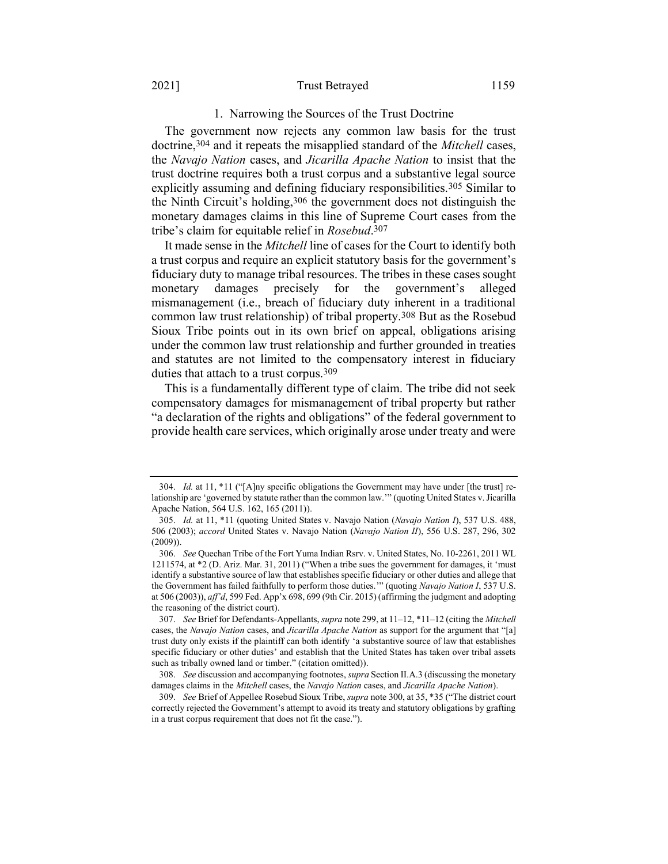#### 2021] Trust Betrayed 1159

## 1. Narrowing the Sources of the Trust Doctrine

The government now rejects any common law basis for the trust doctrine,304 and it repeats the misapplied standard of the *Mitchell* cases, the *Navajo Nation* cases, and *Jicarilla Apache Nation* to insist that the trust doctrine requires both a trust corpus and a substantive legal source explicitly assuming and defining fiduciary responsibilities.<sup>305</sup> Similar to the Ninth Circuit's holding, 306 the government does not distinguish the monetary damages claims in this line of Supreme Court cases from the tribe's claim for equitable relief in *Rosebud*. 307

It made sense in the *Mitchell* line of cases for the Court to identify both a trust corpus and require an explicit statutory basis for the government's fiduciary duty to manage tribal resources. The tribes in these cases sought monetary damages precisely for the government's alleged mismanagement (i.e., breach of fiduciary duty inherent in a traditional common law trust relationship) of tribal property.308 But as the Rosebud Sioux Tribe points out in its own brief on appeal, obligations arising under the common law trust relationship and further grounded in treaties and statutes are not limited to the compensatory interest in fiduciary duties that attach to a trust corpus.309

This is a fundamentally different type of claim. The tribe did not seek compensatory damages for mismanagement of tribal property but rather "a declaration of the rights and obligations" of the federal government to provide health care services, which originally arose under treaty and were

<sup>304.</sup> *Id.* at 11, \*11 ("[A]ny specific obligations the Government may have under [the trust] relationship are 'governed by statute rather than the common law.'" (quoting United States v. Jicarilla Apache Nation, 564 U.S. 162, 165 (2011)).

<sup>305.</sup> *Id.* at 11, \*11 (quoting United States v. Navajo Nation (*Navajo Nation I*), 537 U.S. 488, 506 (2003); *accord* United States v. Navajo Nation (*Navajo Nation II*), 556 U.S. 287, 296, 302 (2009)).

<sup>306.</sup> *See* Quechan Tribe of the Fort Yuma Indian Rsrv. v. United States, No. 10-2261, 2011 WL 1211574, at \*2 (D. Ariz. Mar. 31, 2011) ("When a tribe sues the government for damages, it 'must identify a substantive source of law that establishes specific fiduciary or other duties and allege that the Government has failed faithfully to perform those duties.'" (quoting *Navajo Nation I*, 537 U.S. at 506 (2003)), *aff'd*, 599 Fed. App'x 698, 699 (9th Cir. 2015) (affirming the judgment and adopting the reasoning of the district court).

<sup>307.</sup> *See* Brief for Defendants-Appellants, *supra* not[e 299,](#page-60-0) at 11–12, \*11–12 (citing the *Mitchell*  cases, the *Navajo Nation* cases, and *Jicarilla Apache Nation* as support for the argument that "[a] trust duty only exists if the plaintiff can both identify 'a substantive source of law that establishes specific fiduciary or other duties' and establish that the United States has taken over tribal assets such as tribally owned land or timber." (citation omitted)).

<sup>308.</sup> *See* discussion and accompanying footnotes, *supra* Section II.A.3 (discussing the monetary damages claims in the *Mitchell* cases, the *Navajo Nation* cases, and *Jicarilla Apache Nation*).

<sup>309.</sup> *See* Brief of Appellee Rosebud Sioux Tribe, *supra* not[e 300,](#page-60-1) at 35, \*35 ("The district court correctly rejected the Government's attempt to avoid its treaty and statutory obligations by grafting in a trust corpus requirement that does not fit the case.").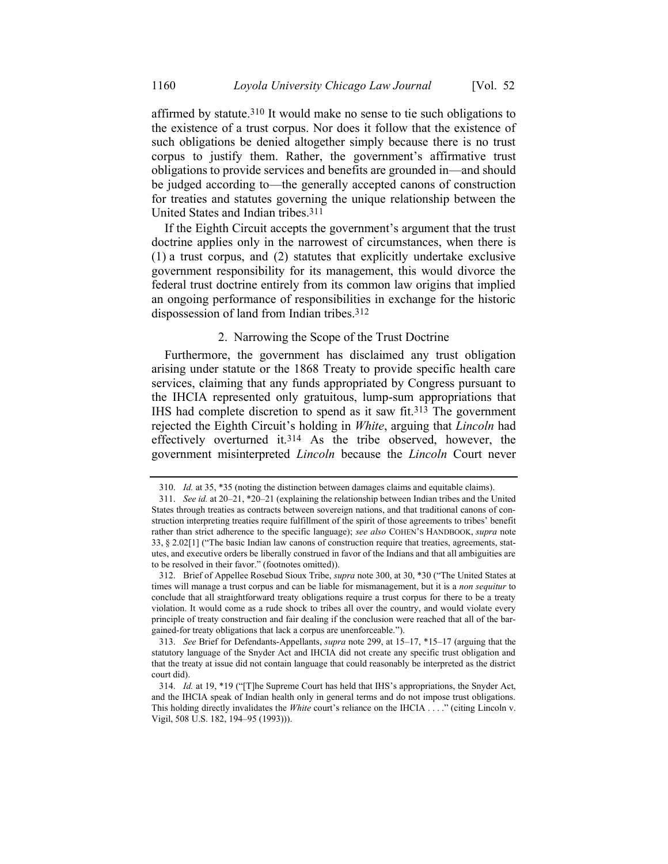affirmed by statute.310 It would make no sense to tie such obligations to the existence of a trust corpus. Nor does it follow that the existence of such obligations be denied altogether simply because there is no trust corpus to justify them. Rather, the government's affirmative trust obligations to provide services and benefits are grounded in—and should be judged according to—the generally accepted canons of construction for treaties and statutes governing the unique relationship between the United States and Indian tribes.311

If the Eighth Circuit accepts the government's argument that the trust doctrine applies only in the narrowest of circumstances, when there is (1) a trust corpus, and (2) statutes that explicitly undertake exclusive government responsibility for its management, this would divorce the federal trust doctrine entirely from its common law origins that implied an ongoing performance of responsibilities in exchange for the historic dispossession of land from Indian tribes.312

## 2. Narrowing the Scope of the Trust Doctrine

Furthermore, the government has disclaimed any trust obligation arising under statute or the 1868 Treaty to provide specific health care services, claiming that any funds appropriated by Congress pursuant to the IHCIA represented only gratuitous, lump-sum appropriations that IHS had complete discretion to spend as it saw fit.313 The government rejected the Eighth Circuit's holding in *White*, arguing that *Lincoln* had effectively overturned it.314 As the tribe observed, however, the government misinterpreted *Lincoln* because the *Lincoln* Court never

<sup>310.</sup> *Id.* at 35, \*35 (noting the distinction between damages claims and equitable claims).

<sup>311.</sup> *See id.* at 20–21, \*20–21 (explaining the relationship between Indian tribes and the United States through treaties as contracts between sovereign nations, and that traditional canons of construction interpreting treaties require fulfillment of the spirit of those agreements to tribes' benefit rather than strict adherence to the specific language); *see also* COHEN'S HANDBOOK, *supra* note [33,](#page-9-0) § 2.02[1] ("The basic Indian law canons of construction require that treaties, agreements, statutes, and executive orders be liberally construed in favor of the Indians and that all ambiguities are to be resolved in their favor." (footnotes omitted)).

<sup>312.</sup> Brief of Appellee Rosebud Sioux Tribe, *supra* not[e 300,](#page-60-1) at 30, \*30 ("The United States at times will manage a trust corpus and can be liable for mismanagement, but it is a *non sequitur* to conclude that all straightforward treaty obligations require a trust corpus for there to be a treaty violation. It would come as a rude shock to tribes all over the country, and would violate every principle of treaty construction and fair dealing if the conclusion were reached that all of the bargained-for treaty obligations that lack a corpus are unenforceable.").

<sup>313.</sup> *See* Brief for Defendants-Appellants, *supra* not[e 299,](#page-60-0) at 15–17, \*15–17 (arguing that the statutory language of the Snyder Act and IHCIA did not create any specific trust obligation and that the treaty at issue did not contain language that could reasonably be interpreted as the district court did).

<sup>314.</sup> *Id.* at 19, \*19 ("[T]he Supreme Court has held that IHS's appropriations, the Snyder Act, and the IHCIA speak of Indian health only in general terms and do not impose trust obligations. This holding directly invalidates the *White* court's reliance on the IHCIA . . . ." (citing Lincoln v. Vigil, 508 U.S. 182, 194–95 (1993))).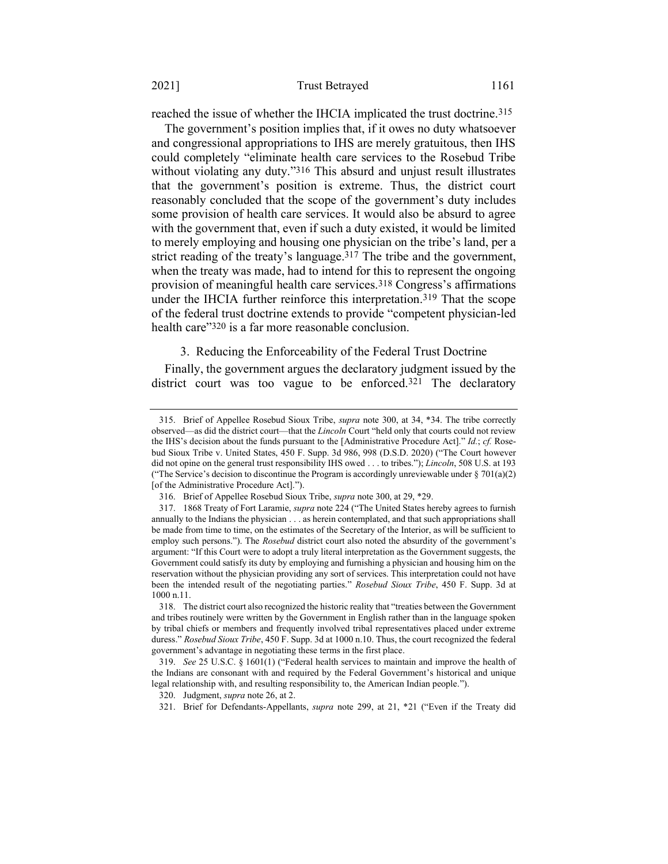reached the issue of whether the IHCIA implicated the trust doctrine.315

The government's position implies that, if it owes no duty whatsoever and congressional appropriations to IHS are merely gratuitous, then IHS could completely "eliminate health care services to the Rosebud Tribe without violating any duty."<sup>316</sup> This absurd and unjust result illustrates that the government's position is extreme. Thus, the district court reasonably concluded that the scope of the government's duty includes some provision of health care services. It would also be absurd to agree with the government that, even if such a duty existed, it would be limited to merely employing and housing one physician on the tribe's land, per a strict reading of the treaty's language.<sup>317</sup> The tribe and the government, when the treaty was made, had to intend for this to represent the ongoing provision of meaningful health care services.318 Congress's affirmations under the IHCIA further reinforce this interpretation. 319 That the scope of the federal trust doctrine extends to provide "competent physician-led health care"<sup>320</sup> is a far more reasonable conclusion.

### 3. Reducing the Enforceability of the Federal Trust Doctrine

Finally, the government argues the declaratory judgment issued by the district court was too vague to be enforced.<sup>321</sup> The declaratory

<sup>315.</sup> Brief of Appellee Rosebud Sioux Tribe, *supra* note [300,](#page-60-1) at 34, \*34. The tribe correctly observed—as did the district court—that the *Lincoln* Court "held only that courts could not review the IHS's decision about the funds pursuant to the [Administrative Procedure Act]." *Id.*; *cf.* Rosebud Sioux Tribe v. United States, 450 F. Supp. 3d 986, 998 (D.S.D. 2020) ("The Court however did not opine on the general trust responsibility IHS owed . . . to tribes."); *Lincoln*, 508 U.S. at 193 ("The Service's decision to discontinue the Program is accordingly unreviewable under  $\S 701(a)(2)$ [of the Administrative Procedure Act].").

<sup>316.</sup> Brief of Appellee Rosebud Sioux Tribe, *supra* not[e 300,](#page-60-1) at 29, \*29.

<sup>317.</sup> 1868 Treaty of Fort Laramie, *supra* not[e 224](#page-45-1) ("The United States hereby agrees to furnish annually to the Indians the physician . . . as herein contemplated, and that such appropriations shall be made from time to time, on the estimates of the Secretary of the Interior, as will be sufficient to employ such persons."). The *Rosebud* district court also noted the absurdity of the government's argument: "If this Court were to adopt a truly literal interpretation as the Government suggests, the Government could satisfy its duty by employing and furnishing a physician and housing him on the reservation without the physician providing any sort of services. This interpretation could not have been the intended result of the negotiating parties." *Rosebud Sioux Tribe*, 450 F. Supp. 3d at 1000 n.11.

<sup>318.</sup> The district court also recognized the historic reality that "treaties between the Government and tribes routinely were written by the Government in English rather than in the language spoken by tribal chiefs or members and frequently involved tribal representatives placed under extreme duress." *Rosebud Sioux Tribe*, 450 F. Supp. 3d at 1000 n.10. Thus, the court recognized the federal government's advantage in negotiating these terms in the first place.

<sup>319.</sup> *See* 25 U.S.C. § 1601(1) ("Federal health services to maintain and improve the health of the Indians are consonant with and required by the Federal Government's historical and unique legal relationship with, and resulting responsibility to, the American Indian people.").

<sup>320.</sup> Judgment, *supra* not[e 26,](#page-7-1) at 2.

<sup>321.</sup> Brief for Defendants-Appellants, *supra* note [299,](#page-60-0) at 21, \*21 ("Even if the Treaty did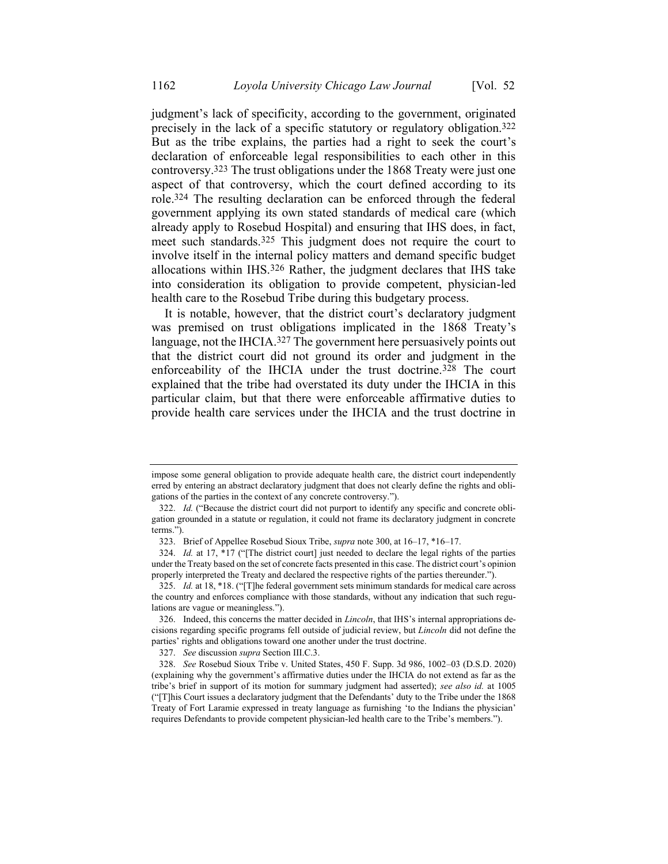judgment's lack of specificity, according to the government, originated precisely in the lack of a specific statutory or regulatory obligation.322 But as the tribe explains, the parties had a right to seek the court's declaration of enforceable legal responsibilities to each other in this controversy.323 The trust obligations under the 1868 Treaty were just one aspect of that controversy, which the court defined according to its role.324 The resulting declaration can be enforced through the federal government applying its own stated standards of medical care (which already apply to Rosebud Hospital) and ensuring that IHS does, in fact, meet such standards.325 This judgment does not require the court to involve itself in the internal policy matters and demand specific budget allocations within IHS.326 Rather, the judgment declares that IHS take into consideration its obligation to provide competent, physician-led health care to the Rosebud Tribe during this budgetary process.

It is notable, however, that the district court's declaratory judgment was premised on trust obligations implicated in the 1868 Treaty's language, not the IHCIA.327 The government here persuasively points out that the district court did not ground its order and judgment in the enforceability of the IHCIA under the trust doctrine.328 The court explained that the tribe had overstated its duty under the IHCIA in this particular claim, but that there were enforceable affirmative duties to provide health care services under the IHCIA and the trust doctrine in

impose some general obligation to provide adequate health care, the district court independently erred by entering an abstract declaratory judgment that does not clearly define the rights and obligations of the parties in the context of any concrete controversy.").

<sup>322.</sup> *Id.* ("Because the district court did not purport to identify any specific and concrete obligation grounded in a statute or regulation, it could not frame its declaratory judgment in concrete terms.").

<sup>323.</sup> Brief of Appellee Rosebud Sioux Tribe, *supra* not[e 300,](#page-60-1) at 16–17, \*16–17.

<sup>324.</sup> *Id.* at 17, \*17 ("The district court] just needed to declare the legal rights of the parties under the Treaty based on the set of concrete facts presented in this case. The district court's opinion properly interpreted the Treaty and declared the respective rights of the parties thereunder.").

<sup>325.</sup> *Id.* at 18, \*18. ("[T]he federal government sets minimum standards for medical care across the country and enforces compliance with those standards, without any indication that such regulations are vague or meaningless.").

<sup>326.</sup> Indeed, this concerns the matter decided in *Lincoln*, that IHS's internal appropriations decisions regarding specific programs fell outside of judicial review, but *Lincoln* did not define the parties' rights and obligations toward one another under the trust doctrine.

<sup>327.</sup> *See* discussion *supra* Section III.C.3.

<sup>328.</sup> *See* Rosebud Sioux Tribe v. United States, 450 F. Supp. 3d 986, 1002–03 (D.S.D. 2020) (explaining why the government's affirmative duties under the IHCIA do not extend as far as the tribe's brief in support of its motion for summary judgment had asserted); *see also id.* at 1005 ("[T]his Court issues a declaratory judgment that the Defendants' duty to the Tribe under the 1868 Treaty of Fort Laramie expressed in treaty language as furnishing 'to the Indians the physician' requires Defendants to provide competent physician-led health care to the Tribe's members.").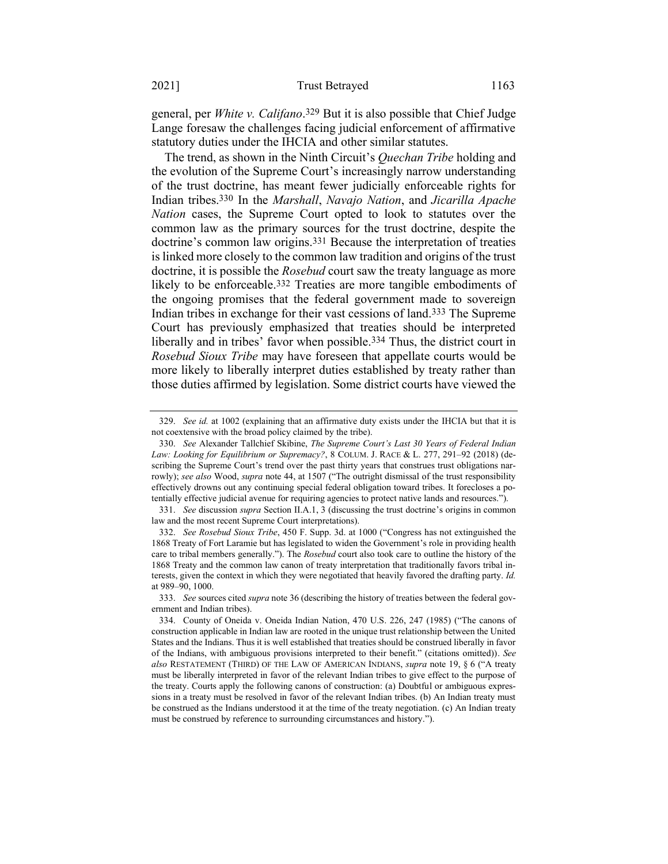general, per *White v. Califano*. 329 But it is also possible that Chief Judge Lange foresaw the challenges facing judicial enforcement of affirmative statutory duties under the IHCIA and other similar statutes.

<span id="page-65-0"></span>The trend, as shown in the Ninth Circuit's *Quechan Tribe* holding and the evolution of the Supreme Court's increasingly narrow understanding of the trust doctrine, has meant fewer judicially enforceable rights for Indian tribes.330 In the *Marshall*, *Navajo Nation*, and *Jicarilla Apache Nation* cases, the Supreme Court opted to look to statutes over the common law as the primary sources for the trust doctrine, despite the doctrine's common law origins.331 Because the interpretation of treaties is linked more closely to the common law tradition and origins of the trust doctrine, it is possible the *Rosebud* court saw the treaty language as more likely to be enforceable.<sup>332</sup> Treaties are more tangible embodiments of the ongoing promises that the federal government made to sovereign Indian tribes in exchange for their vast cessions of land.333 The Supreme Court has previously emphasized that treaties should be interpreted liberally and in tribes' favor when possible.334 Thus, the district court in *Rosebud Sioux Tribe* may have foreseen that appellate courts would be more likely to liberally interpret duties established by treaty rather than those duties affirmed by legislation. Some district courts have viewed the

<sup>329.</sup> *See id.* at 1002 (explaining that an affirmative duty exists under the IHCIA but that it is not coextensive with the broad policy claimed by the tribe).

<sup>330.</sup> *See* Alexander Tallchief Skibine, *The Supreme Court's Last 30 Years of Federal Indian Law: Looking for Equilibrium or Supremacy?*, 8 COLUM. J. RACE & L. 277, 291–92 (2018) (describing the Supreme Court's trend over the past thirty years that construes trust obligations narrowly); *see also* Wood, *supra* note [44,](#page-12-0) at 1507 ("The outright dismissal of the trust responsibility effectively drowns out any continuing special federal obligation toward tribes. It forecloses a potentially effective judicial avenue for requiring agencies to protect native lands and resources.").

<sup>331.</sup> *See* discussion *supra* Section II.A.1, 3 (discussing the trust doctrine's origins in common law and the most recent Supreme Court interpretations).

<sup>332.</sup> *See Rosebud Sioux Tribe*, 450 F. Supp. 3d. at 1000 ("Congress has not extinguished the 1868 Treaty of Fort Laramie but has legislated to widen the Government's role in providing health care to tribal members generally."). The *Rosebud* court also took care to outline the history of the 1868 Treaty and the common law canon of treaty interpretation that traditionally favors tribal interests, given the context in which they were negotiated that heavily favored the drafting party. *Id.* at 989–90, 1000.

<sup>333.</sup> *See* sources cited *supra* not[e 36](#page-10-0) (describing the history of treaties between the federal government and Indian tribes).

<sup>334.</sup> County of Oneida v. Oneida Indian Nation, 470 U.S. 226, 247 (1985) ("The canons of construction applicable in Indian law are rooted in the unique trust relationship between the United States and the Indians. Thus it is well established that treaties should be construed liberally in favor of the Indians, with ambiguous provisions interpreted to their benefit." (citations omitted)). *See also* RESTATEMENT (THIRD) OF THE LAW OF AMERICAN INDIANS, *supra* note [19,](#page-6-0) § 6 ("A treaty must be liberally interpreted in favor of the relevant Indian tribes to give effect to the purpose of the treaty. Courts apply the following canons of construction: (a) Doubtful or ambiguous expressions in a treaty must be resolved in favor of the relevant Indian tribes. (b) An Indian treaty must be construed as the Indians understood it at the time of the treaty negotiation. (c) An Indian treaty must be construed by reference to surrounding circumstances and history.").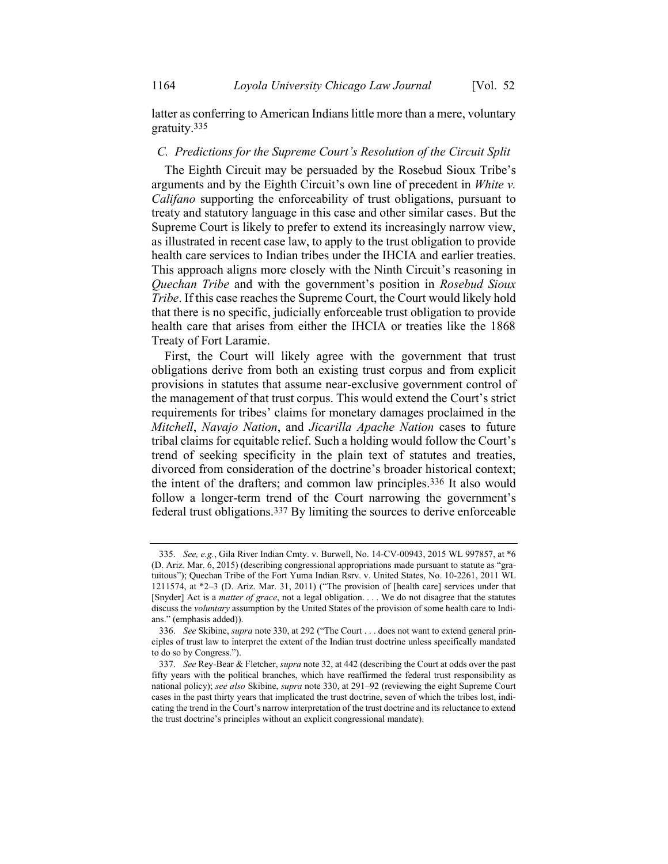latter as conferring to American Indians little more than a mere, voluntary gratuity.335

# *C. Predictions for the Supreme Court's Resolution of the Circuit Split*

The Eighth Circuit may be persuaded by the Rosebud Sioux Tribe's arguments and by the Eighth Circuit's own line of precedent in *White v. Califano* supporting the enforceability of trust obligations, pursuant to treaty and statutory language in this case and other similar cases. But the Supreme Court is likely to prefer to extend its increasingly narrow view, as illustrated in recent case law, to apply to the trust obligation to provide health care services to Indian tribes under the IHCIA and earlier treaties. This approach aligns more closely with the Ninth Circuit's reasoning in *Quechan Tribe* and with the government's position in *Rosebud Sioux Tribe*. If this case reaches the Supreme Court, the Court would likely hold that there is no specific, judicially enforceable trust obligation to provide health care that arises from either the IHCIA or treaties like the 1868 Treaty of Fort Laramie.

First, the Court will likely agree with the government that trust obligations derive from both an existing trust corpus and from explicit provisions in statutes that assume near-exclusive government control of the management of that trust corpus. This would extend the Court's strict requirements for tribes' claims for monetary damages proclaimed in the *Mitchell*, *Navajo Nation*, and *Jicarilla Apache Nation* cases to future tribal claims for equitable relief. Such a holding would follow the Court's trend of seeking specificity in the plain text of statutes and treaties, divorced from consideration of the doctrine's broader historical context; the intent of the drafters; and common law principles.336 It also would follow a longer-term trend of the Court narrowing the government's federal trust obligations.337 By limiting the sources to derive enforceable

<sup>335.</sup> *See, e.g.*, Gila River Indian Cmty. v. Burwell, No. 14-CV-00943, 2015 WL 997857, at \*6 (D. Ariz. Mar. 6, 2015) (describing congressional appropriations made pursuant to statute as "gratuitous"); Quechan Tribe of the Fort Yuma Indian Rsrv. v. United States, No. 10-2261, 2011 WL 1211574, at \*2–3 (D. Ariz. Mar. 31, 2011) ("The provision of [health care] services under that [Snyder] Act is a *matter of grace*, not a legal obligation. . . . We do not disagree that the statutes discuss the *voluntary* assumption by the United States of the provision of some health care to Indians." (emphasis added)).

<sup>336.</sup> *See* Skibine, *supra* not[e 330,](#page-65-0) at 292 ("The Court . . . does not want to extend general principles of trust law to interpret the extent of the Indian trust doctrine unless specifically mandated to do so by Congress.").

<sup>337.</sup> *See* Rey-Bear & Fletcher, *supra* not[e 32,](#page-8-0) at 442 (describing the Court at odds over the past fifty years with the political branches, which have reaffirmed the federal trust responsibility as national policy); *see also* Skibine, *supra* note [330,](#page-65-0) at 291–92 (reviewing the eight Supreme Court cases in the past thirty years that implicated the trust doctrine, seven of which the tribes lost, indicating the trend in the Court's narrow interpretation of the trust doctrine and its reluctance to extend the trust doctrine's principles without an explicit congressional mandate).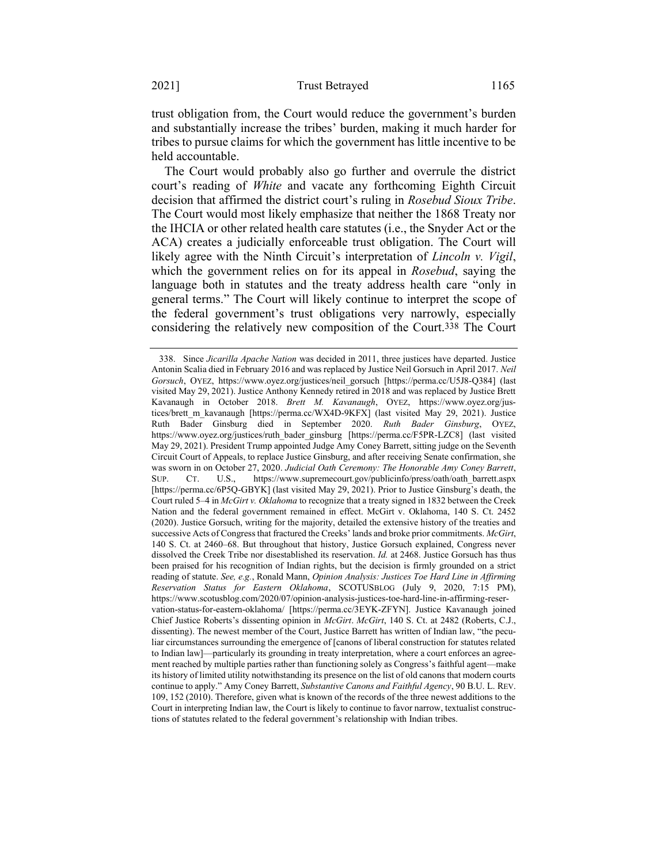trust obligation from, the Court would reduce the government's burden and substantially increase the tribes' burden, making it much harder for tribes to pursue claims for which the government has little incentive to be held accountable.

The Court would probably also go further and overrule the district court's reading of *White* and vacate any forthcoming Eighth Circuit decision that affirmed the district court's ruling in *Rosebud Sioux Tribe*. The Court would most likely emphasize that neither the 1868 Treaty nor the IHCIA or other related health care statutes (i.e., the Snyder Act or the ACA) creates a judicially enforceable trust obligation. The Court will likely agree with the Ninth Circuit's interpretation of *Lincoln v. Vigil*, which the government relies on for its appeal in *Rosebud*, saying the language both in statutes and the treaty address health care "only in general terms." The Court will likely continue to interpret the scope of the federal government's trust obligations very narrowly, especially considering the relatively new composition of the Court.<sup>338</sup> The Court

<sup>338.</sup> Since *Jicarilla Apache Nation* was decided in 2011, three justices have departed. Justice Antonin Scalia died in February 2016 and was replaced by Justice Neil Gorsuch in April 2017. *Neil Gorsuch*, OYEZ, https://www.oyez.org/justices/neil\_gorsuch [https://perma.cc/U5J8-Q384] (last visited May 29, 2021). Justice Anthony Kennedy retired in 2018 and was replaced by Justice Brett Kavanaugh in October 2018. *Brett M. Kavanaugh*, OYEZ, https://www.oyez.org/justices/brett m kavanaugh [https://perma.cc/WX4D-9KFX] (last visited May 29, 2021). Justice Ruth Bader Ginsburg died in September 2020. *Ruth Bader Ginsburg*, OYEZ, https://www.oyez.org/justices/ruth\_bader\_ginsburg [https://perma.cc/F5PR-LZC8] (last visited May 29, 2021). President Trump appointed Judge Amy Coney Barrett, sitting judge on the Seventh Circuit Court of Appeals, to replace Justice Ginsburg, and after receiving Senate confirmation, she was sworn in on October 27, 2020. *Judicial Oath Ceremony: The Honorable Amy Coney Barrett*, SUP. CT. U.S., https://www.supremecourt.gov/publicinfo/press/oath/oath\_barrett.aspx [https://perma.cc/6P5Q-GBYK] (last visited May 29, 2021). Prior to Justice Ginsburg's death, the Court ruled 5–4 in *McGirt v. Oklahoma* to recognize that a treaty signed in 1832 between the Creek Nation and the federal government remained in effect. McGirt v. Oklahoma, 140 S. Ct. 2452 (2020). Justice Gorsuch, writing for the majority, detailed the extensive history of the treaties and successive Acts of Congress that fractured the Creeks' lands and broke prior commitments. *McGirt*, 140 S. Ct. at 2460–68. But throughout that history, Justice Gorsuch explained, Congress never dissolved the Creek Tribe nor disestablished its reservation. *Id.* at 2468. Justice Gorsuch has thus been praised for his recognition of Indian rights, but the decision is firmly grounded on a strict reading of statute. *See, e.g.*, Ronald Mann, *Opinion Analysis: Justices Toe Hard Line in Affirming Reservation Status for Eastern Oklahoma*, SCOTUSBLOG (July 9, 2020, 7:15 PM), https://www.scotusblog.com/2020/07/opinion-analysis-justices-toe-hard-line-in-affirming-reservation-status-for-eastern-oklahoma/ [https://perma.cc/3EYK-ZFYN]. Justice Kavanaugh joined Chief Justice Roberts's dissenting opinion in *McGirt*. *McGirt*, 140 S. Ct. at 2482 (Roberts, C.J., dissenting). The newest member of the Court, Justice Barrett has written of Indian law, "the peculiar circumstances surrounding the emergence of [canons of liberal construction for statutes related to Indian law]—particularly its grounding in treaty interpretation, where a court enforces an agreement reached by multiple parties rather than functioning solely as Congress's faithful agent—make its history of limited utility notwithstanding its presence on the list of old canons that modern courts continue to apply." Amy Coney Barrett, *Substantive Canons and Faithful Agency*, 90 B.U. L. REV. 109, 152 (2010). Therefore, given what is known of the records of the three newest additions to the Court in interpreting Indian law, the Court is likely to continue to favor narrow, textualist constructions of statutes related to the federal government's relationship with Indian tribes.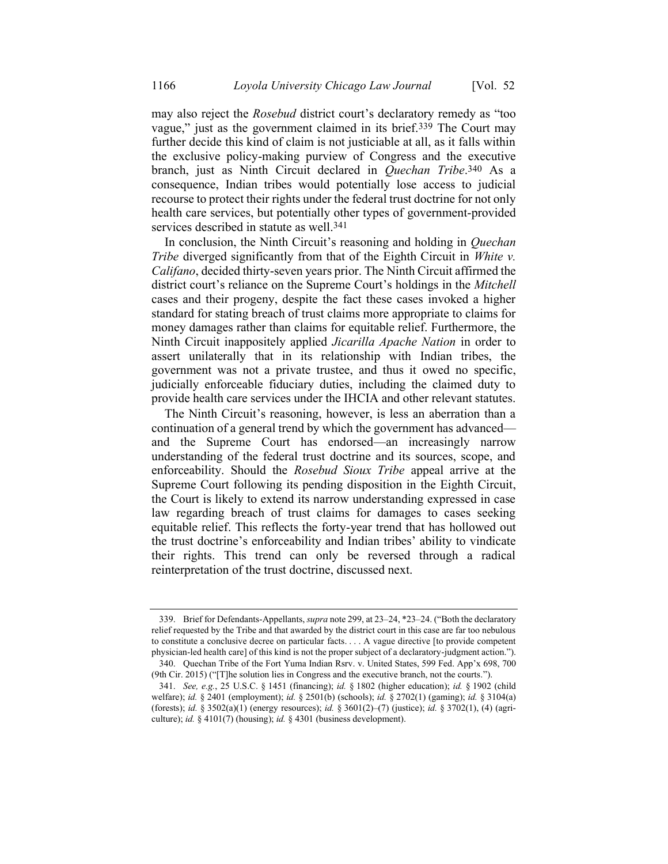may also reject the *Rosebud* district court's declaratory remedy as "too vague," just as the government claimed in its brief.339 The Court may further decide this kind of claim is not justiciable at all, as it falls within the exclusive policy-making purview of Congress and the executive branch, just as Ninth Circuit declared in *Quechan Tribe*. 340 As a consequence, Indian tribes would potentially lose access to judicial recourse to protect their rights under the federal trust doctrine for not only health care services, but potentially other types of government-provided services described in statute as well.341

In conclusion, the Ninth Circuit's reasoning and holding in *Quechan Tribe* diverged significantly from that of the Eighth Circuit in *White v. Califano*, decided thirty-seven years prior. The Ninth Circuit affirmed the district court's reliance on the Supreme Court's holdings in the *Mitchell*  cases and their progeny, despite the fact these cases invoked a higher standard for stating breach of trust claims more appropriate to claims for money damages rather than claims for equitable relief. Furthermore, the Ninth Circuit inappositely applied *Jicarilla Apache Nation* in order to assert unilaterally that in its relationship with Indian tribes, the government was not a private trustee, and thus it owed no specific, judicially enforceable fiduciary duties, including the claimed duty to provide health care services under the IHCIA and other relevant statutes.

The Ninth Circuit's reasoning, however, is less an aberration than a continuation of a general trend by which the government has advanced and the Supreme Court has endorsed—an increasingly narrow understanding of the federal trust doctrine and its sources, scope, and enforceability. Should the *Rosebud Sioux Tribe* appeal arrive at the Supreme Court following its pending disposition in the Eighth Circuit, the Court is likely to extend its narrow understanding expressed in case law regarding breach of trust claims for damages to cases seeking equitable relief. This reflects the forty-year trend that has hollowed out the trust doctrine's enforceability and Indian tribes' ability to vindicate their rights. This trend can only be reversed through a radical reinterpretation of the trust doctrine, discussed next.

<sup>339.</sup> Brief for Defendants-Appellants, *supra* not[e 299,](#page-60-0) at 23–24, \*23–24. ("Both the declaratory relief requested by the Tribe and that awarded by the district court in this case are far too nebulous to constitute a conclusive decree on particular facts. . . . A vague directive [to provide competent physician-led health care] of this kind is not the proper subject of a declaratory-judgment action."). 340. Quechan Tribe of the Fort Yuma Indian Rsrv. v. United States, 599 Fed. App'x 698, 700

<sup>(9</sup>th Cir. 2015) ("[T]he solution lies in Congress and the executive branch, not the courts.").

<sup>341.</sup> *See, e.g.*, 25 U.S.C. § 1451 (financing); *id.* § 1802 (higher education); *id.* § 1902 (child welfare); *id.* § 2401 (employment); *id.* § 2501(b) (schools); *id.* § 2702(1) (gaming); *id.* § 3104(a) (forests); *id.* § 3502(a)(1) (energy resources); *id.* § 3601(2)–(7) (justice); *id.* § 3702(1), (4) (agriculture); *id.* § 4101(7) (housing); *id.* § 4301 (business development).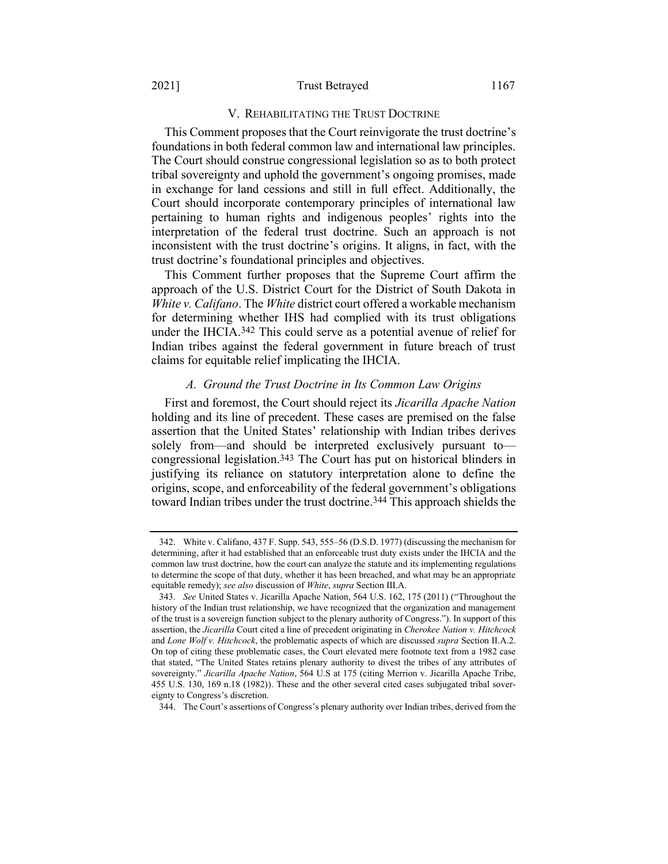#### 2021] Trust Betrayed 1167

## V. REHABILITATING THE TRUST DOCTRINE

This Comment proposes that the Court reinvigorate the trust doctrine's foundations in both federal common law and international law principles. The Court should construe congressional legislation so as to both protect tribal sovereignty and uphold the government's ongoing promises, made in exchange for land cessions and still in full effect. Additionally, the Court should incorporate contemporary principles of international law pertaining to human rights and indigenous peoples' rights into the interpretation of the federal trust doctrine. Such an approach is not inconsistent with the trust doctrine's origins. It aligns, in fact, with the trust doctrine's foundational principles and objectives.

This Comment further proposes that the Supreme Court affirm the approach of the U.S. District Court for the District of South Dakota in *White v. Califano*. The *White* district court offered a workable mechanism for determining whether IHS had complied with its trust obligations under the IHCIA.342 This could serve as a potential avenue of relief for Indian tribes against the federal government in future breach of trust claims for equitable relief implicating the IHCIA.

# *A. Ground the Trust Doctrine in Its Common Law Origins*

First and foremost, the Court should reject its *Jicarilla Apache Nation* holding and its line of precedent. These cases are premised on the false assertion that the United States' relationship with Indian tribes derives solely from—and should be interpreted exclusively pursuant to congressional legislation.343 The Court has put on historical blinders in justifying its reliance on statutory interpretation alone to define the origins, scope, and enforceability of the federal government's obligations toward Indian tribes under the trust doctrine.344 This approach shields the

344. The Court's assertions of Congress's plenary authority over Indian tribes, derived from the

<sup>342.</sup> White v. Califano, 437 F. Supp. 543, 555–56 (D.S.D. 1977) (discussing the mechanism for determining, after it had established that an enforceable trust duty exists under the IHCIA and the common law trust doctrine, how the court can analyze the statute and its implementing regulations to determine the scope of that duty, whether it has been breached, and what may be an appropriate equitable remedy); *see also* discussion of *White*, *supra* Section III.A.

<sup>343.</sup> *See* United States v. Jicarilla Apache Nation, 564 U.S. 162, 175 (2011) ("Throughout the history of the Indian trust relationship, we have recognized that the organization and management of the trust is a sovereign function subject to the plenary authority of Congress."). In support of this assertion, the *Jicarilla* Court cited a line of precedent originating in *Cherokee Nation v. Hitchcock* and *Lone Wolf v. Hitchcock*, the problematic aspects of which are discussed *supra* Section II.A.2. On top of citing these problematic cases, the Court elevated mere footnote text from a 1982 case that stated, "The United States retains plenary authority to divest the tribes of any attributes of sovereignty." *Jicarilla Apache Nation*, 564 U.S at 175 (citing Merrion v. Jicarilla Apache Tribe, 455 U.S. 130, 169 n.18 (1982)). These and the other several cited cases subjugated tribal sovereignty to Congress's discretion.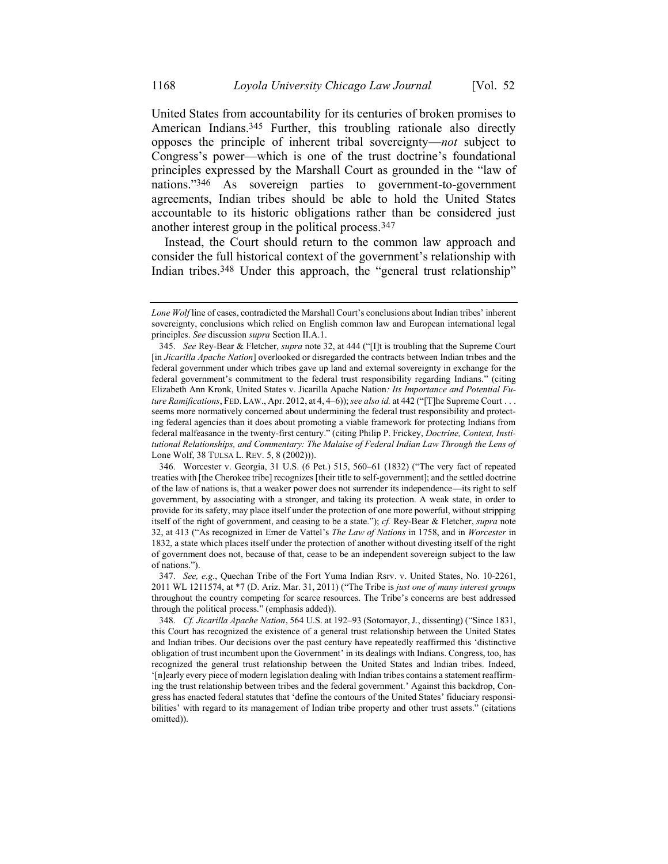United States from accountability for its centuries of broken promises to American Indians. 345 Further, this troubling rationale also directly opposes the principle of inherent tribal sovereignty—*not* subject to Congress's power—which is one of the trust doctrine's foundational principles expressed by the Marshall Court as grounded in the "law of nations."346 As sovereign parties to government-to-government agreements, Indian tribes should be able to hold the United States accountable to its historic obligations rather than be considered just another interest group in the political process.347

Instead, the Court should return to the common law approach and consider the full historical context of the government's relationship with Indian tribes.348 Under this approach, the "general trust relationship"

*Lone Wolf* line of cases, contradicted the Marshall Court's conclusions about Indian tribes' inherent sovereignty, conclusions which relied on English common law and European international legal principles. *See* discussion *supra* Section II.A.1.

<sup>345.</sup> *See* Rey-Bear & Fletcher, *supra* not[e 32,](#page-8-0) at 444 ("[I]t is troubling that the Supreme Court [in *Jicarilla Apache Nation*] overlooked or disregarded the contracts between Indian tribes and the federal government under which tribes gave up land and external sovereignty in exchange for the federal government's commitment to the federal trust responsibility regarding Indians." (citing Elizabeth Ann Kronk, United States v. Jicarilla Apache Nation*: Its Importance and Potential Future Ramifications*, FED. LAW., Apr. 2012, at 4, 4–6));*see also id.* at 442 ("[T]he Supreme Court . . . seems more normatively concerned about undermining the federal trust responsibility and protecting federal agencies than it does about promoting a viable framework for protecting Indians from federal malfeasance in the twenty-first century." (citing Philip P. Frickey, *Doctrine, Context, Institutional Relationships, and Commentary: The Malaise of Federal Indian Law Through the Lens of*  Lone Wolf, 38 TULSA L. REV. 5, 8 (2002))).

<sup>346.</sup> Worcester v. Georgia, 31 U.S. (6 Pet.) 515, 560–61 (1832) ("The very fact of repeated treaties with [the Cherokee tribe] recognizes [their title to self-government]; and the settled doctrine of the law of nations is, that a weaker power does not surrender its independence—its right to self government, by associating with a stronger, and taking its protection. A weak state, in order to provide for its safety, may place itself under the protection of one more powerful, without stripping itself of the right of government, and ceasing to be a state."); *cf.* Rey-Bear & Fletcher, *supra* note [32,](#page-8-0) at 413 ("As recognized in Emer de Vattel's *The Law of Nations* in 1758, and in *Worcester* in 1832, a state which places itself under the protection of another without divesting itself of the right of government does not, because of that, cease to be an independent sovereign subject to the law of nations.").

<sup>347.</sup> *See, e.g.*, Quechan Tribe of the Fort Yuma Indian Rsrv. v. United States, No. 10-2261, 2011 WL 1211574, at \*7 (D. Ariz. Mar. 31, 2011) ("The Tribe is *just one of many interest groups* throughout the country competing for scarce resources. The Tribe's concerns are best addressed through the political process." (emphasis added)).

<sup>348.</sup> *Cf. Jicarilla Apache Nation*, 564 U.S. at 192–93 (Sotomayor, J., dissenting) ("Since 1831, this Court has recognized the existence of a general trust relationship between the United States and Indian tribes. Our decisions over the past century have repeatedly reaffirmed this 'distinctive obligation of trust incumbent upon the Government' in its dealings with Indians. Congress, too, has recognized the general trust relationship between the United States and Indian tribes. Indeed, '[n]early every piece of modern legislation dealing with Indian tribes contains a statement reaffirming the trust relationship between tribes and the federal government.' Against this backdrop, Congress has enacted federal statutes that 'define the contours of the United States' fiduciary responsibilities' with regard to its management of Indian tribe property and other trust assets." (citations omitted)).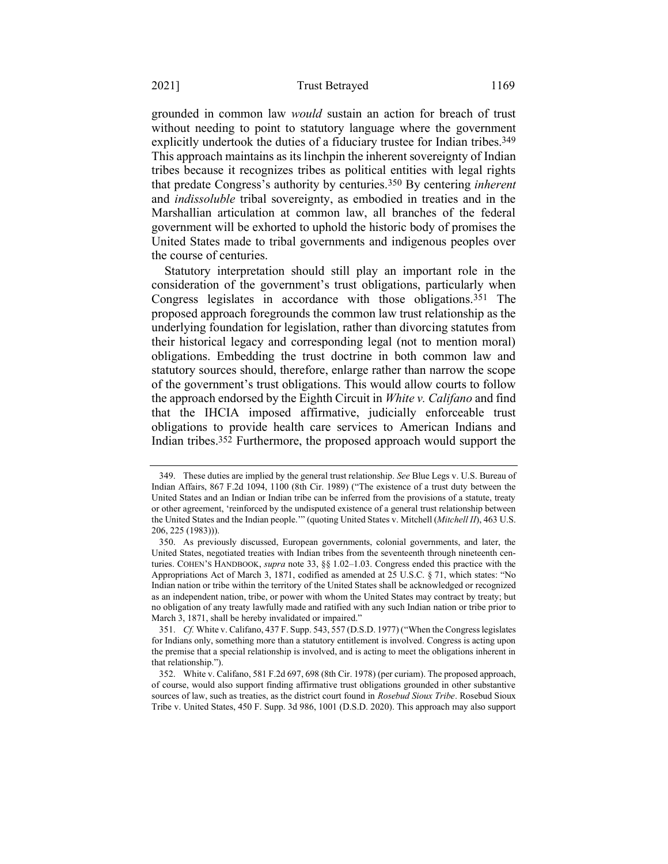grounded in common law *would* sustain an action for breach of trust without needing to point to statutory language where the government explicitly undertook the duties of a fiduciary trustee for Indian tribes.<sup>349</sup> This approach maintains as its linchpin the inherent sovereignty of Indian tribes because it recognizes tribes as political entities with legal rights that predate Congress's authority by centuries.350 By centering *inherent* and *indissoluble* tribal sovereignty, as embodied in treaties and in the Marshallian articulation at common law, all branches of the federal government will be exhorted to uphold the historic body of promises the United States made to tribal governments and indigenous peoples over the course of centuries.

Statutory interpretation should still play an important role in the consideration of the government's trust obligations, particularly when Congress legislates in accordance with those obligations.351 The proposed approach foregrounds the common law trust relationship as the underlying foundation for legislation, rather than divorcing statutes from their historical legacy and corresponding legal (not to mention moral) obligations. Embedding the trust doctrine in both common law and statutory sources should, therefore, enlarge rather than narrow the scope of the government's trust obligations. This would allow courts to follow the approach endorsed by the Eighth Circuit in *White v. Califano* and find that the IHCIA imposed affirmative, judicially enforceable trust obligations to provide health care services to American Indians and Indian tribes. 352 Furthermore, the proposed approach would support the

<sup>349.</sup> These duties are implied by the general trust relationship. *See* Blue Legs v. U.S. Bureau of Indian Affairs, 867 F.2d 1094, 1100 (8th Cir. 1989) ("The existence of a trust duty between the United States and an Indian or Indian tribe can be inferred from the provisions of a statute, treaty or other agreement, 'reinforced by the undisputed existence of a general trust relationship between the United States and the Indian people.'" (quoting United States v. Mitchell (*Mitchell II*), 463 U.S. 206, 225 (1983))).

<sup>350.</sup> As previously discussed, European governments, colonial governments, and later, the United States, negotiated treaties with Indian tribes from the seventeenth through nineteenth centuries. COHEN'S HANDBOOK, *supra* note [33,](#page-9-0) §§ 1.02–1.03. Congress ended this practice with the Appropriations Act of March 3, 1871, codified as amended at 25 U.S.C. § 71, which states: "No Indian nation or tribe within the territory of the United States shall be acknowledged or recognized as an independent nation, tribe, or power with whom the United States may contract by treaty; but no obligation of any treaty lawfully made and ratified with any such Indian nation or tribe prior to March 3, 1871, shall be hereby invalidated or impaired."

<sup>351.</sup> *Cf.* White v. Califano, 437 F. Supp. 543, 557 (D.S.D. 1977) ("When the Congress legislates for Indians only, something more than a statutory entitlement is involved. Congress is acting upon the premise that a special relationship is involved, and is acting to meet the obligations inherent in that relationship.").

<sup>352.</sup> White v. Califano, 581 F.2d 697, 698 (8th Cir. 1978) (per curiam). The proposed approach, of course, would also support finding affirmative trust obligations grounded in other substantive sources of law, such as treaties, as the district court found in *Rosebud Sioux Tribe*. Rosebud Sioux Tribe v. United States, 450 F. Supp. 3d 986, 1001 (D.S.D. 2020). This approach may also support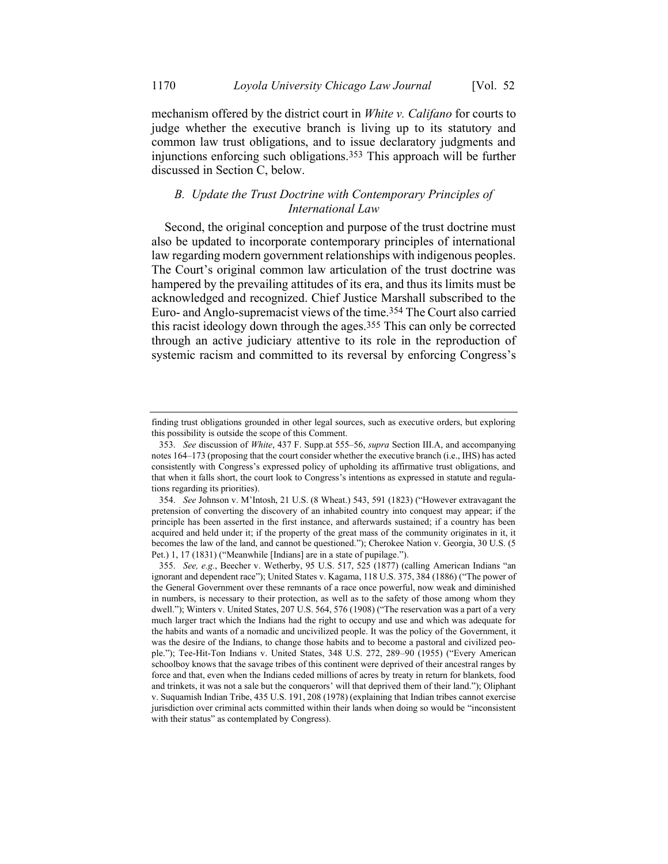mechanism offered by the district court in *White v. Califano* for courts to judge whether the executive branch is living up to its statutory and common law trust obligations, and to issue declaratory judgments and injunctions enforcing such obligations.353 This approach will be further discussed in Section C, below.

## *B. Update the Trust Doctrine with Contemporary Principles of International Law*

Second, the original conception and purpose of the trust doctrine must also be updated to incorporate contemporary principles of international law regarding modern government relationships with indigenous peoples. The Court's original common law articulation of the trust doctrine was hampered by the prevailing attitudes of its era, and thus its limits must be acknowledged and recognized. Chief Justice Marshall subscribed to the Euro- and Anglo-supremacist views of the time.354 The Court also carried this racist ideology down through the ages.355 This can only be corrected through an active judiciary attentive to its role in the reproduction of systemic racism and committed to its reversal by enforcing Congress's

finding trust obligations grounded in other legal sources, such as executive orders, but exploring this possibility is outside the scope of this Comment.

<sup>353.</sup> *See* discussion of *White*, 437 F. Supp.at 555–56, *supra* Section III.A, and accompanying note[s 164](#page-36-0)–[173](#page-38-0) (proposing that the court consider whether the executive branch (i.e., IHS) has acted consistently with Congress's expressed policy of upholding its affirmative trust obligations, and that when it falls short, the court look to Congress's intentions as expressed in statute and regulations regarding its priorities).

<sup>354.</sup> *See* Johnson v. M'Intosh, 21 U.S. (8 Wheat.) 543, 591 (1823) ("However extravagant the pretension of converting the discovery of an inhabited country into conquest may appear; if the principle has been asserted in the first instance, and afterwards sustained; if a country has been acquired and held under it; if the property of the great mass of the community originates in it, it becomes the law of the land, and cannot be questioned."); Cherokee Nation v. Georgia, 30 U.S. (5 Pet.) 1, 17 (1831) ("Meanwhile [Indians] are in a state of pupilage.").

<sup>355.</sup> *See, e.g.*, Beecher v. Wetherby, 95 U.S. 517, 525 (1877) (calling American Indians "an ignorant and dependent race"); United States v. Kagama, 118 U.S. 375, 384 (1886) ("The power of the General Government over these remnants of a race once powerful, now weak and diminished in numbers, is necessary to their protection, as well as to the safety of those among whom they dwell."); Winters v. United States, 207 U.S. 564, 576 (1908) ("The reservation was a part of a very much larger tract which the Indians had the right to occupy and use and which was adequate for the habits and wants of a nomadic and uncivilized people. It was the policy of the Government, it was the desire of the Indians, to change those habits and to become a pastoral and civilized people."); Tee-Hit-Ton Indians v. United States, 348 U.S. 272, 289–90 (1955) ("Every American schoolboy knows that the savage tribes of this continent were deprived of their ancestral ranges by force and that, even when the Indians ceded millions of acres by treaty in return for blankets, food and trinkets, it was not a sale but the conquerors' will that deprived them of their land."); Oliphant v. Suquamish Indian Tribe, 435 U.S. 191, 208 (1978) (explaining that Indian tribes cannot exercise jurisdiction over criminal acts committed within their lands when doing so would be "inconsistent with their status" as contemplated by Congress).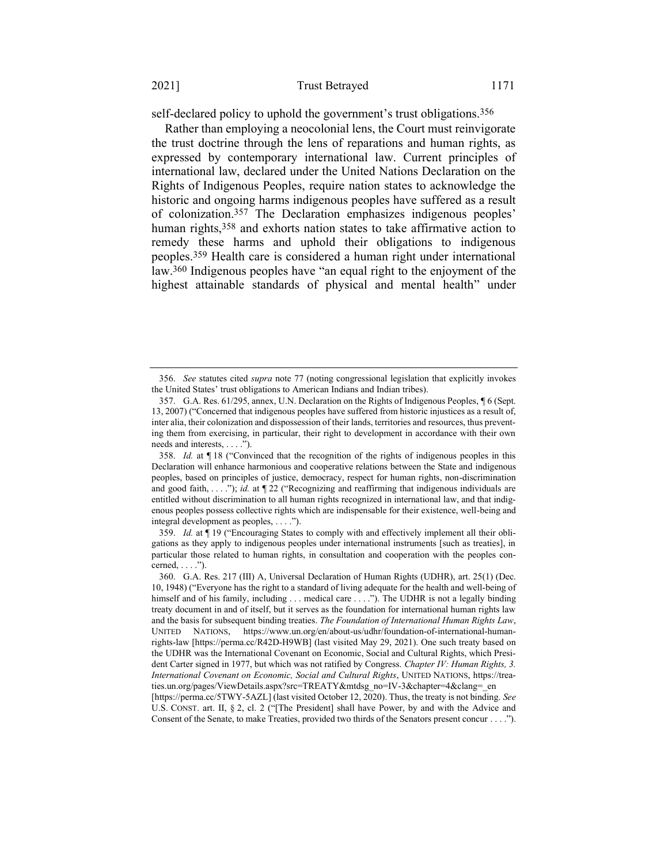self-declared policy to uphold the government's trust obligations.<sup>356</sup>

<span id="page-73-0"></span>Rather than employing a neocolonial lens, the Court must reinvigorate the trust doctrine through the lens of reparations and human rights, as expressed by contemporary international law. Current principles of international law, declared under the United Nations Declaration on the Rights of Indigenous Peoples, require nation states to acknowledge the historic and ongoing harms indigenous peoples have suffered as a result of colonization.357 The Declaration emphasizes indigenous peoples' human rights,<sup>358</sup> and exhorts nation states to take affirmative action to remedy these harms and uphold their obligations to indigenous peoples.359 Health care is considered a human right under international law.360 Indigenous peoples have "an equal right to the enjoyment of the highest attainable standards of physical and mental health" under

<sup>356.</sup> *See* statutes cited *supra* not[e 77](#page-18-0) (noting congressional legislation that explicitly invokes the United States' trust obligations to American Indians and Indian tribes).

<sup>357.</sup> G.A. Res. 61/295, annex, U.N. Declaration on the Rights of Indigenous Peoples, ¶ 6 (Sept. 13, 2007) ("Concerned that indigenous peoples have suffered from historic injustices as a result of, inter alia, their colonization and dispossession of their lands, territories and resources, thus preventing them from exercising, in particular, their right to development in accordance with their own needs and interests, . . . .").

<sup>358.</sup> *Id.* at ¶ 18 ("Convinced that the recognition of the rights of indigenous peoples in this Declaration will enhance harmonious and cooperative relations between the State and indigenous peoples, based on principles of justice, democracy, respect for human rights, non-discrimination and good faith, ...."); *id.* at  $\P$  22 ("Recognizing and reaffirming that indigenous individuals are entitled without discrimination to all human rights recognized in international law, and that indigenous peoples possess collective rights which are indispensable for their existence, well-being and integral development as peoples, . . . .").

<sup>359.</sup> *Id.* at ¶ 19 ("Encouraging States to comply with and effectively implement all their obligations as they apply to indigenous peoples under international instruments [such as treaties], in particular those related to human rights, in consultation and cooperation with the peoples concerned,  $\dots$  .").

<sup>360.</sup> G.A. Res. 217 (III) A, Universal Declaration of Human Rights (UDHR), art. 25(1) (Dec. 10, 1948) ("Everyone has the right to a standard of living adequate for the health and well-being of himself and of his family, including . . . medical care . . . ."). The UDHR is not a legally binding treaty document in and of itself, but it serves as the foundation for international human rights law and the basis for subsequent binding treaties. *The Foundation of International Human Rights Law*, UNITED NATIONS, https://www.un.org/en/about-us/udhr/foundation-of-international-humanrights-law [https://perma.cc/R42D-H9WB] (last visited May 29, 2021). One such treaty based on the UDHR was the International Covenant on Economic, Social and Cultural Rights, which President Carter signed in 1977, but which was not ratified by Congress. *Chapter IV: Human Rights, 3. International Covenant on Economic, Social and Cultural Rights*, UNITED NATIONS, https://treaties.un.org/pages/ViewDetails.aspx?src=TREATY&mtdsg\_no=IV-3&chapter=4&clang=\_en [https://perma.cc/5TWY-5AZL] (last visited October 12, 2020). Thus, the treaty is not binding. *See* 

U.S. CONST. art. II, § 2, cl. 2 ("[The President] shall have Power, by and with the Advice and Consent of the Senate, to make Treaties, provided two thirds of the Senators present concur . . . .").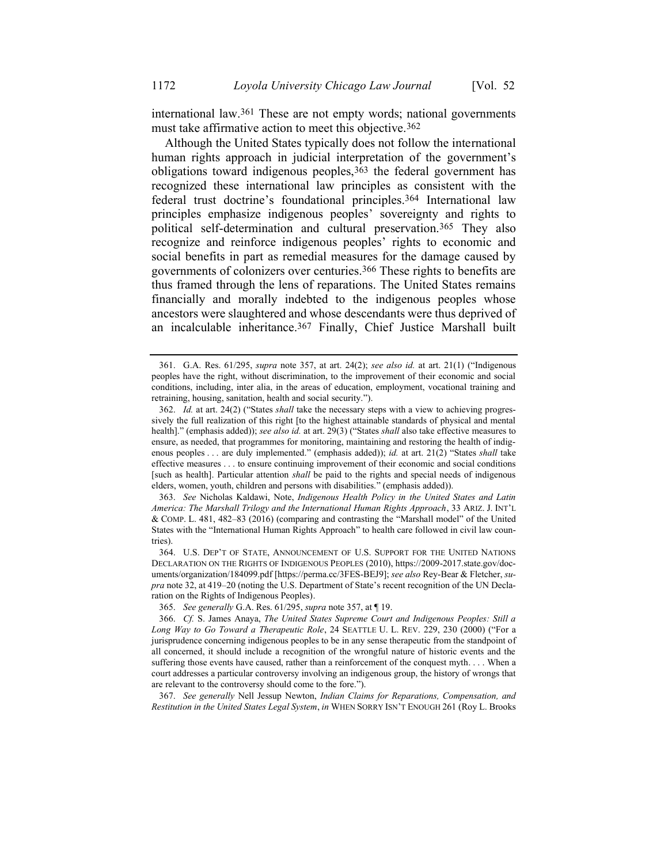international law.361 These are not empty words; national governments must take affirmative action to meet this objective.362

Although the United States typically does not follow the international human rights approach in judicial interpretation of the government's obligations toward indigenous peoples,  $363$  the federal government has recognized these international law principles as consistent with the federal trust doctrine's foundational principles.364 International law principles emphasize indigenous peoples' sovereignty and rights to political self-determination and cultural preservation.365 They also recognize and reinforce indigenous peoples' rights to economic and social benefits in part as remedial measures for the damage caused by governments of colonizers over centuries.366 These rights to benefits are thus framed through the lens of reparations. The United States remains financially and morally indebted to the indigenous peoples whose ancestors were slaughtered and whose descendants were thus deprived of an incalculable inheritance.<sup>367</sup> Finally, Chief Justice Marshall built

363. *See* Nicholas Kaldawi, Note, *Indigenous Health Policy in the United States and Latin America: The Marshall Trilogy and the International Human Rights Approach*, 33 ARIZ. J. INT'L & COMP. L. 481, 482–83 (2016) (comparing and contrasting the "Marshall model" of the United States with the "International Human Rights Approach" to health care followed in civil law countries).

364. U.S. DEP'T OF STATE, ANNOUNCEMENT OF U.S. SUPPORT FOR THE UNITED NATIONS DECLARATION ON THE RIGHTS OF INDIGENOUS PEOPLES (2010), https://2009-2017.state.gov/documents/organization/184099.pdf [https://perma.cc/3FES-BEJ9]; *see also* Rey-Bear & Fletcher, *supra* not[e 32,](#page-8-0) at 419–20 (noting the U.S. Department of State's recent recognition of the UN Declaration on the Rights of Indigenous Peoples).

365. *See generally* G.A. Res. 61/295, *supra* note [357,](#page-73-0) at ¶ 19.

367. *See generally* Nell Jessup Newton, *Indian Claims for Reparations, Compensation, and Restitution in the United States Legal System*, *in* WHEN SORRY ISN'T ENOUGH 261 (Roy L. Brooks

<sup>361.</sup> G.A. Res. 61/295, *supra* note [357,](#page-73-0) at art. 24(2); *see also id.* at art. 21(1) ("Indigenous peoples have the right, without discrimination, to the improvement of their economic and social conditions, including, inter alia, in the areas of education, employment, vocational training and retraining, housing, sanitation, health and social security.").

<sup>362.</sup> *Id.* at art. 24(2) ("States *shall* take the necessary steps with a view to achieving progressively the full realization of this right [to the highest attainable standards of physical and mental health]." (emphasis added)); *see also id.* at art. 29(3) ("States *shall* also take effective measures to ensure, as needed, that programmes for monitoring, maintaining and restoring the health of indigenous peoples . . . are duly implemented." (emphasis added)); *id.* at art. 21(2) "States *shall* take effective measures . . . to ensure continuing improvement of their economic and social conditions [such as health]. Particular attention *shall* be paid to the rights and special needs of indigenous elders, women, youth, children and persons with disabilities." (emphasis added)).

<sup>366.</sup> *Cf.* S. James Anaya, *The United States Supreme Court and Indigenous Peoples: Still a Long Way to Go Toward a Therapeutic Role*, 24 SEATTLE U. L. REV. 229, 230 (2000) ("For a jurisprudence concerning indigenous peoples to be in any sense therapeutic from the standpoint of all concerned, it should include a recognition of the wrongful nature of historic events and the suffering those events have caused, rather than a reinforcement of the conquest myth. . . . When a court addresses a particular controversy involving an indigenous group, the history of wrongs that are relevant to the controversy should come to the fore.").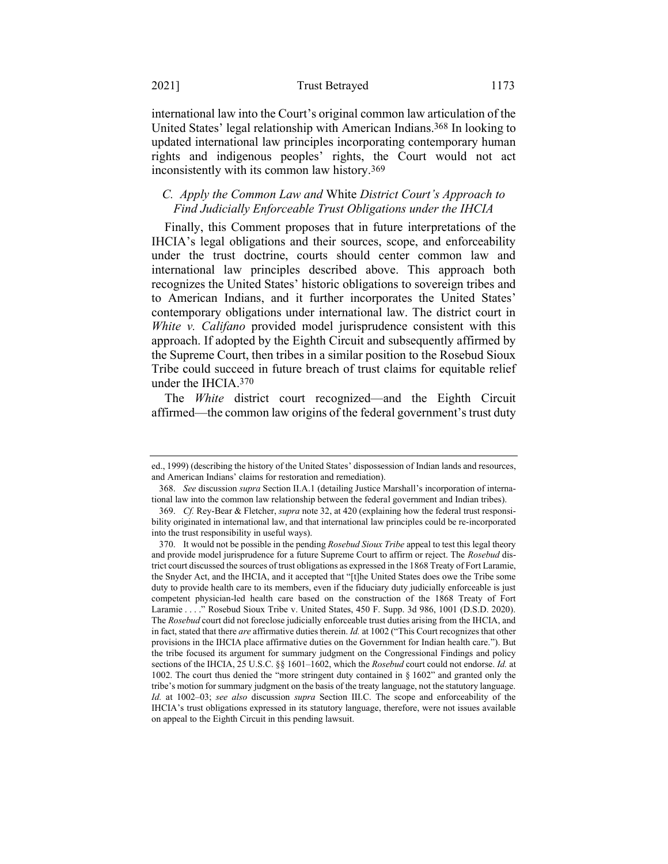## 2021] Trust Betrayed 1173

international law into the Court's original common law articulation of the United States' legal relationship with American Indians. 368 In looking to updated international law principles incorporating contemporary human rights and indigenous peoples' rights, the Court would not act inconsistently with its common law history.369

## <span id="page-75-0"></span>*C. Apply the Common Law and* White *District Court's Approach to Find Judicially Enforceable Trust Obligations under the IHCIA*

Finally, this Comment proposes that in future interpretations of the IHCIA's legal obligations and their sources, scope, and enforceability under the trust doctrine, courts should center common law and international law principles described above. This approach both recognizes the United States' historic obligations to sovereign tribes and to American Indians, and it further incorporates the United States' contemporary obligations under international law. The district court in *White v. Califano* provided model jurisprudence consistent with this approach. If adopted by the Eighth Circuit and subsequently affirmed by the Supreme Court, then tribes in a similar position to the Rosebud Sioux Tribe could succeed in future breach of trust claims for equitable relief under the IHCIA.370

The *White* district court recognized—and the Eighth Circuit affirmed—the common law origins of the federal government's trust duty

ed., 1999) (describing the history of the United States' dispossession of Indian lands and resources, and American Indians' claims for restoration and remediation).

<sup>368.</sup> *See* discussion *supra* Section II.A.1 (detailing Justice Marshall's incorporation of international law into the common law relationship between the federal government and Indian tribes).

<sup>369.</sup> *Cf.* Rey-Bear & Fletcher, *supra* not[e 32,](#page-8-0) at 420 (explaining how the federal trust responsibility originated in international law, and that international law principles could be re-incorporated into the trust responsibility in useful ways).

<sup>370.</sup> It would not be possible in the pending *Rosebud Sioux Tribe* appeal to test this legal theory and provide model jurisprudence for a future Supreme Court to affirm or reject. The *Rosebud* district court discussed the sources of trust obligations as expressed in the 1868 Treaty of Fort Laramie, the Snyder Act, and the IHCIA, and it accepted that "[t]he United States does owe the Tribe some duty to provide health care to its members, even if the fiduciary duty judicially enforceable is just competent physician-led health care based on the construction of the 1868 Treaty of Fort Laramie . . . ." Rosebud Sioux Tribe v. United States, 450 F. Supp. 3d 986, 1001 (D.S.D. 2020). The *Rosebud* court did not foreclose judicially enforceable trust duties arising from the IHCIA, and in fact, stated that there *are* affirmative duties therein. *Id.* at 1002 ("This Court recognizes that other provisions in the IHCIA place affirmative duties on the Government for Indian health care."). But the tribe focused its argument for summary judgment on the Congressional Findings and policy sections of the IHCIA, 25 U.S.C. §§ 1601–1602, which the *Rosebud* court could not endorse. *Id.* at 1002. The court thus denied the "more stringent duty contained in § 1602" and granted only the tribe's motion for summary judgment on the basis of the treaty language, not the statutory language. *Id.* at 1002–03; *see also* discussion *supra* Section III.C. The scope and enforceability of the IHCIA's trust obligations expressed in its statutory language, therefore, were not issues available on appeal to the Eighth Circuit in this pending lawsuit.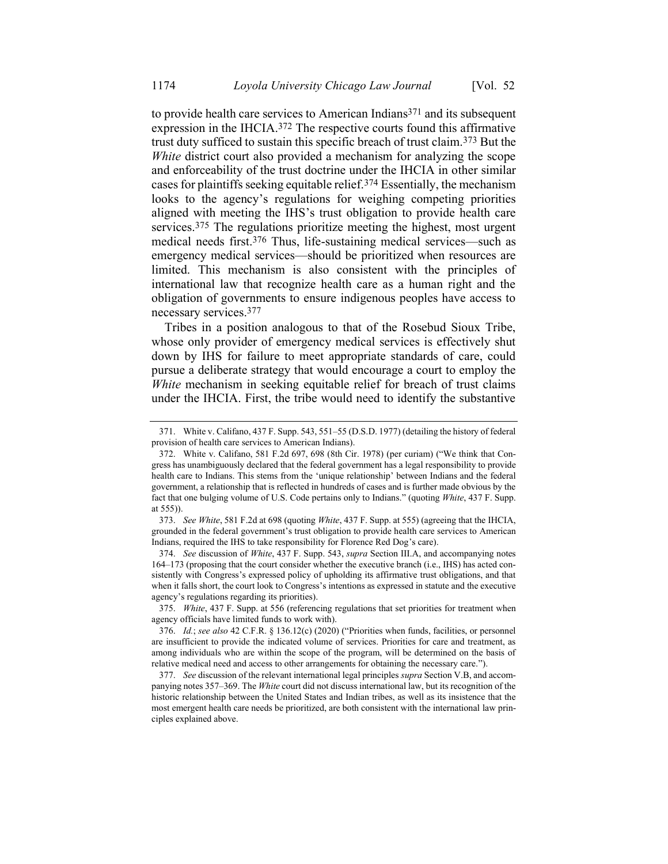to provide health care services to American Indians<sup>371</sup> and its subsequent expression in the IHCIA.372 The respective courts found this affirmative trust duty sufficed to sustain this specific breach of trust claim.373 But the *White* district court also provided a mechanism for analyzing the scope and enforceability of the trust doctrine under the IHCIA in other similar cases for plaintiffs seeking equitable relief.374 Essentially, the mechanism looks to the agency's regulations for weighing competing priorities aligned with meeting the IHS's trust obligation to provide health care services.375 The regulations prioritize meeting the highest, most urgent medical needs first.376 Thus, life-sustaining medical services—such as emergency medical services—should be prioritized when resources are limited. This mechanism is also consistent with the principles of international law that recognize health care as a human right and the obligation of governments to ensure indigenous peoples have access to necessary services.377

<span id="page-76-0"></span>Tribes in a position analogous to that of the Rosebud Sioux Tribe, whose only provider of emergency medical services is effectively shut down by IHS for failure to meet appropriate standards of care, could pursue a deliberate strategy that would encourage a court to employ the *White* mechanism in seeking equitable relief for breach of trust claims under the IHCIA. First, the tribe would need to identify the substantive

374. *See* discussion of *White*, 437 F. Supp. 543, *supra* Section III.A, and accompanying notes [164](#page-36-0)–[173](#page-38-0) (proposing that the court consider whether the executive branch (i.e., IHS) has acted consistently with Congress's expressed policy of upholding its affirmative trust obligations, and that when it falls short, the court look to Congress's intentions as expressed in statute and the executive agency's regulations regarding its priorities).

375. *White*, 437 F. Supp. at 556 (referencing regulations that set priorities for treatment when agency officials have limited funds to work with).

<sup>371.</sup> White v. Califano, 437 F. Supp. 543, 551–55 (D.S.D. 1977) (detailing the history of federal provision of health care services to American Indians).

<sup>372.</sup> White v. Califano, 581 F.2d 697, 698 (8th Cir. 1978) (per curiam) ("We think that Congress has unambiguously declared that the federal government has a legal responsibility to provide health care to Indians. This stems from the 'unique relationship' between Indians and the federal government, a relationship that is reflected in hundreds of cases and is further made obvious by the fact that one bulging volume of U.S. Code pertains only to Indians." (quoting *White*, 437 F. Supp. at 555)).

<sup>373.</sup> *See White*, 581 F.2d at 698 (quoting *White*, 437 F. Supp. at 555) (agreeing that the IHCIA, grounded in the federal government's trust obligation to provide health care services to American Indians, required the IHS to take responsibility for Florence Red Dog's care).

<sup>376.</sup> *Id.*; *see also* 42 C.F.R. § 136.12(c) (2020) ("Priorities when funds, facilities, or personnel are insufficient to provide the indicated volume of services. Priorities for care and treatment, as among individuals who are within the scope of the program, will be determined on the basis of relative medical need and access to other arrangements for obtaining the necessary care.").

<sup>377.</sup> *See* discussion of the relevant international legal principles *supra* Section V.B, and accompanying note[s 357](#page-73-0)–[369.](#page-75-0) The *White* court did not discuss international law, but its recognition of the historic relationship between the United States and Indian tribes, as well as its insistence that the most emergent health care needs be prioritized, are both consistent with the international law principles explained above.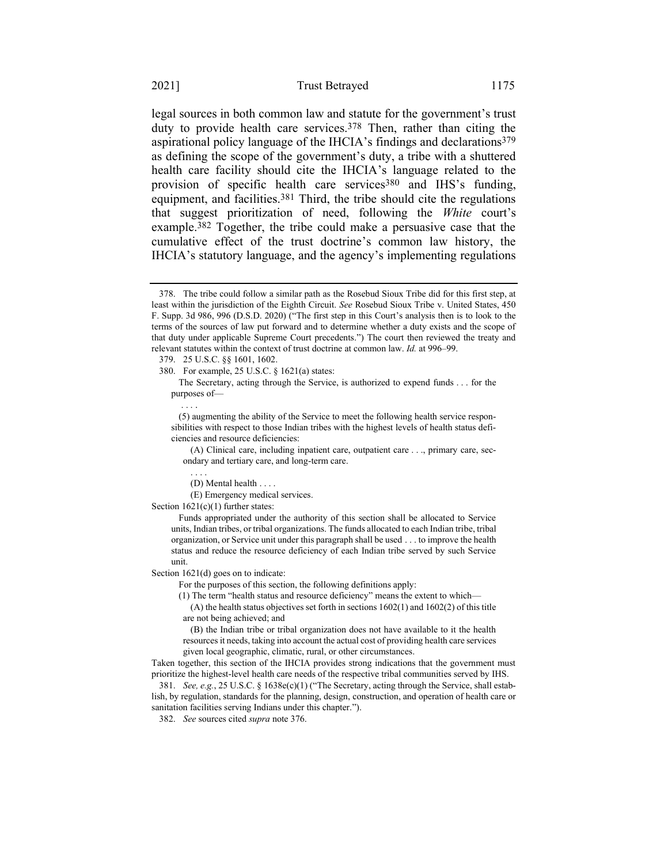legal sources in both common law and statute for the government's trust duty to provide health care services.<sup>378</sup> Then, rather than citing the aspirational policy language of the IHCIA's findings and declarations379 as defining the scope of the government's duty, a tribe with a shuttered health care facility should cite the IHCIA's language related to the provision of specific health care services<sup>380</sup> and IHS's funding, equipment, and facilities.<sup>381</sup> Third, the tribe should cite the regulations that suggest prioritization of need, following the *White* court's example.382 Together, the tribe could make a persuasive case that the cumulative effect of the trust doctrine's common law history, the IHCIA's statutory language, and the agency's implementing regulations

. . . .

The Secretary, acting through the Service, is authorized to expend funds . . . for the purposes of—

(5) augmenting the ability of the Service to meet the following health service responsibilities with respect to those Indian tribes with the highest levels of health status deficiencies and resource deficiencies:

(A) Clinical care, including inpatient care, outpatient care . . ., primary care, secondary and tertiary care, and long-term care.

. . . .

(D) Mental health . . . .

(E) Emergency medical services.

Section  $1621(c)(1)$  further states:

Funds appropriated under the authority of this section shall be allocated to Service units, Indian tribes, or tribal organizations. The funds allocated to each Indian tribe, tribal organization, or Service unit under this paragraph shall be used . . . to improve the health status and reduce the resource deficiency of each Indian tribe served by such Service unit.

Section 1621(d) goes on to indicate:

For the purposes of this section, the following definitions apply:

(1) The term "health status and resource deficiency" means the extent to which—

(A) the health status objectives set forth in sections 1602(1) and 1602(2) of this title are not being achieved; and

(B) the Indian tribe or tribal organization does not have available to it the health resources it needs, taking into account the actual cost of providing health care services given local geographic, climatic, rural, or other circumstances.

Taken together, this section of the IHCIA provides strong indications that the government must prioritize the highest-level health care needs of the respective tribal communities served by IHS.

381. *See, e.g.*, 25 U.S.C. § 1638e(c)(1) ("The Secretary, acting through the Service, shall establish, by regulation, standards for the planning, design, construction, and operation of health care or sanitation facilities serving Indians under this chapter.").

382. *See* sources cited *supra* not[e 376.](#page-76-0)

<sup>378.</sup> The tribe could follow a similar path as the Rosebud Sioux Tribe did for this first step, at least within the jurisdiction of the Eighth Circuit. *See* Rosebud Sioux Tribe v. United States, 450 F. Supp. 3d 986, 996 (D.S.D. 2020) ("The first step in this Court's analysis then is to look to the terms of the sources of law put forward and to determine whether a duty exists and the scope of that duty under applicable Supreme Court precedents.") The court then reviewed the treaty and relevant statutes within the context of trust doctrine at common law. *Id.* at 996–99.

<sup>379.</sup> 25 U.S.C. §§ 1601, 1602.

<sup>380.</sup> For example, 25 U.S.C. § 1621(a) states: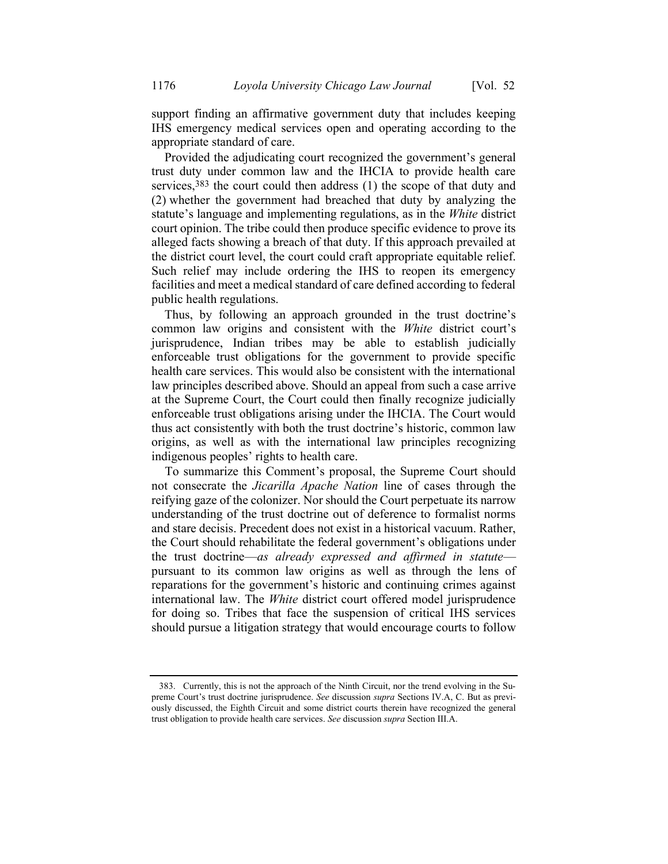support finding an affirmative government duty that includes keeping IHS emergency medical services open and operating according to the appropriate standard of care.

Provided the adjudicating court recognized the government's general trust duty under common law and the IHCIA to provide health care services, 383 the court could then address (1) the scope of that duty and (2) whether the government had breached that duty by analyzing the statute's language and implementing regulations, as in the *White* district court opinion. The tribe could then produce specific evidence to prove its alleged facts showing a breach of that duty. If this approach prevailed at the district court level, the court could craft appropriate equitable relief. Such relief may include ordering the IHS to reopen its emergency facilities and meet a medical standard of care defined according to federal public health regulations.

Thus, by following an approach grounded in the trust doctrine's common law origins and consistent with the *White* district court's jurisprudence, Indian tribes may be able to establish judicially enforceable trust obligations for the government to provide specific health care services. This would also be consistent with the international law principles described above. Should an appeal from such a case arrive at the Supreme Court, the Court could then finally recognize judicially enforceable trust obligations arising under the IHCIA. The Court would thus act consistently with both the trust doctrine's historic, common law origins, as well as with the international law principles recognizing indigenous peoples' rights to health care.

To summarize this Comment's proposal, the Supreme Court should not consecrate the *Jicarilla Apache Nation* line of cases through the reifying gaze of the colonizer. Nor should the Court perpetuate its narrow understanding of the trust doctrine out of deference to formalist norms and stare decisis. Precedent does not exist in a historical vacuum. Rather, the Court should rehabilitate the federal government's obligations under the trust doctrine—*as already expressed and affirmed in statute* pursuant to its common law origins as well as through the lens of reparations for the government's historic and continuing crimes against international law. The *White* district court offered model jurisprudence for doing so. Tribes that face the suspension of critical IHS services should pursue a litigation strategy that would encourage courts to follow

<sup>383.</sup> Currently, this is not the approach of the Ninth Circuit, nor the trend evolving in the Supreme Court's trust doctrine jurisprudence. *See* discussion *supra* Sections IV.A, C. But as previously discussed, the Eighth Circuit and some district courts therein have recognized the general trust obligation to provide health care services. *See* discussion *supra* Section III.A.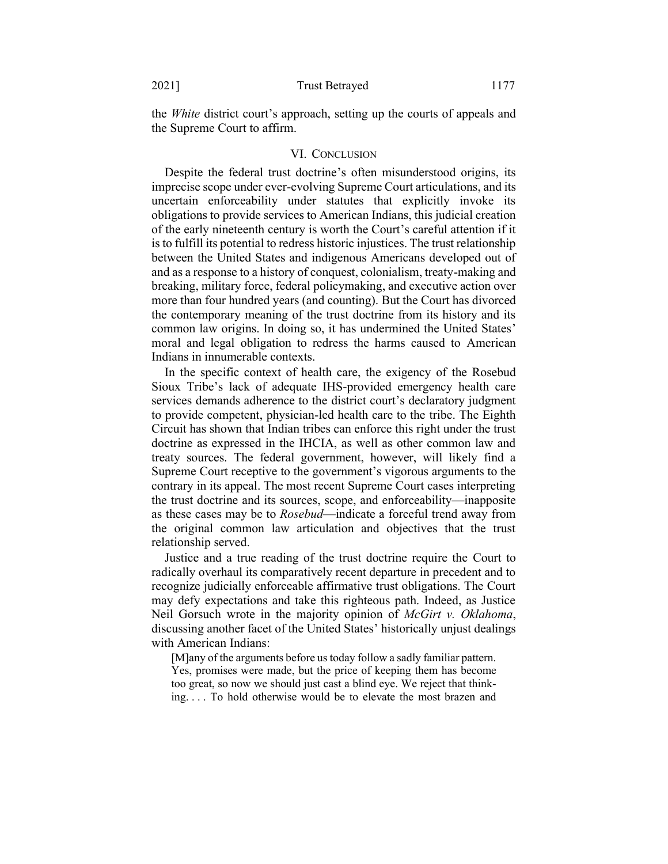the *White* district court's approach, setting up the courts of appeals and the Supreme Court to affirm.

## VI. CONCLUSION

Despite the federal trust doctrine's often misunderstood origins, its imprecise scope under ever-evolving Supreme Court articulations, and its uncertain enforceability under statutes that explicitly invoke its obligations to provide services to American Indians, this judicial creation of the early nineteenth century is worth the Court's careful attention if it is to fulfill its potential to redress historic injustices. The trust relationship between the United States and indigenous Americans developed out of and as a response to a history of conquest, colonialism, treaty-making and breaking, military force, federal policymaking, and executive action over more than four hundred years (and counting). But the Court has divorced the contemporary meaning of the trust doctrine from its history and its common law origins. In doing so, it has undermined the United States' moral and legal obligation to redress the harms caused to American Indians in innumerable contexts.

In the specific context of health care, the exigency of the Rosebud Sioux Tribe's lack of adequate IHS-provided emergency health care services demands adherence to the district court's declaratory judgment to provide competent, physician-led health care to the tribe. The Eighth Circuit has shown that Indian tribes can enforce this right under the trust doctrine as expressed in the IHCIA, as well as other common law and treaty sources. The federal government, however, will likely find a Supreme Court receptive to the government's vigorous arguments to the contrary in its appeal. The most recent Supreme Court cases interpreting the trust doctrine and its sources, scope, and enforceability—inapposite as these cases may be to *Rosebud*—indicate a forceful trend away from the original common law articulation and objectives that the trust relationship served.

Justice and a true reading of the trust doctrine require the Court to radically overhaul its comparatively recent departure in precedent and to recognize judicially enforceable affirmative trust obligations. The Court may defy expectations and take this righteous path. Indeed, as Justice Neil Gorsuch wrote in the majority opinion of *McGirt v. Oklahoma*, discussing another facet of the United States' historically unjust dealings with American Indians:

[M]any of the arguments before us today follow a sadly familiar pattern. Yes, promises were made, but the price of keeping them has become too great, so now we should just cast a blind eye. We reject that thinking. . . . To hold otherwise would be to elevate the most brazen and